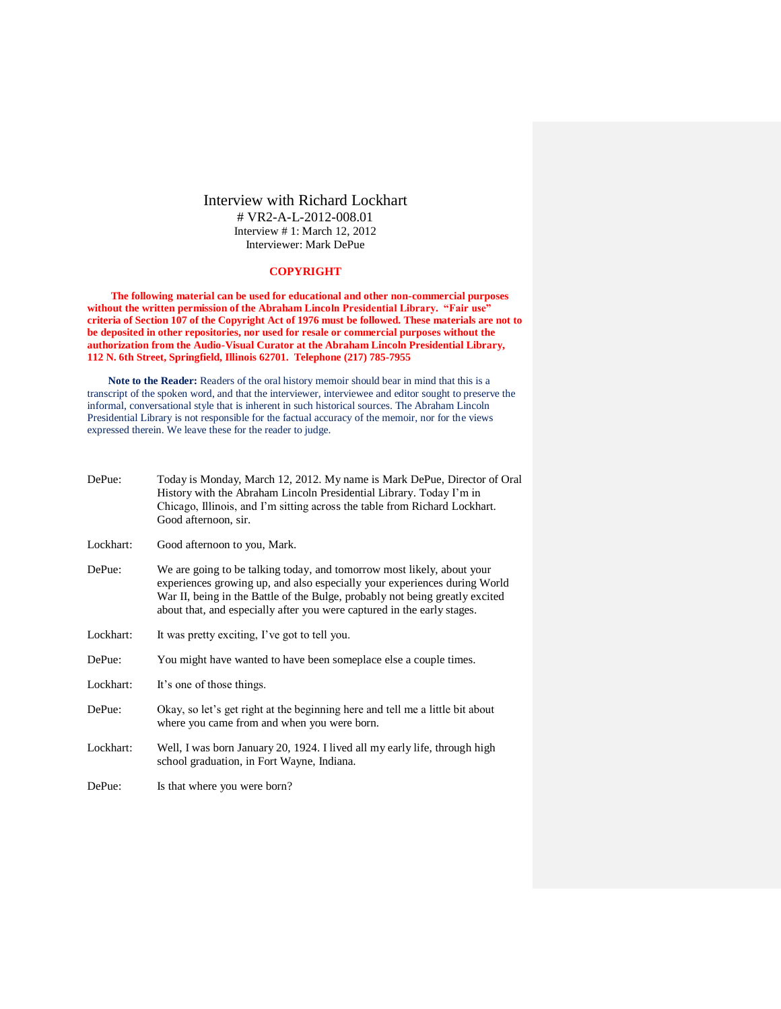# Interview with Richard Lockhart # VR2-A-L-2012-008.01 Interview # 1: March 12, 2012 Interviewer: Mark DePue

# **COPYRIGHT**

**The following material can be used for educational and other non-commercial purposes without the written permission of the Abraham Lincoln Presidential Library. "Fair use" criteria of Section 107 of the Copyright Act of 1976 must be followed. These materials are not to be deposited in other repositories, nor used for resale or commercial purposes without the authorization from the Audio-Visual Curator at the Abraham Lincoln Presidential Library, 112 N. 6th Street, Springfield, Illinois 62701. Telephone (217) 785-7955**

**Note to the Reader:** Readers of the oral history memoir should bear in mind that this is a transcript of the spoken word, and that the interviewer, interviewee and editor sought to preserve the informal, conversational style that is inherent in such historical sources. The Abraham Lincoln Presidential Library is not responsible for the factual accuracy of the memoir, nor for the views expressed therein. We leave these for the reader to judge.

| DePue:    | Today is Monday, March 12, 2012. My name is Mark DePue, Director of Oral<br>History with the Abraham Lincoln Presidential Library. Today I'm in<br>Chicago, Illinois, and I'm sitting across the table from Richard Lockhart.<br>Good afternoon, sir.                                                          |
|-----------|----------------------------------------------------------------------------------------------------------------------------------------------------------------------------------------------------------------------------------------------------------------------------------------------------------------|
| Lockhart: | Good afternoon to you, Mark.                                                                                                                                                                                                                                                                                   |
| DePue:    | We are going to be talking today, and tomorrow most likely, about your<br>experiences growing up, and also especially your experiences during World<br>War II, being in the Battle of the Bulge, probably not being greatly excited<br>about that, and especially after you were captured in the early stages. |
| Lockhart: | It was pretty exciting, I've got to tell you.                                                                                                                                                                                                                                                                  |
| DePue:    | You might have wanted to have been someplace else a couple times.                                                                                                                                                                                                                                              |
| Lockhart: | It's one of those things.                                                                                                                                                                                                                                                                                      |
| DePue:    | Okay, so let's get right at the beginning here and tell me a little bit about<br>where you came from and when you were born.                                                                                                                                                                                   |
| Lockhart: | Well, I was born January 20, 1924. I lived all my early life, through high<br>school graduation, in Fort Wayne, Indiana.                                                                                                                                                                                       |

DePue: Is that where you were born?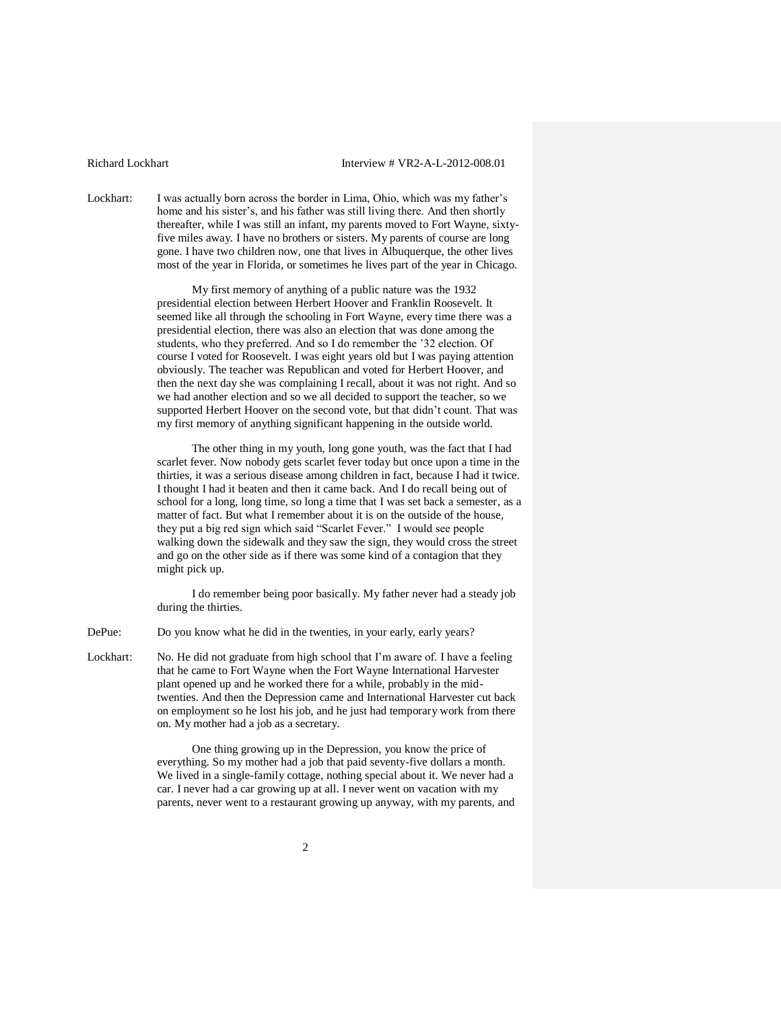Lockhart: I was actually born across the border in Lima, Ohio, which was my father's home and his sister's, and his father was still living there. And then shortly thereafter, while I was still an infant, my parents moved to Fort Wayne, sixtyfive miles away. I have no brothers or sisters. My parents of course are long gone. I have two children now, one that lives in Albuquerque, the other lives most of the year in Florida, or sometimes he lives part of the year in Chicago.

> My first memory of anything of a public nature was the 1932 presidential election between Herbert Hoover and Franklin Roosevelt. It seemed like all through the schooling in Fort Wayne, every time there was a presidential election, there was also an election that was done among the students, who they preferred. And so I do remember the '32 election. Of course I voted for Roosevelt. I was eight years old but I was paying attention obviously. The teacher was Republican and voted for Herbert Hoover, and then the next day she was complaining I recall, about it was not right. And so we had another election and so we all decided to support the teacher, so we supported Herbert Hoover on the second vote, but that didn't count. That was my first memory of anything significant happening in the outside world.

The other thing in my youth, long gone youth, was the fact that I had scarlet fever. Now nobody gets scarlet fever today but once upon a time in the thirties, it was a serious disease among children in fact, because I had it twice. I thought I had it beaten and then it came back. And I do recall being out of school for a long, long time, so long a time that I was set back a semester, as a matter of fact. But what I remember about it is on the outside of the house, they put a big red sign which said "Scarlet Fever." I would see people walking down the sidewalk and they saw the sign, they would cross the street and go on the other side as if there was some kind of a contagion that they might pick up.

I do remember being poor basically. My father never had a steady job during the thirties.

DePue: Do you know what he did in the twenties, in your early, early years?

Lockhart: No. He did not graduate from high school that I'm aware of. I have a feeling that he came to Fort Wayne when the Fort Wayne International Harvester plant opened up and he worked there for a while, probably in the midtwenties. And then the Depression came and International Harvester cut back on employment so he lost his job, and he just had temporary work from there on. My mother had a job as a secretary.

> One thing growing up in the Depression, you know the price of everything. So my mother had a job that paid seventy-five dollars a month. We lived in a single-family cottage, nothing special about it. We never had a car. I never had a car growing up at all. I never went on vacation with my parents, never went to a restaurant growing up anyway, with my parents, and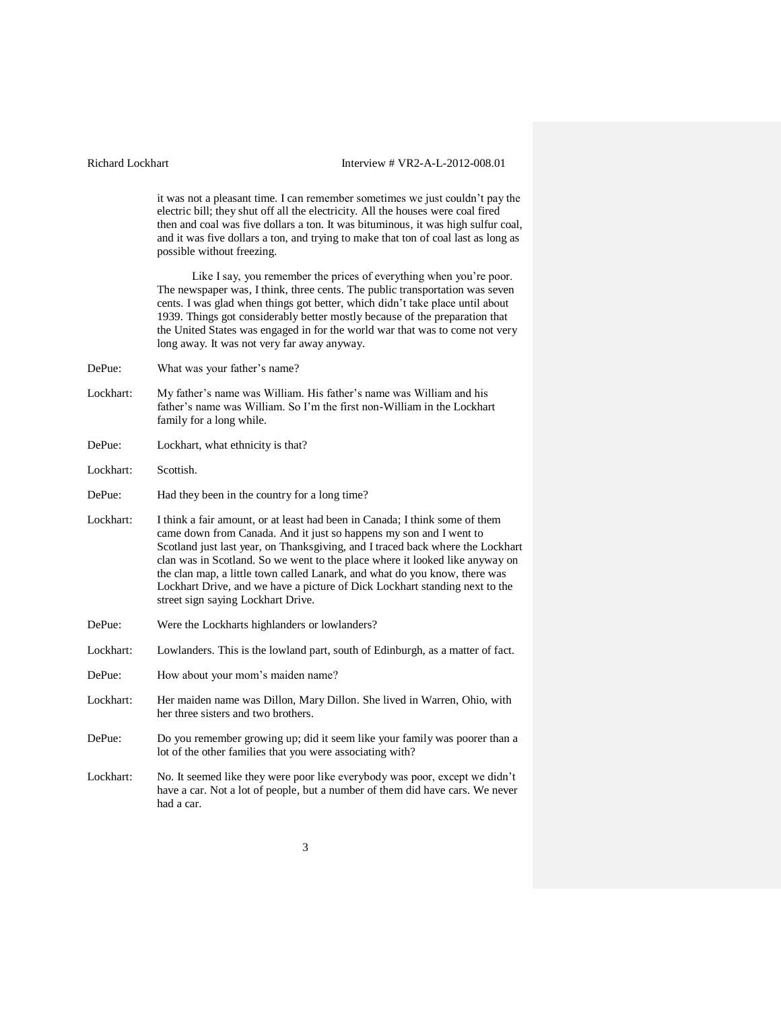it was not a pleasant time. I can remember sometimes we just couldn't pay the electric bill; they shut off all the electricity. All the houses were coal fired then and coal was five dollars a ton. It was bituminous, it was high sulfur coal, and it was five dollars a ton, and trying to make that ton of coal last as long as possible without freezing.

Like I say, you remember the prices of everything when you're poor. The newspaper was, I think, three cents. The public transportation was seven cents. I was glad when things got better, which didn't take place until about 1939. Things got considerably better mostly because of the preparation that the United States was engaged in for the world war that was to come not very long away. It was not very far away anyway.

- DePue: What was your father's name?
- Lockhart: My father's name was William. His father's name was William and his father's name was William. So I'm the first non-William in the Lockhart family for a long while.
- DePue: Lockhart, what ethnicity is that?
- Lockhart: Scottish.
- DePue: Had they been in the country for a long time?
- Lockhart: I think a fair amount, or at least had been in Canada; I think some of them came down from Canada. And it just so happens my son and I went to Scotland just last year, on Thanksgiving, and I traced back where the Lockhart clan was in Scotland. So we went to the place where it looked like anyway on the clan map, a little town called Lanark, and what do you know, there was Lockhart Drive, and we have a picture of Dick Lockhart standing next to the street sign saying Lockhart Drive.
- DePue: Were the Lockharts highlanders or lowlanders?
- Lockhart: Lowlanders. This is the lowland part, south of Edinburgh, as a matter of fact.
- DePue: How about your mom's maiden name?
- Lockhart: Her maiden name was Dillon, Mary Dillon. She lived in Warren, Ohio, with her three sisters and two brothers.
- DePue: Do you remember growing up; did it seem like your family was poorer than a lot of the other families that you were associating with?
- Lockhart: No. It seemed like they were poor like everybody was poor, except we didn't have a car. Not a lot of people, but a number of them did have cars. We never had a car.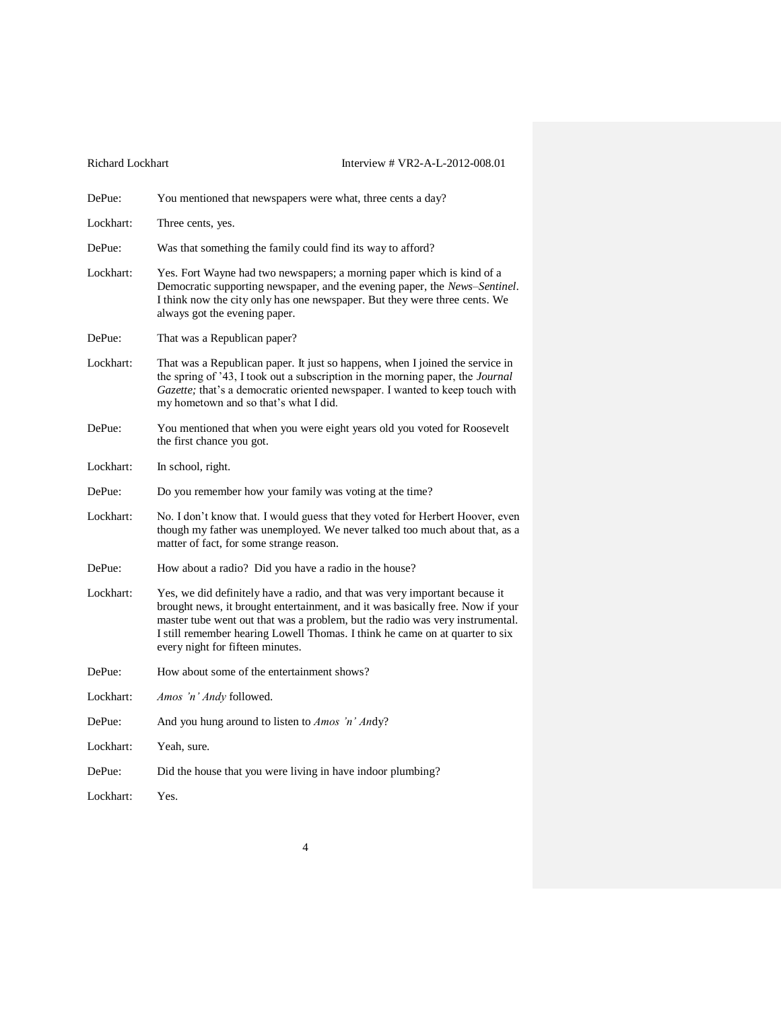| You mentioned that newspapers were what, three cents a day?                                                                                                                                                                                                                                                                                                        |
|--------------------------------------------------------------------------------------------------------------------------------------------------------------------------------------------------------------------------------------------------------------------------------------------------------------------------------------------------------------------|
| Three cents, yes.                                                                                                                                                                                                                                                                                                                                                  |
| Was that something the family could find its way to afford?                                                                                                                                                                                                                                                                                                        |
| Yes. Fort Wayne had two newspapers; a morning paper which is kind of a<br>Democratic supporting newspaper, and the evening paper, the News-Sentinel.<br>I think now the city only has one newspaper. But they were three cents. We<br>always got the evening paper.                                                                                                |
| That was a Republican paper?                                                                                                                                                                                                                                                                                                                                       |
| That was a Republican paper. It just so happens, when I joined the service in<br>the spring of '43, I took out a subscription in the morning paper, the Journal<br>Gazette; that's a democratic oriented newspaper. I wanted to keep touch with<br>my hometown and so that's what I did.                                                                           |
| You mentioned that when you were eight years old you voted for Roosevelt<br>the first chance you got.                                                                                                                                                                                                                                                              |
| In school, right.                                                                                                                                                                                                                                                                                                                                                  |
| Do you remember how your family was voting at the time?                                                                                                                                                                                                                                                                                                            |
| No. I don't know that. I would guess that they voted for Herbert Hoover, even<br>though my father was unemployed. We never talked too much about that, as a<br>matter of fact, for some strange reason.                                                                                                                                                            |
| How about a radio? Did you have a radio in the house?                                                                                                                                                                                                                                                                                                              |
| Yes, we did definitely have a radio, and that was very important because it<br>brought news, it brought entertainment, and it was basically free. Now if your<br>master tube went out that was a problem, but the radio was very instrumental.<br>I still remember hearing Lowell Thomas. I think he came on at quarter to six<br>every night for fifteen minutes. |
| How about some of the entertainment shows?                                                                                                                                                                                                                                                                                                                         |
| <i>Amos 'n' Andy</i> followed.                                                                                                                                                                                                                                                                                                                                     |
| And you hung around to listen to <i>Amos 'n' Andy</i> ?                                                                                                                                                                                                                                                                                                            |
| Yeah, sure.                                                                                                                                                                                                                                                                                                                                                        |
| Did the house that you were living in have indoor plumbing?                                                                                                                                                                                                                                                                                                        |
| Yes.                                                                                                                                                                                                                                                                                                                                                               |
|                                                                                                                                                                                                                                                                                                                                                                    |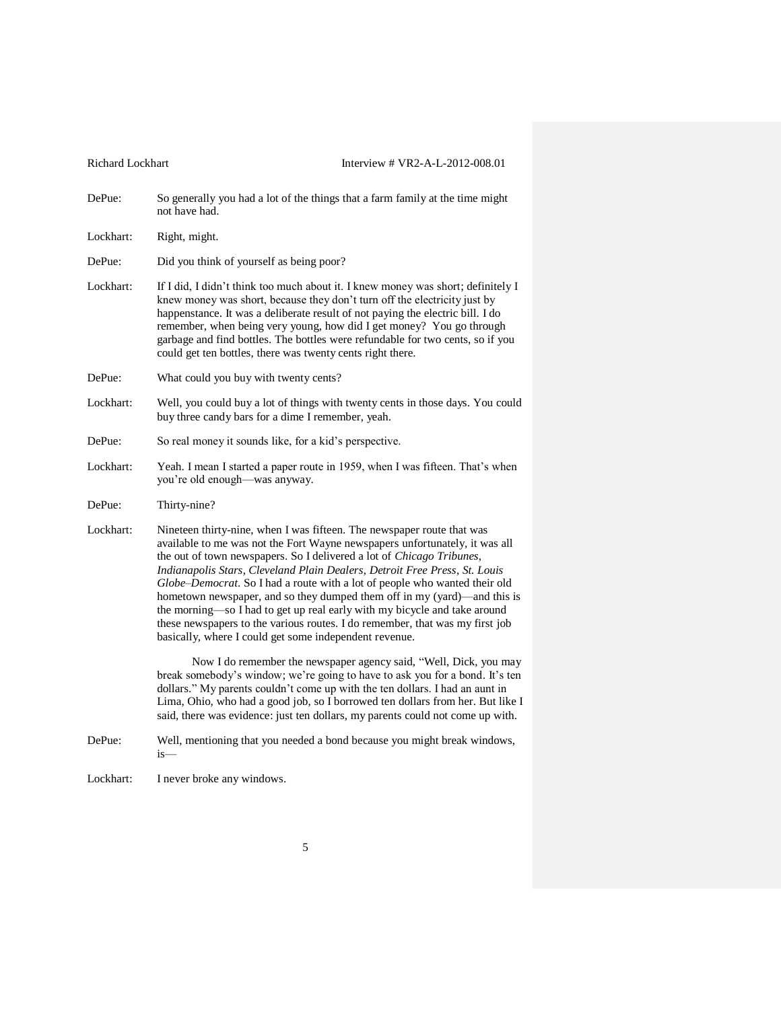DePue: So generally you had a lot of the things that a farm family at the time might not have had.

Lockhart: Right, might.

DePue: Did you think of yourself as being poor?

- Lockhart: If I did, I didn't think too much about it. I knew money was short; definitely I knew money was short, because they don't turn off the electricity just by happenstance. It was a deliberate result of not paying the electric bill. I do remember, when being very young, how did I get money? You go through garbage and find bottles. The bottles were refundable for two cents, so if you could get ten bottles, there was twenty cents right there.
- DePue: What could you buy with twenty cents?
- Lockhart: Well, you could buy a lot of things with twenty cents in those days. You could buy three candy bars for a dime I remember, yeah.
- DePue: So real money it sounds like, for a kid's perspective.
- Lockhart: Yeah. I mean I started a paper route in 1959, when I was fifteen. That's when you're old enough—was anyway.
- DePue: Thirty-nine?
- Lockhart: Nineteen thirty-nine, when I was fifteen. The newspaper route that was available to me was not the Fort Wayne newspapers unfortunately, it was all the out of town newspapers. So I delivered a lot of *Chicago Tribunes*, *Indianapolis Stars*, *Cleveland Plain Dealers*, *Detroit Free Press*, *St. Louis Globe–Democrat*. So I had a route with a lot of people who wanted their old hometown newspaper, and so they dumped them off in my (yard)—and this is the morning—so I had to get up real early with my bicycle and take around these newspapers to the various routes. I do remember, that was my first job basically, where I could get some independent revenue.

Now I do remember the newspaper agency said, "Well, Dick, you may break somebody's window; we're going to have to ask you for a bond. It's ten dollars." My parents couldn't come up with the ten dollars. I had an aunt in Lima, Ohio, who had a good job, so I borrowed ten dollars from her. But like I said, there was evidence: just ten dollars, my parents could not come up with.

- DePue: Well, mentioning that you needed a bond because you might break windows, is—
- Lockhart: I never broke any windows.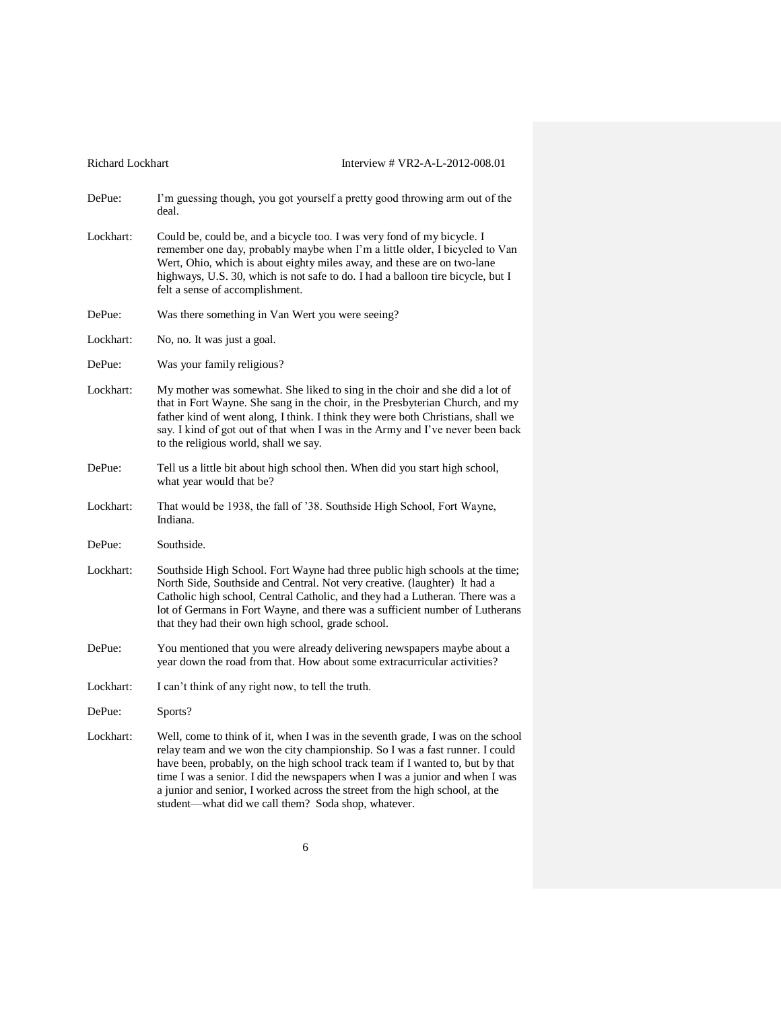| Richard Lockhart | Interview # VR2-A-L-2012-008.01                                                                                                                                                                                                                                                                                                                                                                                                                                          |
|------------------|--------------------------------------------------------------------------------------------------------------------------------------------------------------------------------------------------------------------------------------------------------------------------------------------------------------------------------------------------------------------------------------------------------------------------------------------------------------------------|
| DePue:           | I'm guessing though, you got yourself a pretty good throwing arm out of the<br>deal.                                                                                                                                                                                                                                                                                                                                                                                     |
| Lockhart:        | Could be, could be, and a bicycle too. I was very fond of my bicycle. I<br>remember one day, probably maybe when I'm a little older, I bicycled to Van<br>Wert, Ohio, which is about eighty miles away, and these are on two-lane<br>highways, U.S. 30, which is not safe to do. I had a balloon tire bicycle, but I<br>felt a sense of accomplishment.                                                                                                                  |
| DePue:           | Was there something in Van Wert you were seeing?                                                                                                                                                                                                                                                                                                                                                                                                                         |
| Lockhart:        | No, no. It was just a goal.                                                                                                                                                                                                                                                                                                                                                                                                                                              |
| DePue:           | Was your family religious?                                                                                                                                                                                                                                                                                                                                                                                                                                               |
| Lockhart:        | My mother was somewhat. She liked to sing in the choir and she did a lot of<br>that in Fort Wayne. She sang in the choir, in the Presbyterian Church, and my<br>father kind of went along, I think. I think they were both Christians, shall we<br>say. I kind of got out of that when I was in the Army and I've never been back<br>to the religious world, shall we say.                                                                                               |
| DePue:           | Tell us a little bit about high school then. When did you start high school,<br>what year would that be?                                                                                                                                                                                                                                                                                                                                                                 |
| Lockhart:        | That would be 1938, the fall of '38. Southside High School, Fort Wayne,<br>Indiana.                                                                                                                                                                                                                                                                                                                                                                                      |
| DePue:           | Southside.                                                                                                                                                                                                                                                                                                                                                                                                                                                               |
| Lockhart:        | Southside High School. Fort Wayne had three public high schools at the time;<br>North Side, Southside and Central. Not very creative. (laughter) It had a<br>Catholic high school, Central Catholic, and they had a Lutheran. There was a<br>lot of Germans in Fort Wayne, and there was a sufficient number of Lutherans<br>that they had their own high school, grade school.                                                                                          |
| DePue:           | You mentioned that you were already delivering newspapers maybe about a<br>year down the road from that. How about some extracurricular activities?                                                                                                                                                                                                                                                                                                                      |
| Lockhart:        | I can't think of any right now, to tell the truth.                                                                                                                                                                                                                                                                                                                                                                                                                       |
| DePue:           | Sports?                                                                                                                                                                                                                                                                                                                                                                                                                                                                  |
| Lockhart:        | Well, come to think of it, when I was in the seventh grade, I was on the school<br>relay team and we won the city championship. So I was a fast runner. I could<br>have been, probably, on the high school track team if I wanted to, but by that<br>time I was a senior. I did the newspapers when I was a junior and when I was<br>a junior and senior, I worked across the street from the high school, at the<br>student-what did we call them? Soda shop, whatever. |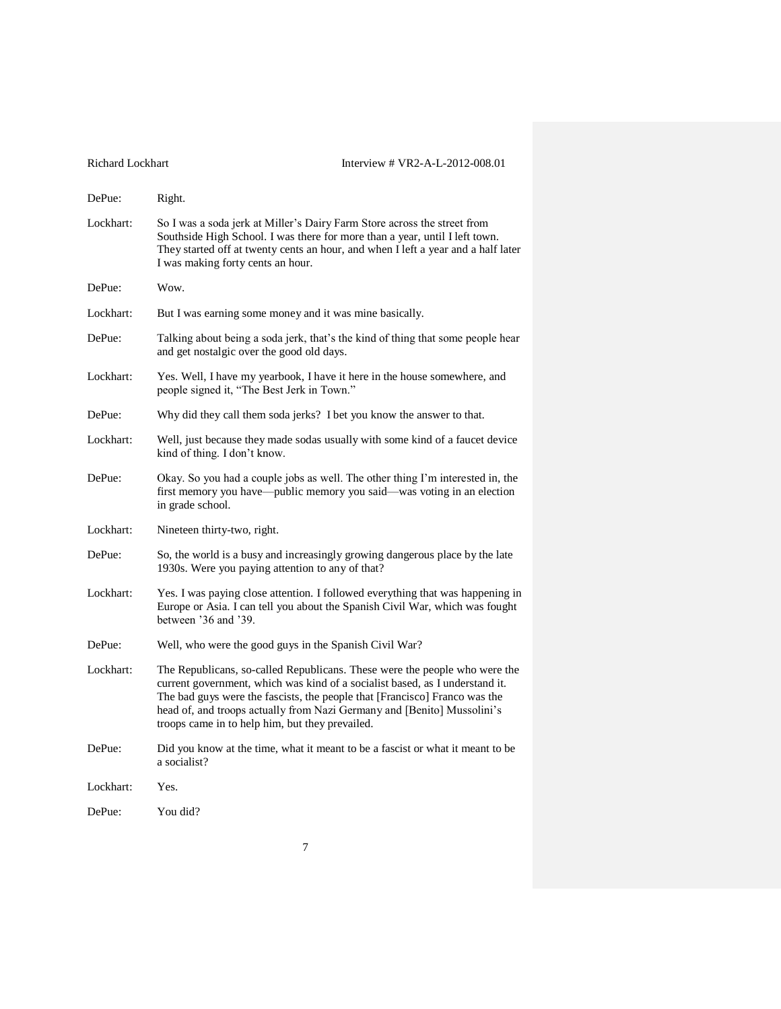| <b>Richard Lockhart</b> | Interview # VR2-A-L-2012-008.01                                                                                                                                                                                                                                                                                                                                        |
|-------------------------|------------------------------------------------------------------------------------------------------------------------------------------------------------------------------------------------------------------------------------------------------------------------------------------------------------------------------------------------------------------------|
| DePue:                  | Right.                                                                                                                                                                                                                                                                                                                                                                 |
| Lockhart:               | So I was a soda jerk at Miller's Dairy Farm Store across the street from<br>Southside High School. I was there for more than a year, until I left town.<br>They started off at twenty cents an hour, and when I left a year and a half later<br>I was making forty cents an hour.                                                                                      |
| DePue:                  | Wow.                                                                                                                                                                                                                                                                                                                                                                   |
| Lockhart:               | But I was earning some money and it was mine basically.                                                                                                                                                                                                                                                                                                                |
| DePue:                  | Talking about being a soda jerk, that's the kind of thing that some people hear<br>and get nostalgic over the good old days.                                                                                                                                                                                                                                           |
| Lockhart:               | Yes. Well, I have my yearbook, I have it here in the house somewhere, and<br>people signed it, "The Best Jerk in Town."                                                                                                                                                                                                                                                |
| DePue:                  | Why did they call them soda jerks? I bet you know the answer to that.                                                                                                                                                                                                                                                                                                  |
| Lockhart:               | Well, just because they made sodas usually with some kind of a faucet device<br>kind of thing. I don't know.                                                                                                                                                                                                                                                           |
| DePue:                  | Okay. So you had a couple jobs as well. The other thing I'm interested in, the<br>first memory you have—public memory you said—was voting in an election<br>in grade school.                                                                                                                                                                                           |
| Lockhart:               | Nineteen thirty-two, right.                                                                                                                                                                                                                                                                                                                                            |
| DePue:                  | So, the world is a busy and increasingly growing dangerous place by the late<br>1930s. Were you paying attention to any of that?                                                                                                                                                                                                                                       |
| Lockhart:               | Yes. I was paying close attention. I followed everything that was happening in<br>Europe or Asia. I can tell you about the Spanish Civil War, which was fought<br>between '36 and '39.                                                                                                                                                                                 |
| DePue:                  | Well, who were the good guys in the Spanish Civil War?                                                                                                                                                                                                                                                                                                                 |
| Lockhart:               | The Republicans, so-called Republicans. These were the people who were the<br>current government, which was kind of a socialist based, as I understand it.<br>The bad guys were the fascists, the people that [Francisco] Franco was the<br>head of, and troops actually from Nazi Germany and [Benito] Mussolini's<br>troops came in to help him, but they prevailed. |
| DePue:                  | Did you know at the time, what it meant to be a fascist or what it meant to be<br>a socialist?                                                                                                                                                                                                                                                                         |
| Lockhart:               | Yes.                                                                                                                                                                                                                                                                                                                                                                   |
| DePue:                  | You did?                                                                                                                                                                                                                                                                                                                                                               |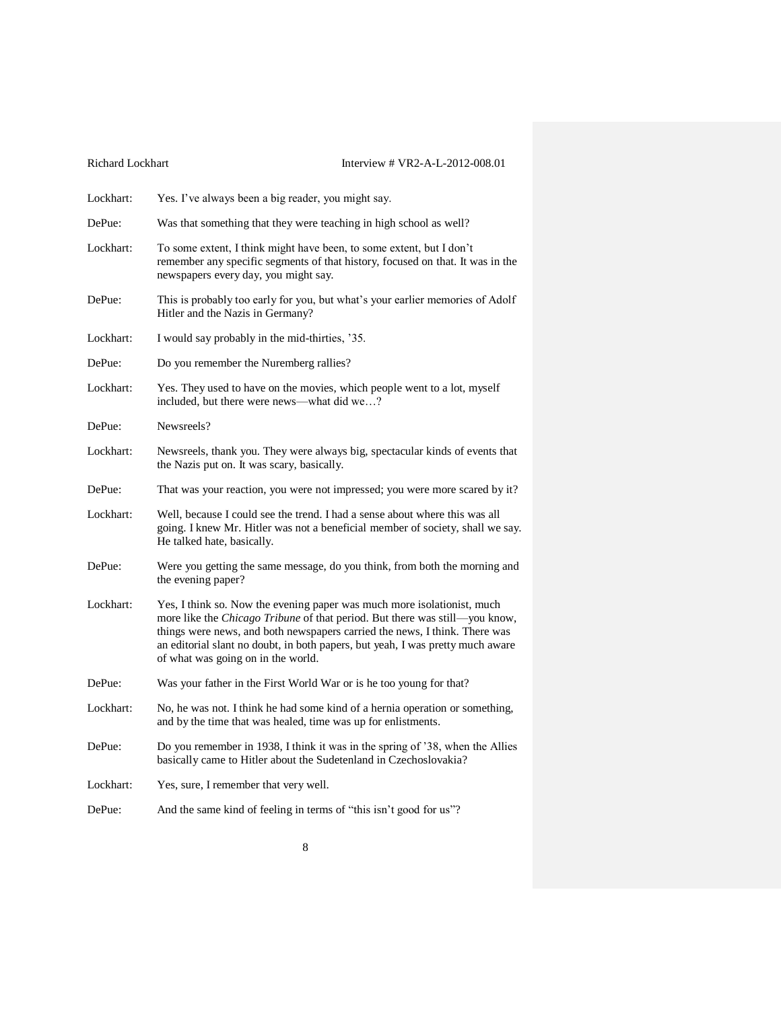| Richard Lockhart | Interview # VR2-A-L-2012-008.01                                                                                                                                                                                                                                                                                                                              |
|------------------|--------------------------------------------------------------------------------------------------------------------------------------------------------------------------------------------------------------------------------------------------------------------------------------------------------------------------------------------------------------|
| Lockhart:        | Yes. I've always been a big reader, you might say.                                                                                                                                                                                                                                                                                                           |
| DePue:           | Was that something that they were teaching in high school as well?                                                                                                                                                                                                                                                                                           |
| Lockhart:        | To some extent, I think might have been, to some extent, but I don't<br>remember any specific segments of that history, focused on that. It was in the<br>newspapers every day, you might say.                                                                                                                                                               |
| DePue:           | This is probably too early for you, but what's your earlier memories of Adolf<br>Hitler and the Nazis in Germany?                                                                                                                                                                                                                                            |
| Lockhart:        | I would say probably in the mid-thirties, '35.                                                                                                                                                                                                                                                                                                               |
| DePue:           | Do you remember the Nuremberg rallies?                                                                                                                                                                                                                                                                                                                       |
| Lockhart:        | Yes. They used to have on the movies, which people went to a lot, myself<br>included, but there were news—what did we?                                                                                                                                                                                                                                       |
| DePue:           | Newsreels?                                                                                                                                                                                                                                                                                                                                                   |
| Lockhart:        | Newsreels, thank you. They were always big, spectacular kinds of events that<br>the Nazis put on. It was scary, basically.                                                                                                                                                                                                                                   |
| DePue:           | That was your reaction, you were not impressed; you were more scared by it?                                                                                                                                                                                                                                                                                  |
| Lockhart:        | Well, because I could see the trend. I had a sense about where this was all<br>going. I knew Mr. Hitler was not a beneficial member of society, shall we say.<br>He talked hate, basically.                                                                                                                                                                  |
| DePue:           | Were you getting the same message, do you think, from both the morning and<br>the evening paper?                                                                                                                                                                                                                                                             |
| Lockhart:        | Yes, I think so. Now the evening paper was much more isolationist, much<br>more like the Chicago Tribune of that period. But there was still-you know,<br>things were news, and both newspapers carried the news, I think. There was<br>an editorial slant no doubt, in both papers, but yeah, I was pretty much aware<br>of what was going on in the world. |
| DePue:           | Was your father in the First World War or is he too young for that?                                                                                                                                                                                                                                                                                          |
| Lockhart:        | No, he was not. I think he had some kind of a hernia operation or something,<br>and by the time that was healed, time was up for enlistments.                                                                                                                                                                                                                |
| DePue:           | Do you remember in 1938, I think it was in the spring of '38, when the Allies<br>basically came to Hitler about the Sudetenland in Czechoslovakia?                                                                                                                                                                                                           |
| Lockhart:        | Yes, sure, I remember that very well.                                                                                                                                                                                                                                                                                                                        |
| DePue:           | And the same kind of feeling in terms of "this isn't good for us"?                                                                                                                                                                                                                                                                                           |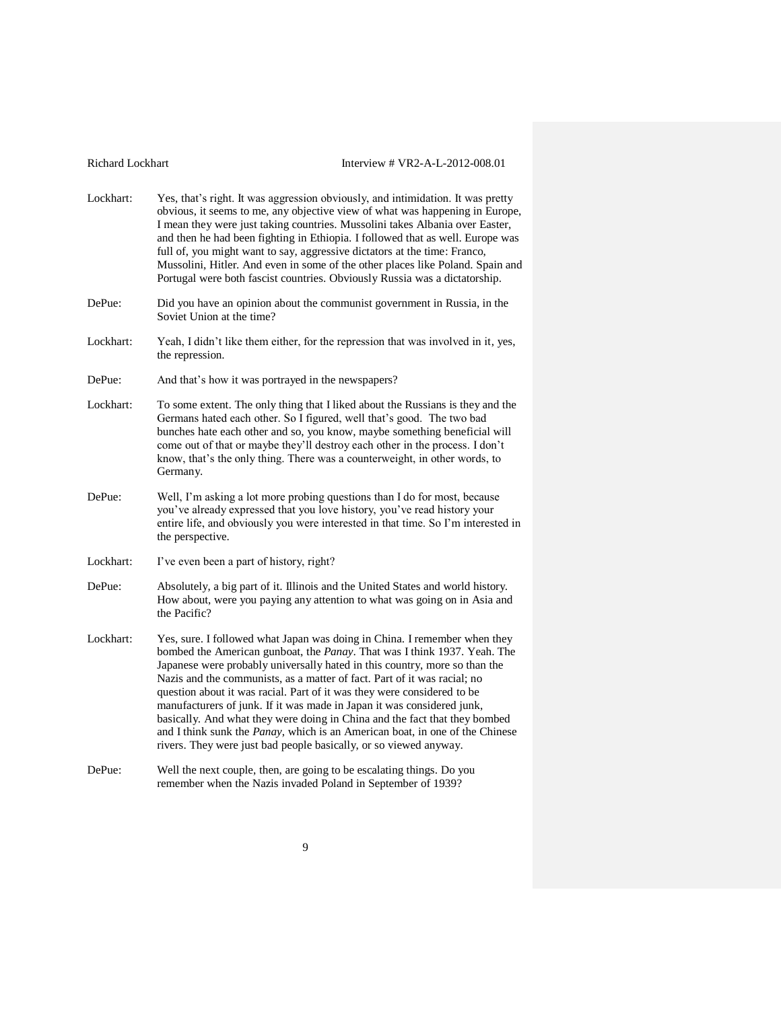- Lockhart: Yes, that's right. It was aggression obviously, and intimidation. It was pretty obvious, it seems to me, any objective view of what was happening in Europe, I mean they were just taking countries. Mussolini takes Albania over Easter, and then he had been fighting in Ethiopia. I followed that as well. Europe was full of, you might want to say, aggressive dictators at the time: Franco, Mussolini, Hitler. And even in some of the other places like Poland. Spain and Portugal were both fascist countries. Obviously Russia was a dictatorship.
- DePue: Did you have an opinion about the communist government in Russia, in the Soviet Union at the time?
- Lockhart: Yeah, I didn't like them either, for the repression that was involved in it, yes, the repression.
- DePue: And that's how it was portrayed in the newspapers?
- Lockhart: To some extent. The only thing that I liked about the Russians is they and the Germans hated each other. So I figured, well that's good. The two bad bunches hate each other and so, you know, maybe something beneficial will come out of that or maybe they'll destroy each other in the process. I don't know, that's the only thing. There was a counterweight, in other words, to Germany.
- DePue: Well, I'm asking a lot more probing questions than I do for most, because you've already expressed that you love history, you've read history your entire life, and obviously you were interested in that time. So I'm interested in the perspective.
- Lockhart: I've even been a part of history, right?
- DePue: Absolutely, a big part of it. Illinois and the United States and world history. How about, were you paying any attention to what was going on in Asia and the Pacific?
- Lockhart: Yes, sure. I followed what Japan was doing in China. I remember when they bombed the American gunboat, the *Panay*. That was I think 1937. Yeah. The Japanese were probably universally hated in this country, more so than the Nazis and the communists, as a matter of fact. Part of it was racial; no question about it was racial. Part of it was they were considered to be manufacturers of junk. If it was made in Japan it was considered junk, basically. And what they were doing in China and the fact that they bombed and I think sunk the *Panay*, which is an American boat, in one of the Chinese rivers. They were just bad people basically, or so viewed anyway.
- DePue: Well the next couple, then, are going to be escalating things. Do you remember when the Nazis invaded Poland in September of 1939?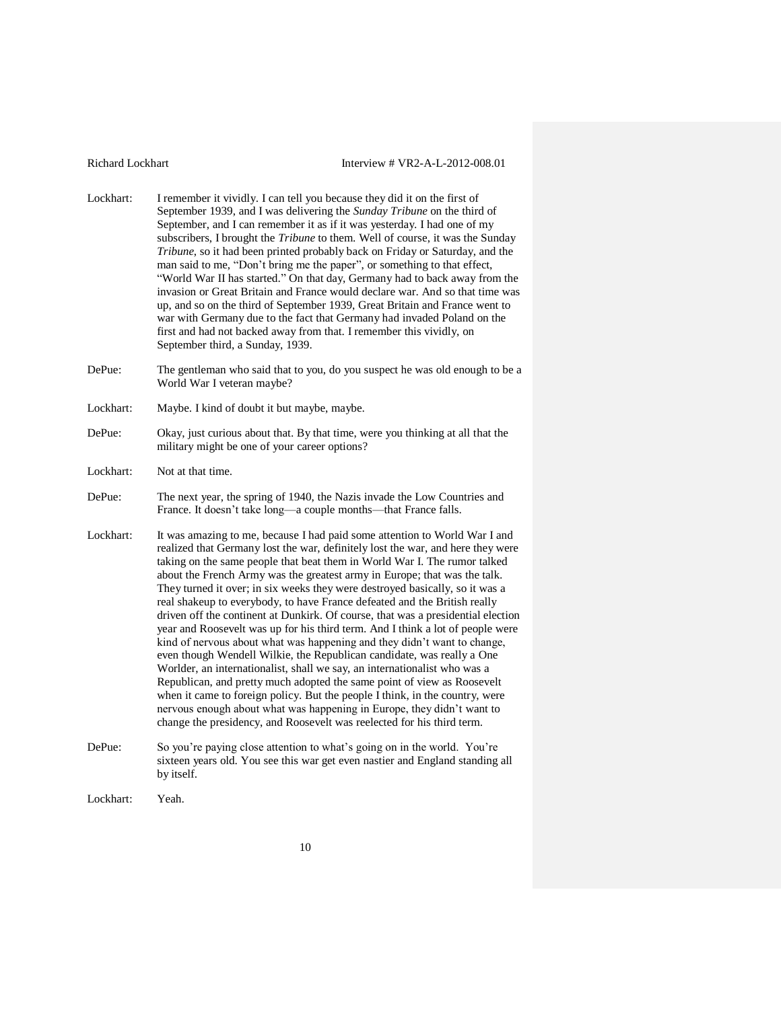- Lockhart: I remember it vividly. I can tell you because they did it on the first of September 1939, and I was delivering the *Sunday Tribune* on the third of September, and I can remember it as if it was yesterday. I had one of my subscribers, I brought the *Tribune* to them. Well of course, it was the Sunday *Tribune*, so it had been printed probably back on Friday or Saturday, and the man said to me, "Don't bring me the paper", or something to that effect, "World War II has started." On that day, Germany had to back away from the invasion or Great Britain and France would declare war. And so that time was up, and so on the third of September 1939, Great Britain and France went to war with Germany due to the fact that Germany had invaded Poland on the first and had not backed away from that. I remember this vividly, on September third, a Sunday, 1939.
- DePue: The gentleman who said that to you, do you suspect he was old enough to be a World War I veteran maybe?
- Lockhart: Maybe. I kind of doubt it but maybe, maybe.
- DePue: Okay, just curious about that. By that time, were you thinking at all that the military might be one of your career options?
- Lockhart: Not at that time.
- DePue: The next year, the spring of 1940, the Nazis invade the Low Countries and France. It doesn't take long—a couple months—that France falls.
- Lockhart: It was amazing to me, because I had paid some attention to World War I and realized that Germany lost the war, definitely lost the war, and here they were taking on the same people that beat them in World War I. The rumor talked about the French Army was the greatest army in Europe; that was the talk. They turned it over; in six weeks they were destroyed basically, so it was a real shakeup to everybody, to have France defeated and the British really driven off the continent at Dunkirk. Of course, that was a presidential election year and Roosevelt was up for his third term. And I think a lot of people were kind of nervous about what was happening and they didn't want to change, even though Wendell Wilkie, the Republican candidate, was really a One Worlder, an internationalist, shall we say, an internationalist who was a Republican, and pretty much adopted the same point of view as Roosevelt when it came to foreign policy. But the people I think, in the country, were nervous enough about what was happening in Europe, they didn't want to change the presidency, and Roosevelt was reelected for his third term.
- DePue: So you're paying close attention to what's going on in the world. You're sixteen years old. You see this war get even nastier and England standing all by itself.
- Lockhart: Yeah.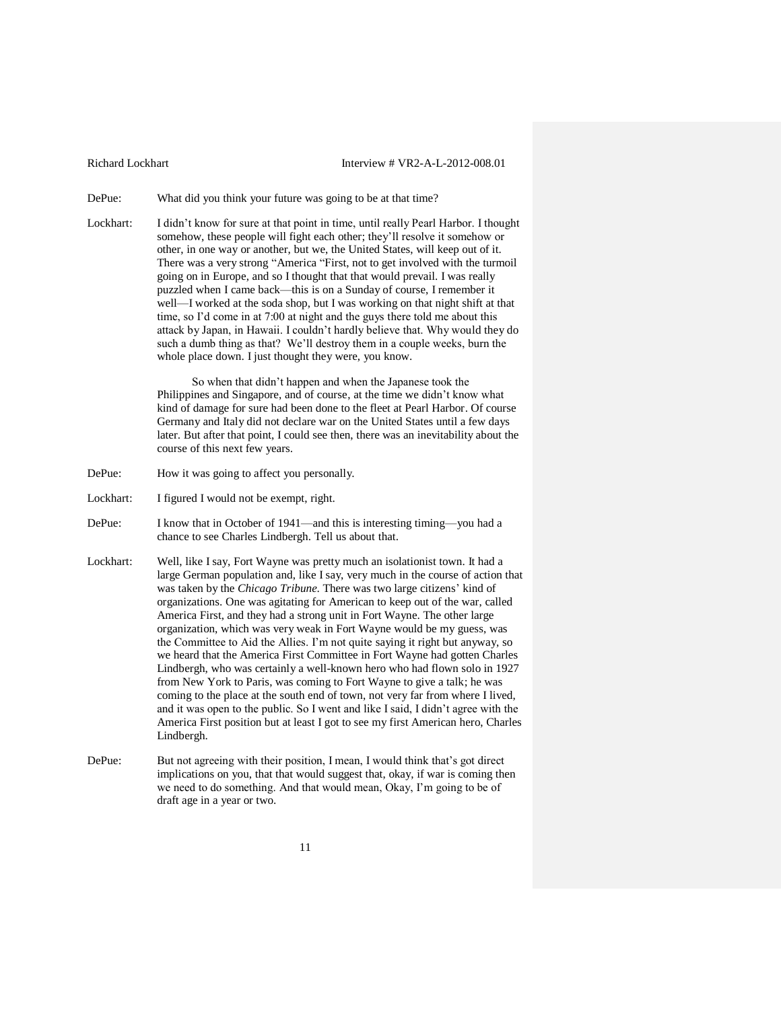DePue: What did you think your future was going to be at that time?

Lockhart: I didn't know for sure at that point in time, until really Pearl Harbor. I thought somehow, these people will fight each other; they'll resolve it somehow or other, in one way or another, but we, the United States, will keep out of it. There was a very strong "America "First, not to get involved with the turmoil going on in Europe, and so I thought that that would prevail. I was really puzzled when I came back—this is on a Sunday of course, I remember it well—I worked at the soda shop, but I was working on that night shift at that time, so I'd come in at 7:00 at night and the guys there told me about this attack by Japan, in Hawaii. I couldn't hardly believe that. Why would they do such a dumb thing as that? We'll destroy them in a couple weeks, burn the whole place down. I just thought they were, you know.

> So when that didn't happen and when the Japanese took the Philippines and Singapore, and of course, at the time we didn't know what kind of damage for sure had been done to the fleet at Pearl Harbor. Of course Germany and Italy did not declare war on the United States until a few days later. But after that point, I could see then, there was an inevitability about the course of this next few years.

- DePue: How it was going to affect you personally.
- Lockhart: I figured I would not be exempt, right.
- DePue: I know that in October of 1941—and this is interesting timing—you had a chance to see Charles Lindbergh. Tell us about that.
- Lockhart: Well, like I say, Fort Wayne was pretty much an isolationist town. It had a large German population and, like I say, very much in the course of action that was taken by the *Chicago Tribune*. There was two large citizens' kind of organizations. One was agitating for American to keep out of the war, called America First, and they had a strong unit in Fort Wayne. The other large organization, which was very weak in Fort Wayne would be my guess, was the Committee to Aid the Allies. I'm not quite saying it right but anyway, so we heard that the America First Committee in Fort Wayne had gotten Charles Lindbergh, who was certainly a well-known hero who had flown solo in 1927 from New York to Paris, was coming to Fort Wayne to give a talk; he was coming to the place at the south end of town, not very far from where I lived, and it was open to the public. So I went and like I said, I didn't agree with the America First position but at least I got to see my first American hero, Charles Lindbergh.
- DePue: But not agreeing with their position, I mean, I would think that's got direct implications on you, that that would suggest that, okay, if war is coming then we need to do something. And that would mean, Okay, I'm going to be of draft age in a year or two.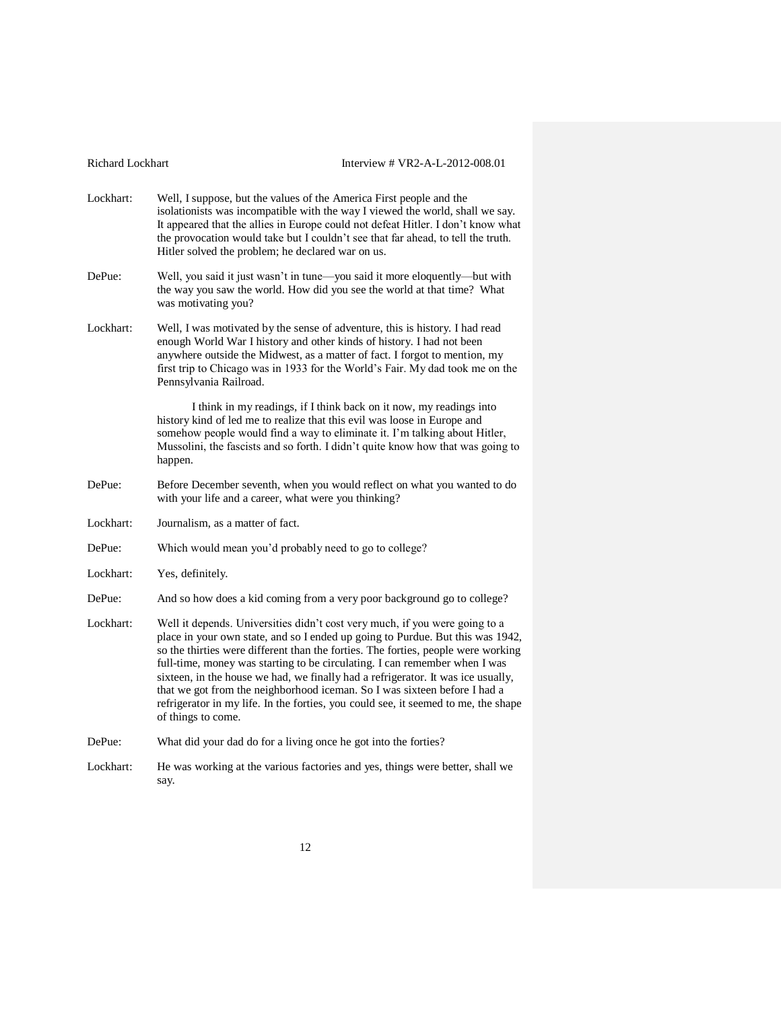| Richard Lockhart | Interview # VR2-A-L-2012-008.01                                                                                                                                                                                                                                                                                                                                                                                                                                                                                                                                                                               |
|------------------|---------------------------------------------------------------------------------------------------------------------------------------------------------------------------------------------------------------------------------------------------------------------------------------------------------------------------------------------------------------------------------------------------------------------------------------------------------------------------------------------------------------------------------------------------------------------------------------------------------------|
| Lockhart:        | Well, I suppose, but the values of the America First people and the<br>isolationists was incompatible with the way I viewed the world, shall we say.<br>It appeared that the allies in Europe could not defeat Hitler. I don't know what<br>the provocation would take but I couldn't see that far ahead, to tell the truth.<br>Hitler solved the problem; he declared war on us.                                                                                                                                                                                                                             |
| DePue:           | Well, you said it just wasn't in tune-you said it more eloquently-but with<br>the way you saw the world. How did you see the world at that time? What<br>was motivating you?                                                                                                                                                                                                                                                                                                                                                                                                                                  |
| Lockhart:        | Well, I was motivated by the sense of adventure, this is history. I had read<br>enough World War I history and other kinds of history. I had not been<br>anywhere outside the Midwest, as a matter of fact. I forgot to mention, my<br>first trip to Chicago was in 1933 for the World's Fair. My dad took me on the<br>Pennsylvania Railroad.                                                                                                                                                                                                                                                                |
|                  | I think in my readings, if I think back on it now, my readings into<br>history kind of led me to realize that this evil was loose in Europe and<br>somehow people would find a way to eliminate it. I'm talking about Hitler,<br>Mussolini, the fascists and so forth. I didn't quite know how that was going to<br>happen.                                                                                                                                                                                                                                                                                   |
| DePue:           | Before December seventh, when you would reflect on what you wanted to do<br>with your life and a career, what were you thinking?                                                                                                                                                                                                                                                                                                                                                                                                                                                                              |
| Lockhart:        | Journalism, as a matter of fact.                                                                                                                                                                                                                                                                                                                                                                                                                                                                                                                                                                              |
| DePue:           | Which would mean you'd probably need to go to college?                                                                                                                                                                                                                                                                                                                                                                                                                                                                                                                                                        |
| Lockhart:        | Yes, definitely.                                                                                                                                                                                                                                                                                                                                                                                                                                                                                                                                                                                              |
| DePue:           | And so how does a kid coming from a very poor background go to college?                                                                                                                                                                                                                                                                                                                                                                                                                                                                                                                                       |
| Lockhart:        | Well it depends. Universities didn't cost very much, if you were going to a<br>place in your own state, and so I ended up going to Purdue. But this was 1942,<br>so the thirties were different than the forties. The forties, people were working<br>full-time, money was starting to be circulating. I can remember when I was<br>sixteen, in the house we had, we finally had a refrigerator. It was ice usually,<br>that we got from the neighborhood iceman. So I was sixteen before I had a<br>refrigerator in my life. In the forties, you could see, it seemed to me, the shape<br>of things to come. |
| DePue:           | What did your dad do for a living once he got into the forties?                                                                                                                                                                                                                                                                                                                                                                                                                                                                                                                                               |
| Lockhart:        | He was working at the various factories and yes, things were better, shall we<br>say.                                                                                                                                                                                                                                                                                                                                                                                                                                                                                                                         |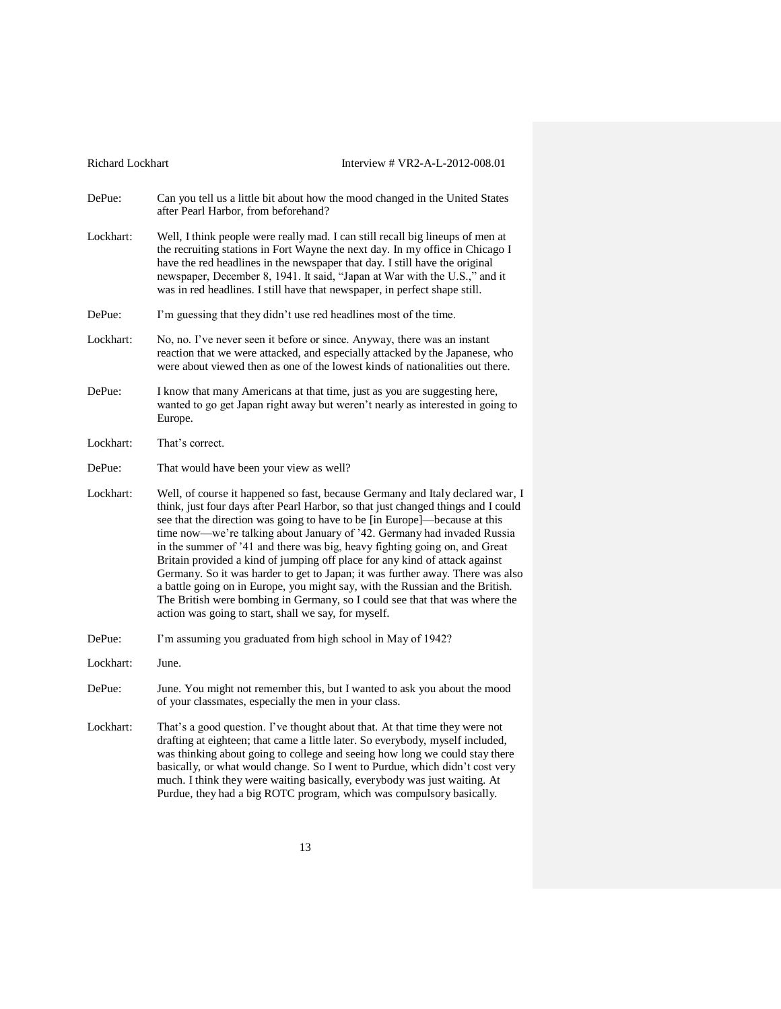| Richard Lockhart | Interview # VR2-A-L-2012-008.01                                                                                                                                                                                                                                                                                                                                                                                                                                                                                                                                                                                                                                                                                                                                                                     |
|------------------|-----------------------------------------------------------------------------------------------------------------------------------------------------------------------------------------------------------------------------------------------------------------------------------------------------------------------------------------------------------------------------------------------------------------------------------------------------------------------------------------------------------------------------------------------------------------------------------------------------------------------------------------------------------------------------------------------------------------------------------------------------------------------------------------------------|
| DePue:           | Can you tell us a little bit about how the mood changed in the United States<br>after Pearl Harbor, from beforehand?                                                                                                                                                                                                                                                                                                                                                                                                                                                                                                                                                                                                                                                                                |
| Lockhart:        | Well, I think people were really mad. I can still recall big lineups of men at<br>the recruiting stations in Fort Wayne the next day. In my office in Chicago I<br>have the red headlines in the newspaper that day. I still have the original<br>newspaper, December 8, 1941. It said, "Japan at War with the U.S.," and it<br>was in red headlines. I still have that newspaper, in perfect shape still.                                                                                                                                                                                                                                                                                                                                                                                          |
| DePue:           | I'm guessing that they didn't use red headlines most of the time.                                                                                                                                                                                                                                                                                                                                                                                                                                                                                                                                                                                                                                                                                                                                   |
| Lockhart:        | No, no. I've never seen it before or since. Anyway, there was an instant<br>reaction that we were attacked, and especially attacked by the Japanese, who<br>were about viewed then as one of the lowest kinds of nationalities out there.                                                                                                                                                                                                                                                                                                                                                                                                                                                                                                                                                           |
| DePue:           | I know that many Americans at that time, just as you are suggesting here,<br>wanted to go get Japan right away but weren't nearly as interested in going to<br>Europe.                                                                                                                                                                                                                                                                                                                                                                                                                                                                                                                                                                                                                              |
| Lockhart:        | That's correct.                                                                                                                                                                                                                                                                                                                                                                                                                                                                                                                                                                                                                                                                                                                                                                                     |
| DePue:           | That would have been your view as well?                                                                                                                                                                                                                                                                                                                                                                                                                                                                                                                                                                                                                                                                                                                                                             |
| Lockhart:        | Well, of course it happened so fast, because Germany and Italy declared war, I<br>think, just four days after Pearl Harbor, so that just changed things and I could<br>see that the direction was going to have to be [in Europe]-because at this<br>time now—we're talking about January of '42. Germany had invaded Russia<br>in the summer of '41 and there was big, heavy fighting going on, and Great<br>Britain provided a kind of jumping off place for any kind of attack against<br>Germany. So it was harder to get to Japan; it was further away. There was also<br>a battle going on in Europe, you might say, with the Russian and the British.<br>The British were bombing in Germany, so I could see that that was where the<br>action was going to start, shall we say, for myself. |
| DePue:           | I'm assuming you graduated from high school in May of 1942?                                                                                                                                                                                                                                                                                                                                                                                                                                                                                                                                                                                                                                                                                                                                         |
| Lockhart:        | June.                                                                                                                                                                                                                                                                                                                                                                                                                                                                                                                                                                                                                                                                                                                                                                                               |
| DePue:           | June. You might not remember this, but I wanted to ask you about the mood<br>of your classmates, especially the men in your class.                                                                                                                                                                                                                                                                                                                                                                                                                                                                                                                                                                                                                                                                  |
| Lockhart:        | That's a good question. I've thought about that. At that time they were not<br>drafting at eighteen; that came a little later. So everybody, myself included,<br>was thinking about going to college and seeing how long we could stay there<br>basically, or what would change. So I went to Purdue, which didn't cost very<br>much. I think they were waiting basically, everybody was just waiting. At<br>Purdue, they had a big ROTC program, which was compulsory basically.                                                                                                                                                                                                                                                                                                                   |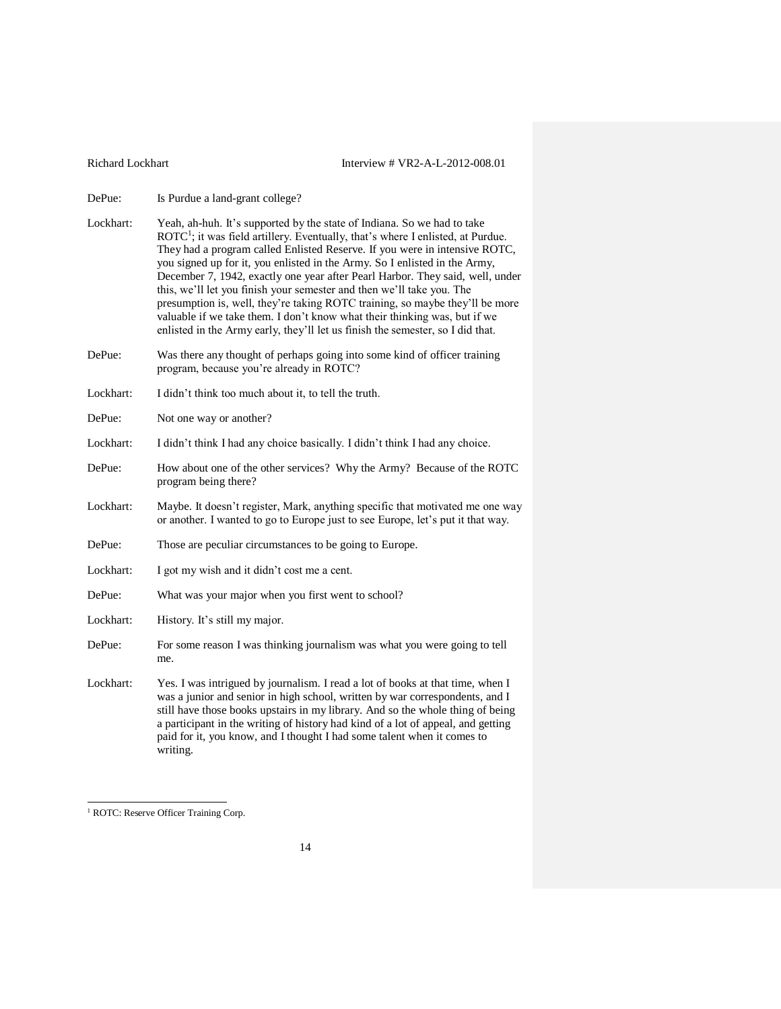DePue: Is Purdue a land-grant college?

- Lockhart: Yeah, ah-huh. It's supported by the state of Indiana. So we had to take ROTC<sup>1</sup>; it was field artillery. Eventually, that's where I enlisted, at Purdue. They had a program called Enlisted Reserve. If you were in intensive ROTC, you signed up for it, you enlisted in the Army. So I enlisted in the Army, December 7, 1942, exactly one year after Pearl Harbor. They said, well, under this, we'll let you finish your semester and then we'll take you. The presumption is, well, they're taking ROTC training, so maybe they'll be more valuable if we take them. I don't know what their thinking was, but if we enlisted in the Army early, they'll let us finish the semester, so I did that.
- DePue: Was there any thought of perhaps going into some kind of officer training program, because you're already in ROTC?
- Lockhart: I didn't think too much about it, to tell the truth.
- DePue: Not one way or another?
- Lockhart: I didn't think I had any choice basically. I didn't think I had any choice.
- DePue: How about one of the other services? Why the Army? Because of the ROTC program being there?
- Lockhart: Maybe. It doesn't register, Mark, anything specific that motivated me one way or another. I wanted to go to Europe just to see Europe, let's put it that way.
- DePue: Those are peculiar circumstances to be going to Europe.
- Lockhart: I got my wish and it didn't cost me a cent.
- DePue: What was your major when you first went to school?
- Lockhart: History. It's still my major.
- DePue: For some reason I was thinking journalism was what you were going to tell me.
- Lockhart: Yes. I was intrigued by journalism. I read a lot of books at that time, when I was a junior and senior in high school, written by war correspondents, and I still have those books upstairs in my library. And so the whole thing of being a participant in the writing of history had kind of a lot of appeal, and getting paid for it, you know, and I thought I had some talent when it comes to writing.

 $\overline{a}$ 

<sup>&</sup>lt;sup>1</sup> ROTC: Reserve Officer Training Corp.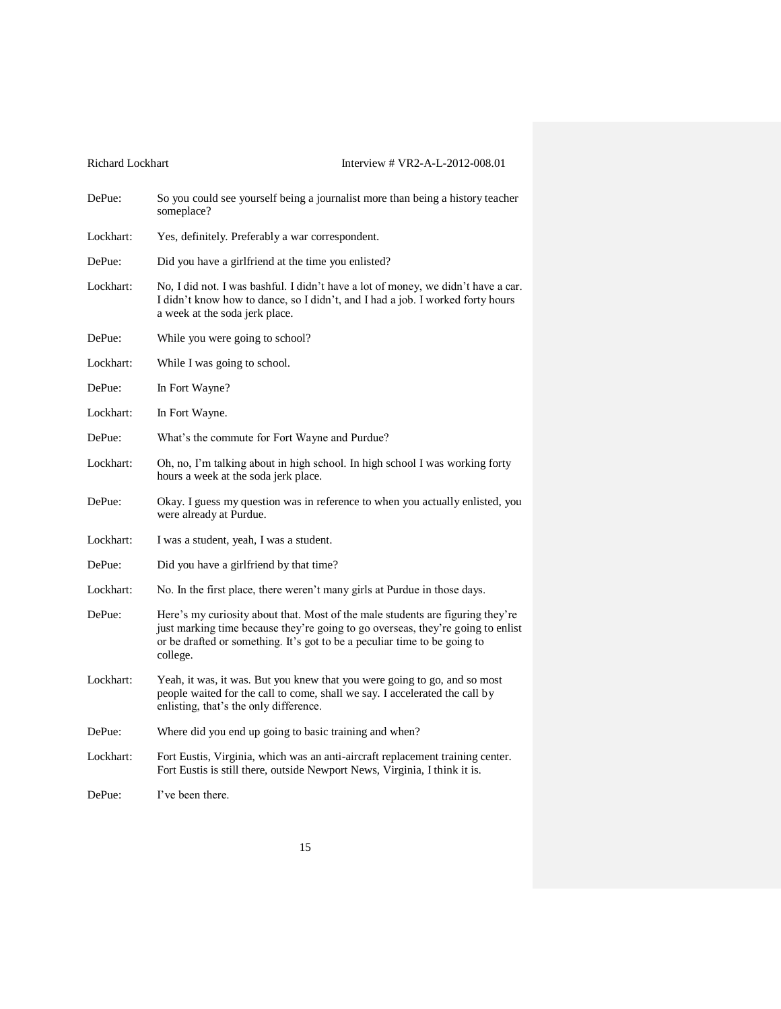| Richard Lockhart | Interview # VR2-A-L-2012-008.01                                                                                                                                                                                                                            |
|------------------|------------------------------------------------------------------------------------------------------------------------------------------------------------------------------------------------------------------------------------------------------------|
| DePue:           | So you could see yourself being a journalist more than being a history teacher<br>someplace?                                                                                                                                                               |
| Lockhart:        | Yes, definitely. Preferably a war correspondent.                                                                                                                                                                                                           |
| DePue:           | Did you have a girlfriend at the time you enlisted?                                                                                                                                                                                                        |
| Lockhart:        | No, I did not. I was bashful. I didn't have a lot of money, we didn't have a car.<br>I didn't know how to dance, so I didn't, and I had a job. I worked forty hours<br>a week at the soda jerk place.                                                      |
| DePue:           | While you were going to school?                                                                                                                                                                                                                            |
| Lockhart:        | While I was going to school.                                                                                                                                                                                                                               |
| DePue:           | In Fort Wayne?                                                                                                                                                                                                                                             |
| Lockhart:        | In Fort Wayne.                                                                                                                                                                                                                                             |
| DePue:           | What's the commute for Fort Wayne and Purdue?                                                                                                                                                                                                              |
| Lockhart:        | Oh, no, I'm talking about in high school. In high school I was working forty<br>hours a week at the soda jerk place.                                                                                                                                       |
| DePue:           | Okay. I guess my question was in reference to when you actually enlisted, you<br>were already at Purdue.                                                                                                                                                   |
| Lockhart:        | I was a student, yeah, I was a student.                                                                                                                                                                                                                    |
| DePue:           | Did you have a girlfriend by that time?                                                                                                                                                                                                                    |
| Lockhart:        | No. In the first place, there weren't many girls at Purdue in those days.                                                                                                                                                                                  |
| DePue:           | Here's my curiosity about that. Most of the male students are figuring they're<br>just marking time because they're going to go overseas, they're going to enlist<br>or be drafted or something. It's got to be a peculiar time to be going to<br>college. |
| Lockhart:        | Yeah, it was, it was. But you knew that you were going to go, and so most<br>people waited for the call to come, shall we say. I accelerated the call by<br>enlisting, that's the only difference.                                                         |
| DePue:           | Where did you end up going to basic training and when?                                                                                                                                                                                                     |
| Lockhart:        | Fort Eustis, Virginia, which was an anti-aircraft replacement training center.<br>Fort Eustis is still there, outside Newport News, Virginia, I think it is.                                                                                               |
| DePue:           | I've been there.                                                                                                                                                                                                                                           |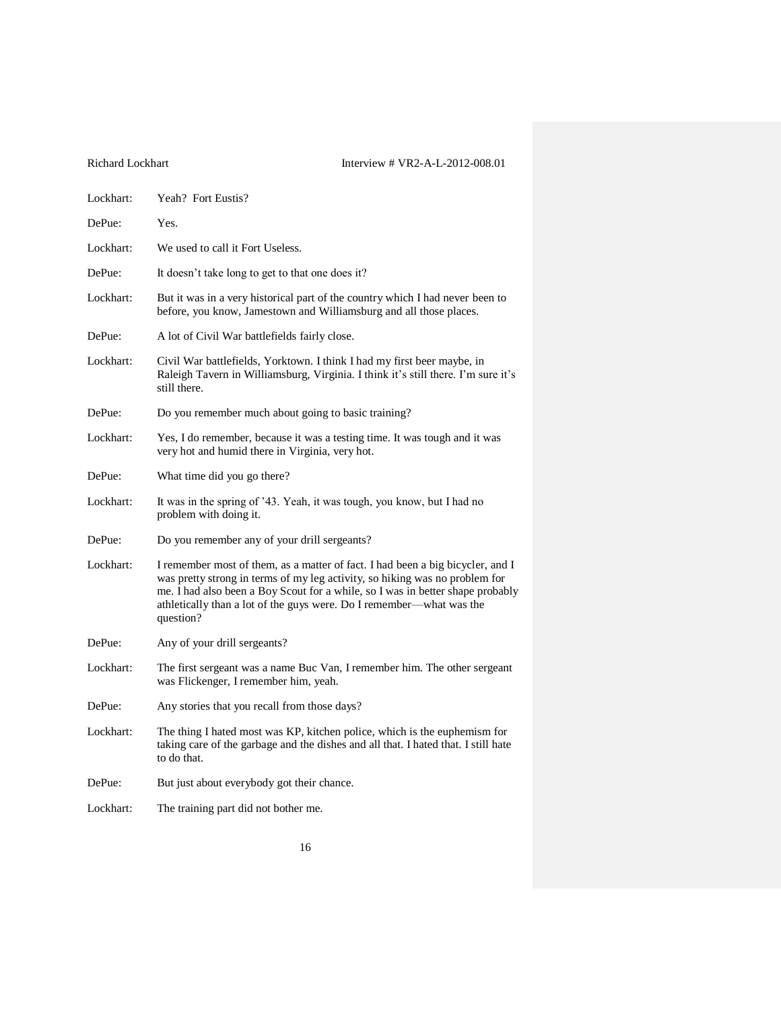| Lockhart: | Yeah? Fort Eustis?                                                                                                                                                                                                                                                                                                                   |
|-----------|--------------------------------------------------------------------------------------------------------------------------------------------------------------------------------------------------------------------------------------------------------------------------------------------------------------------------------------|
| DePue:    | Yes.                                                                                                                                                                                                                                                                                                                                 |
| Lockhart: | We used to call it Fort Useless.                                                                                                                                                                                                                                                                                                     |
| DePue:    | It doesn't take long to get to that one does it?                                                                                                                                                                                                                                                                                     |
| Lockhart: | But it was in a very historical part of the country which I had never been to<br>before, you know, Jamestown and Williamsburg and all those places.                                                                                                                                                                                  |
| DePue:    | A lot of Civil War battlefields fairly close.                                                                                                                                                                                                                                                                                        |
| Lockhart: | Civil War battlefields, Yorktown. I think I had my first beer maybe, in<br>Raleigh Tavern in Williamsburg, Virginia. I think it's still there. I'm sure it's<br>still there.                                                                                                                                                         |
| DePue:    | Do you remember much about going to basic training?                                                                                                                                                                                                                                                                                  |
| Lockhart: | Yes, I do remember, because it was a testing time. It was tough and it was<br>very hot and humid there in Virginia, very hot.                                                                                                                                                                                                        |
| DePue:    | What time did you go there?                                                                                                                                                                                                                                                                                                          |
| Lockhart: | It was in the spring of '43. Yeah, it was tough, you know, but I had no<br>problem with doing it.                                                                                                                                                                                                                                    |
| DePue:    | Do you remember any of your drill sergeants?                                                                                                                                                                                                                                                                                         |
| Lockhart: | I remember most of them, as a matter of fact. I had been a big bicycler, and I<br>was pretty strong in terms of my leg activity, so hiking was no problem for<br>me. I had also been a Boy Scout for a while, so I was in better shape probably<br>athletically than a lot of the guys were. Do I remember—what was the<br>question? |
| DePue:    | Any of your drill sergeants?                                                                                                                                                                                                                                                                                                         |
| Lockhart: | The first sergeant was a name Buc Van, I remember him. The other sergeant<br>was Flickenger, I remember him, yeah.                                                                                                                                                                                                                   |
| DePue:    | Any stories that you recall from those days?                                                                                                                                                                                                                                                                                         |
| Lockhart: | The thing I hated most was KP, kitchen police, which is the euphemism for<br>taking care of the garbage and the dishes and all that. I hated that. I still hate<br>to do that.                                                                                                                                                       |
| DePue:    | But just about everybody got their chance.                                                                                                                                                                                                                                                                                           |
| Lockhart: | The training part did not bother me.                                                                                                                                                                                                                                                                                                 |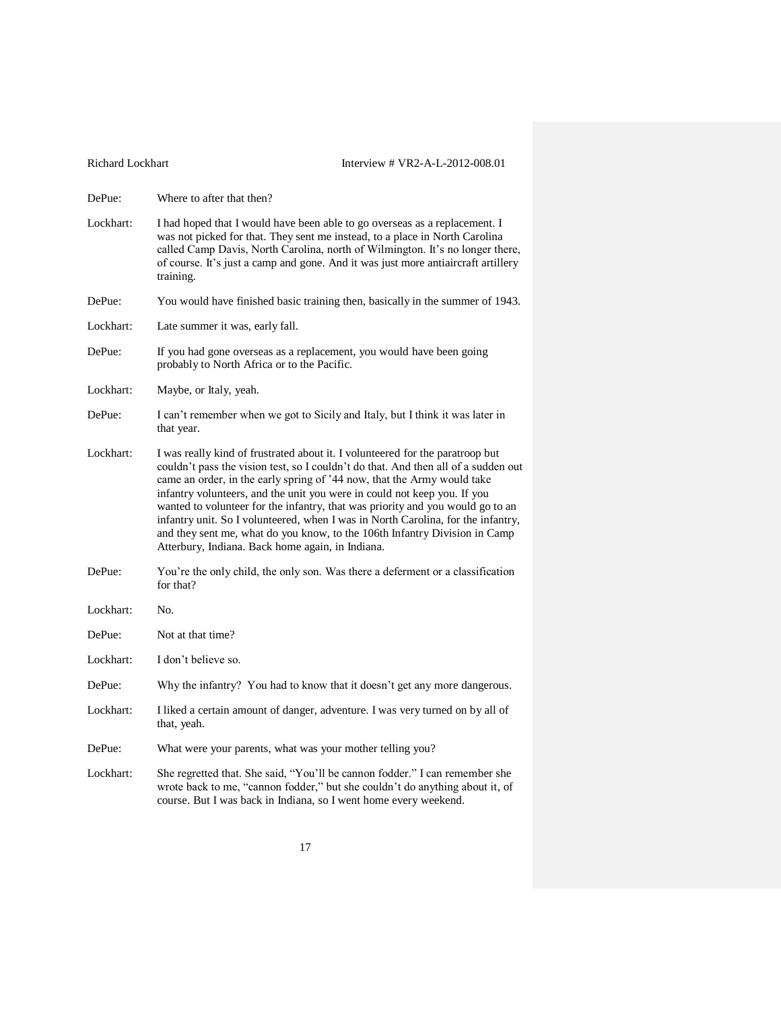| <b>Richard Lockhart</b> | Interview # $VR2-A-L-2012-008.01$                                                                                                                                                                                                                                                                                                                                                                                                                                                                                                                                                                                                  |
|-------------------------|------------------------------------------------------------------------------------------------------------------------------------------------------------------------------------------------------------------------------------------------------------------------------------------------------------------------------------------------------------------------------------------------------------------------------------------------------------------------------------------------------------------------------------------------------------------------------------------------------------------------------------|
| DePue:                  | Where to after that then?                                                                                                                                                                                                                                                                                                                                                                                                                                                                                                                                                                                                          |
| Lockhart:               | I had hoped that I would have been able to go overseas as a replacement. I<br>was not picked for that. They sent me instead, to a place in North Carolina<br>called Camp Davis, North Carolina, north of Wilmington. It's no longer there,<br>of course. It's just a camp and gone. And it was just more antiaircraft artillery<br>training.                                                                                                                                                                                                                                                                                       |
| DePue:                  | You would have finished basic training then, basically in the summer of 1943.                                                                                                                                                                                                                                                                                                                                                                                                                                                                                                                                                      |
| Lockhart:               | Late summer it was, early fall.                                                                                                                                                                                                                                                                                                                                                                                                                                                                                                                                                                                                    |
| DePue:                  | If you had gone overseas as a replacement, you would have been going<br>probably to North Africa or to the Pacific.                                                                                                                                                                                                                                                                                                                                                                                                                                                                                                                |
| Lockhart:               | Maybe, or Italy, yeah.                                                                                                                                                                                                                                                                                                                                                                                                                                                                                                                                                                                                             |
| DePue:                  | I can't remember when we got to Sicily and Italy, but I think it was later in<br>that year.                                                                                                                                                                                                                                                                                                                                                                                                                                                                                                                                        |
| Lockhart:               | I was really kind of frustrated about it. I volunteered for the paratroop but<br>couldn't pass the vision test, so I couldn't do that. And then all of a sudden out<br>came an order, in the early spring of '44 now, that the Army would take<br>infantry volunteers, and the unit you were in could not keep you. If you<br>wanted to volunteer for the infantry, that was priority and you would go to an<br>infantry unit. So I volunteered, when I was in North Carolina, for the infantry,<br>and they sent me, what do you know, to the 106th Infantry Division in Camp<br>Atterbury, Indiana. Back home again, in Indiana. |
| DePue:                  | You're the only child, the only son. Was there a deferment or a classification<br>for that?                                                                                                                                                                                                                                                                                                                                                                                                                                                                                                                                        |
| Lockhart:               | No.                                                                                                                                                                                                                                                                                                                                                                                                                                                                                                                                                                                                                                |
| DePue:                  | Not at that time?                                                                                                                                                                                                                                                                                                                                                                                                                                                                                                                                                                                                                  |
| Lockhart:               | I don't believe so.                                                                                                                                                                                                                                                                                                                                                                                                                                                                                                                                                                                                                |
| DePue:                  | Why the infantry? You had to know that it doesn't get any more dangerous.                                                                                                                                                                                                                                                                                                                                                                                                                                                                                                                                                          |
| Lockhart:               | I liked a certain amount of danger, adventure. I was very turned on by all of<br>that, yeah.                                                                                                                                                                                                                                                                                                                                                                                                                                                                                                                                       |
| DePue:                  | What were your parents, what was your mother telling you?                                                                                                                                                                                                                                                                                                                                                                                                                                                                                                                                                                          |
| Lockhart:               | She regretted that. She said, "You'll be cannon fodder." I can remember she<br>wrote back to me, "cannon fodder," but she couldn't do anything about it, of<br>course. But I was back in Indiana, so I went home every weekend.                                                                                                                                                                                                                                                                                                                                                                                                    |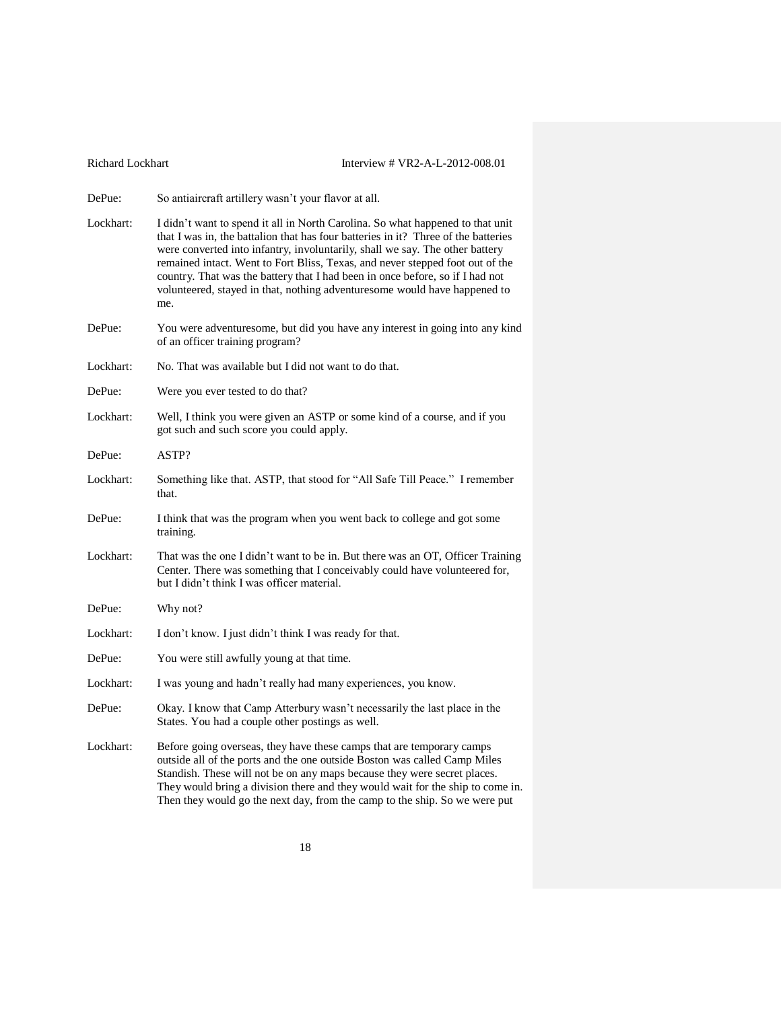| Richard Lockhart | Interview # VR2-A-L-2012-008.01                                                                                                                                                                                                                                                                                                                                                                                                                                                                            |
|------------------|------------------------------------------------------------------------------------------------------------------------------------------------------------------------------------------------------------------------------------------------------------------------------------------------------------------------------------------------------------------------------------------------------------------------------------------------------------------------------------------------------------|
| DePue:           | So antiaircraft artillery wasn't your flavor at all.                                                                                                                                                                                                                                                                                                                                                                                                                                                       |
| Lockhart:        | I didn't want to spend it all in North Carolina. So what happened to that unit<br>that I was in, the battalion that has four batteries in it? Three of the batteries<br>were converted into infantry, involuntarily, shall we say. The other battery<br>remained intact. Went to Fort Bliss, Texas, and never stepped foot out of the<br>country. That was the battery that I had been in once before, so if I had not<br>volunteered, stayed in that, nothing adventuresome would have happened to<br>me. |
| DePue:           | You were adventuresome, but did you have any interest in going into any kind<br>of an officer training program?                                                                                                                                                                                                                                                                                                                                                                                            |
| Lockhart:        | No. That was available but I did not want to do that.                                                                                                                                                                                                                                                                                                                                                                                                                                                      |
| DePue:           | Were you ever tested to do that?                                                                                                                                                                                                                                                                                                                                                                                                                                                                           |
| Lockhart:        | Well, I think you were given an ASTP or some kind of a course, and if you<br>got such and such score you could apply.                                                                                                                                                                                                                                                                                                                                                                                      |
| DePue:           | ASTP?                                                                                                                                                                                                                                                                                                                                                                                                                                                                                                      |
| Lockhart:        | Something like that. ASTP, that stood for "All Safe Till Peace." I remember<br>that.                                                                                                                                                                                                                                                                                                                                                                                                                       |
| DePue:           | I think that was the program when you went back to college and got some<br>training.                                                                                                                                                                                                                                                                                                                                                                                                                       |
| Lockhart:        | That was the one I didn't want to be in. But there was an OT, Officer Training<br>Center. There was something that I conceivably could have volunteered for,<br>but I didn't think I was officer material.                                                                                                                                                                                                                                                                                                 |
| DePue:           | Why not?                                                                                                                                                                                                                                                                                                                                                                                                                                                                                                   |
| Lockhart:        | I don't know. I just didn't think I was ready for that.                                                                                                                                                                                                                                                                                                                                                                                                                                                    |
| DePue:           | You were still awfully young at that time.                                                                                                                                                                                                                                                                                                                                                                                                                                                                 |
| Lockhart:        | I was young and hadn't really had many experiences, you know.                                                                                                                                                                                                                                                                                                                                                                                                                                              |
| DePue:           | Okay. I know that Camp Atterbury wasn't necessarily the last place in the<br>States. You had a couple other postings as well.                                                                                                                                                                                                                                                                                                                                                                              |
| Lockhart:        | Before going overseas, they have these camps that are temporary camps<br>outside all of the ports and the one outside Boston was called Camp Miles<br>Standish. These will not be on any maps because they were secret places.<br>They would bring a division there and they would wait for the ship to come in.<br>Then they would go the next day, from the camp to the ship. So we were put                                                                                                             |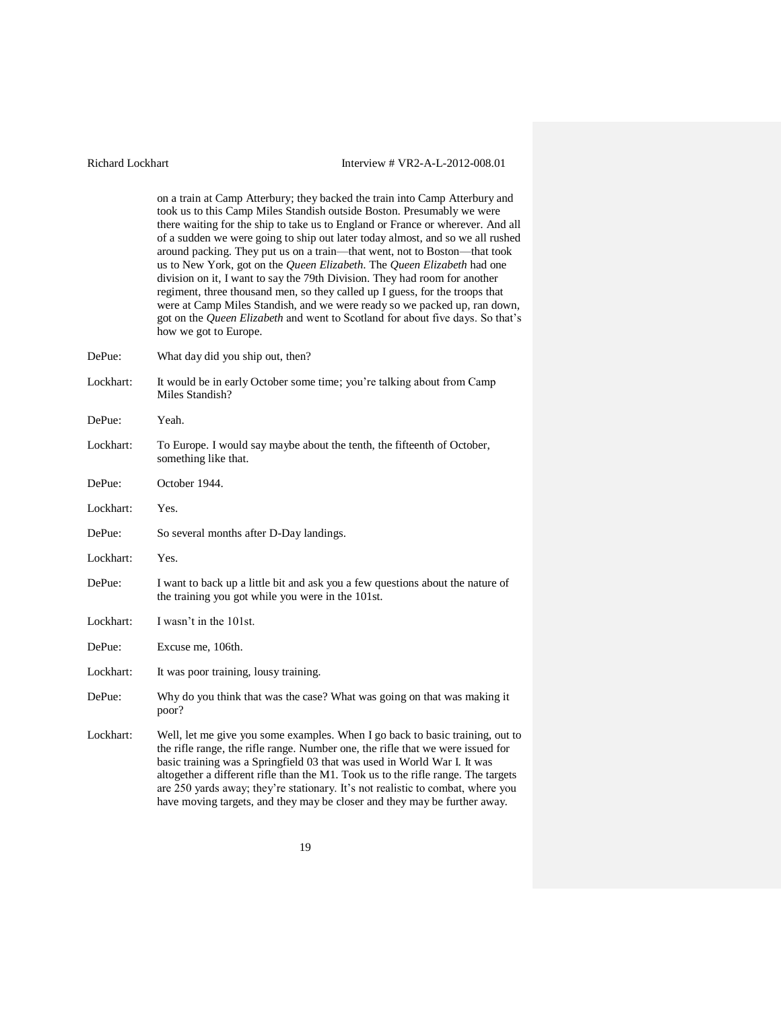on a train at Camp Atterbury; they backed the train into Camp Atterbury and

took us to this Camp Miles Standish outside Boston. Presumably we were there waiting for the ship to take us to England or France or wherever. And all of a sudden we were going to ship out later today almost, and so we all rushed around packing. They put us on a train—that went, not to Boston—that took us to New York, got on the *Queen Elizabeth*. The *Queen Elizabeth* had one division on it, I want to say the 79th Division. They had room for another regiment, three thousand men, so they called up I guess, for the troops that were at Camp Miles Standish, and we were ready so we packed up, ran down, got on the *Queen Elizabeth* and went to Scotland for about five days. So that's how we got to Europe. DePue: What day did you ship out, then? Lockhart: It would be in early October some time; you're talking about from Camp Miles Standish? DePue: Yeah. Lockhart: To Europe. I would say maybe about the tenth, the fifteenth of October, something like that. DePue: October 1944. Lockhart: Yes. DePue: So several months after D-Day landings. Lockhart: Yes. DePue: I want to back up a little bit and ask you a few questions about the nature of the training you got while you were in the 101st. Lockhart: I wasn't in the 101st. DePue: Excuse me, 106th. Lockhart: It was poor training, lousy training. DePue: Why do you think that was the case? What was going on that was making it poor? Lockhart: Well, let me give you some examples. When I go back to basic training, out to the rifle range, the rifle range. Number one, the rifle that we were issued for basic training was a Springfield 03 that was used in World War I. It was altogether a different rifle than the M1. Took us to the rifle range. The targets are 250 yards away; they're stationary. It's not realistic to combat, where you have moving targets, and they may be closer and they may be further away.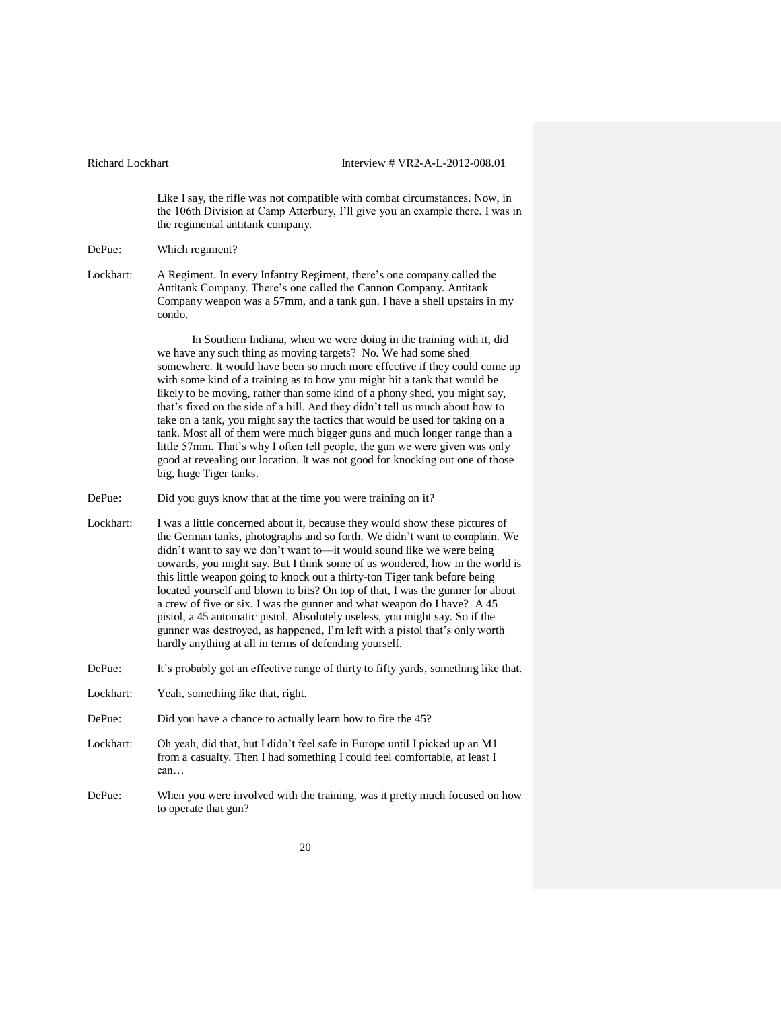Like I say, the rifle was not compatible with combat circumstances. Now, in the 106th Division at Camp Atterbury, I'll give you an example there. I was in the regimental antitank company.

### DePue: Which regiment?

Lockhart: A Regiment. In every Infantry Regiment, there's one company called the Antitank Company. There's one called the Cannon Company. Antitank Company weapon was a 57mm, and a tank gun. I have a shell upstairs in my condo.

> In Southern Indiana, when we were doing in the training with it, did we have any such thing as moving targets? No. We had some shed somewhere. It would have been so much more effective if they could come up with some kind of a training as to how you might hit a tank that would be likely to be moving, rather than some kind of a phony shed, you might say, that's fixed on the side of a hill. And they didn't tell us much about how to take on a tank, you might say the tactics that would be used for taking on a tank. Most all of them were much bigger guns and much longer range than a little 57mm. That's why I often tell people, the gun we were given was only good at revealing our location. It was not good for knocking out one of those big, huge Tiger tanks.

- DePue: Did you guys know that at the time you were training on it?
- Lockhart: I was a little concerned about it, because they would show these pictures of the German tanks, photographs and so forth. We didn't want to complain. We didn't want to say we don't want to—it would sound like we were being cowards, you might say. But I think some of us wondered, how in the world is this little weapon going to knock out a thirty-ton Tiger tank before being located yourself and blown to bits? On top of that, I was the gunner for about a crew of five or six. I was the gunner and what weapon do I have? A 45 pistol, a 45 automatic pistol. Absolutely useless, you might say. So if the gunner was destroyed, as happened, I'm left with a pistol that's only worth hardly anything at all in terms of defending yourself.
- DePue: It's probably got an effective range of thirty to fifty yards, something like that.
- Lockhart: Yeah, something like that, right.
- DePue: Did you have a chance to actually learn how to fire the 45?
- Lockhart: Oh yeah, did that, but I didn't feel safe in Europe until I picked up an M1 from a casualty. Then I had something I could feel comfortable, at least I can…
- DePue: When you were involved with the training, was it pretty much focused on how to operate that gun?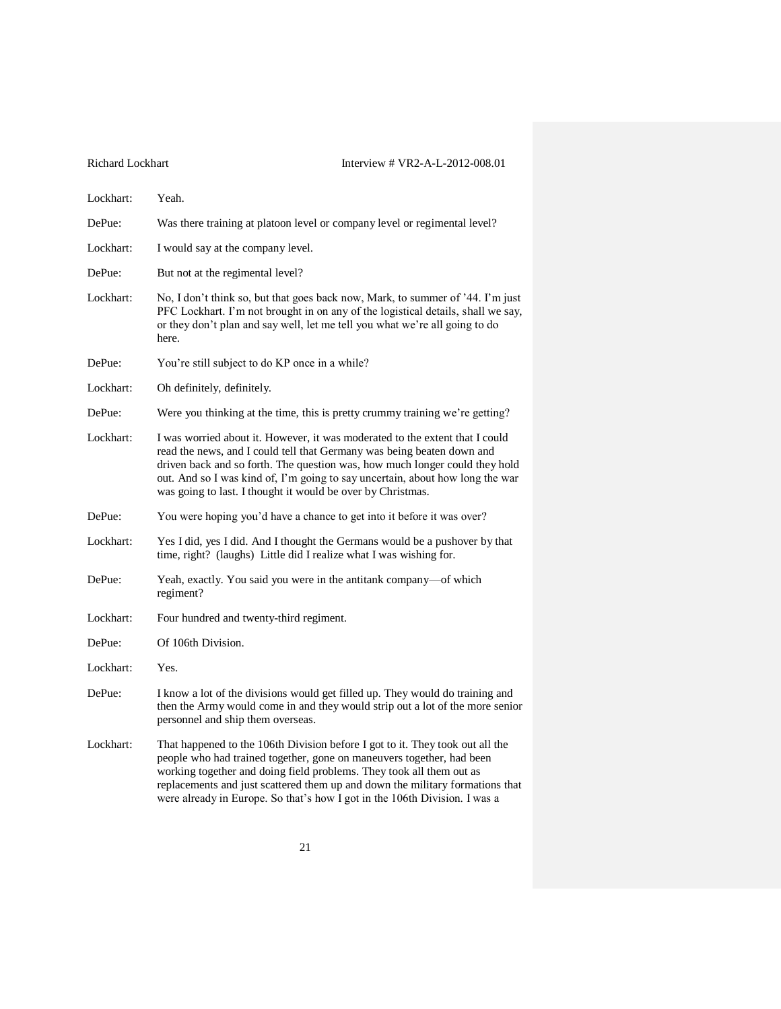| Lockhart: | Yeah.                                                                                                                                                                                                                                                                                                                                                                                         |
|-----------|-----------------------------------------------------------------------------------------------------------------------------------------------------------------------------------------------------------------------------------------------------------------------------------------------------------------------------------------------------------------------------------------------|
| DePue:    | Was there training at platoon level or company level or regimental level?                                                                                                                                                                                                                                                                                                                     |
| Lockhart: | I would say at the company level.                                                                                                                                                                                                                                                                                                                                                             |
| DePue:    | But not at the regimental level?                                                                                                                                                                                                                                                                                                                                                              |
| Lockhart: | No, I don't think so, but that goes back now, Mark, to summer of '44. I'm just<br>PFC Lockhart. I'm not brought in on any of the logistical details, shall we say,<br>or they don't plan and say well, let me tell you what we're all going to do<br>here.                                                                                                                                    |
| DePue:    | You're still subject to do KP once in a while?                                                                                                                                                                                                                                                                                                                                                |
| Lockhart: | Oh definitely, definitely.                                                                                                                                                                                                                                                                                                                                                                    |
| DePue:    | Were you thinking at the time, this is pretty crummy training we're getting?                                                                                                                                                                                                                                                                                                                  |
| Lockhart: | I was worried about it. However, it was moderated to the extent that I could<br>read the news, and I could tell that Germany was being beaten down and<br>driven back and so forth. The question was, how much longer could they hold<br>out. And so I was kind of, I'm going to say uncertain, about how long the war<br>was going to last. I thought it would be over by Christmas.         |
| DePue:    | You were hoping you'd have a chance to get into it before it was over?                                                                                                                                                                                                                                                                                                                        |
| Lockhart: | Yes I did, yes I did. And I thought the Germans would be a pushover by that<br>time, right? (laughs) Little did I realize what I was wishing for.                                                                                                                                                                                                                                             |
| DePue:    | Yeah, exactly. You said you were in the antitank company-of which<br>regiment?                                                                                                                                                                                                                                                                                                                |
| Lockhart: | Four hundred and twenty-third regiment.                                                                                                                                                                                                                                                                                                                                                       |
| DePue:    | Of 106th Division.                                                                                                                                                                                                                                                                                                                                                                            |
| Lockhart: | Yes.                                                                                                                                                                                                                                                                                                                                                                                          |
| DePue:    | I know a lot of the divisions would get filled up. They would do training and<br>then the Army would come in and they would strip out a lot of the more senior<br>personnel and ship them overseas.                                                                                                                                                                                           |
| Lockhart: | That happened to the 106th Division before I got to it. They took out all the<br>people who had trained together, gone on maneuvers together, had been<br>working together and doing field problems. They took all them out as<br>replacements and just scattered them up and down the military formations that<br>were already in Europe. So that's how I got in the 106th Division. I was a |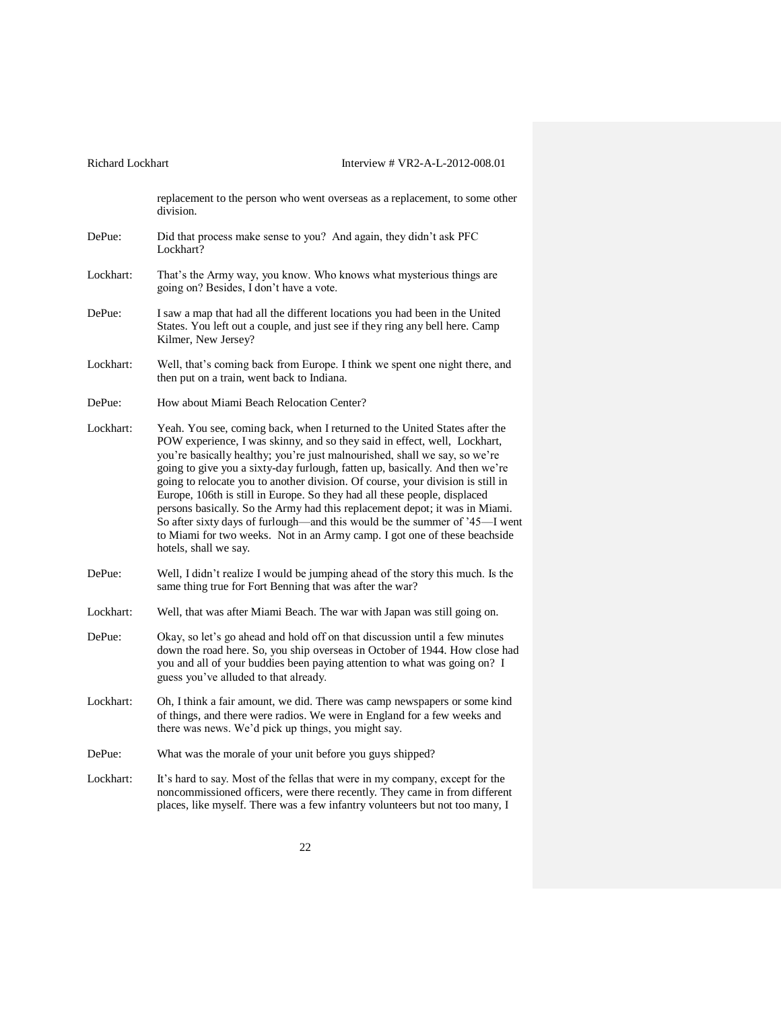| Richard Lockhart | Interview # VR2-A-L-2012-008.01                                                                                                                                                                                                                                                                                                                                                                                                                                                                                                                                                                                                                                                                                                                          |
|------------------|----------------------------------------------------------------------------------------------------------------------------------------------------------------------------------------------------------------------------------------------------------------------------------------------------------------------------------------------------------------------------------------------------------------------------------------------------------------------------------------------------------------------------------------------------------------------------------------------------------------------------------------------------------------------------------------------------------------------------------------------------------|
|                  | replacement to the person who went overseas as a replacement, to some other<br>division.                                                                                                                                                                                                                                                                                                                                                                                                                                                                                                                                                                                                                                                                 |
| DePue:           | Did that process make sense to you? And again, they didn't ask PFC<br>Lockhart?                                                                                                                                                                                                                                                                                                                                                                                                                                                                                                                                                                                                                                                                          |
| Lockhart:        | That's the Army way, you know. Who knows what mysterious things are<br>going on? Besides, I don't have a vote.                                                                                                                                                                                                                                                                                                                                                                                                                                                                                                                                                                                                                                           |
| DePue:           | I saw a map that had all the different locations you had been in the United<br>States. You left out a couple, and just see if they ring any bell here. Camp<br>Kilmer, New Jersey?                                                                                                                                                                                                                                                                                                                                                                                                                                                                                                                                                                       |
| Lockhart:        | Well, that's coming back from Europe. I think we spent one night there, and<br>then put on a train, went back to Indiana.                                                                                                                                                                                                                                                                                                                                                                                                                                                                                                                                                                                                                                |
| DePue:           | How about Miami Beach Relocation Center?                                                                                                                                                                                                                                                                                                                                                                                                                                                                                                                                                                                                                                                                                                                 |
| Lockhart:        | Yeah. You see, coming back, when I returned to the United States after the<br>POW experience, I was skinny, and so they said in effect, well, Lockhart,<br>you're basically healthy; you're just malnourished, shall we say, so we're<br>going to give you a sixty-day furlough, fatten up, basically. And then we're<br>going to relocate you to another division. Of course, your division is still in<br>Europe, 106th is still in Europe. So they had all these people, displaced<br>persons basically. So the Army had this replacement depot; it was in Miami.<br>So after sixty days of furlough—and this would be the summer of '45—I went<br>to Miami for two weeks. Not in an Army camp. I got one of these beachside<br>hotels, shall we say. |
| DePue:           | Well, I didn't realize I would be jumping ahead of the story this much. Is the<br>same thing true for Fort Benning that was after the war?                                                                                                                                                                                                                                                                                                                                                                                                                                                                                                                                                                                                               |
| Lockhart:        | Well, that was after Miami Beach. The war with Japan was still going on.                                                                                                                                                                                                                                                                                                                                                                                                                                                                                                                                                                                                                                                                                 |
| DePue:           | Okay, so let's go ahead and hold off on that discussion until a few minutes<br>down the road here. So, you ship overseas in October of 1944. How close had<br>you and all of your buddies been paying attention to what was going on? I<br>guess you've alluded to that already.                                                                                                                                                                                                                                                                                                                                                                                                                                                                         |
| Lockhart:        | Oh, I think a fair amount, we did. There was camp newspapers or some kind<br>of things, and there were radios. We were in England for a few weeks and<br>there was news. We'd pick up things, you might say.                                                                                                                                                                                                                                                                                                                                                                                                                                                                                                                                             |
| DePue:           | What was the morale of your unit before you guys shipped?                                                                                                                                                                                                                                                                                                                                                                                                                                                                                                                                                                                                                                                                                                |
| Lockhart:        | It's hard to say. Most of the fellas that were in my company, except for the<br>noncommissioned officers, were there recently. They came in from different<br>places, like myself. There was a few infantry volunteers but not too many, I                                                                                                                                                                                                                                                                                                                                                                                                                                                                                                               |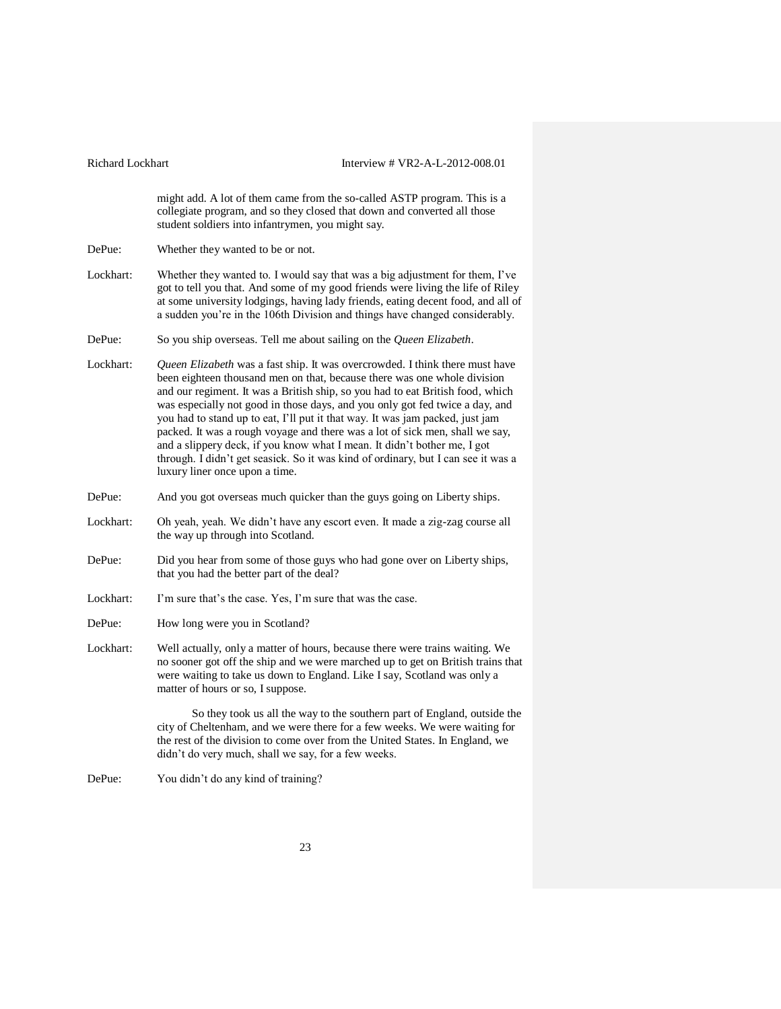might add. A lot of them came from the so-called ASTP program. This is a collegiate program, and so they closed that down and converted all those student soldiers into infantrymen, you might say.

DePue: Whether they wanted to be or not.

- Lockhart: Whether they wanted to. I would say that was a big adjustment for them, I've got to tell you that. And some of my good friends were living the life of Riley at some university lodgings, having lady friends, eating decent food, and all of a sudden you're in the 106th Division and things have changed considerably.
- DePue: So you ship overseas. Tell me about sailing on the *Queen Elizabeth*.
- Lockhart: *Queen Elizabeth* was a fast ship. It was overcrowded. I think there must have been eighteen thousand men on that, because there was one whole division and our regiment. It was a British ship, so you had to eat British food, which was especially not good in those days, and you only got fed twice a day, and you had to stand up to eat, I'll put it that way. It was jam packed, just jam packed. It was a rough voyage and there was a lot of sick men, shall we say, and a slippery deck, if you know what I mean. It didn't bother me, I got through. I didn't get seasick. So it was kind of ordinary, but I can see it was a luxury liner once upon a time.
- DePue: And you got overseas much quicker than the guys going on Liberty ships.
- Lockhart: Oh yeah, yeah. We didn't have any escort even. It made a zig-zag course all the way up through into Scotland.
- DePue: Did you hear from some of those guys who had gone over on Liberty ships, that you had the better part of the deal?
- Lockhart: I'm sure that's the case. Yes, I'm sure that was the case.

DePue: How long were you in Scotland?

Lockhart: Well actually, only a matter of hours, because there were trains waiting. We no sooner got off the ship and we were marched up to get on British trains that were waiting to take us down to England. Like I say, Scotland was only a matter of hours or so, I suppose.

> So they took us all the way to the southern part of England, outside the city of Cheltenham, and we were there for a few weeks. We were waiting for the rest of the division to come over from the United States. In England, we didn't do very much, shall we say, for a few weeks.

DePue: You didn't do any kind of training?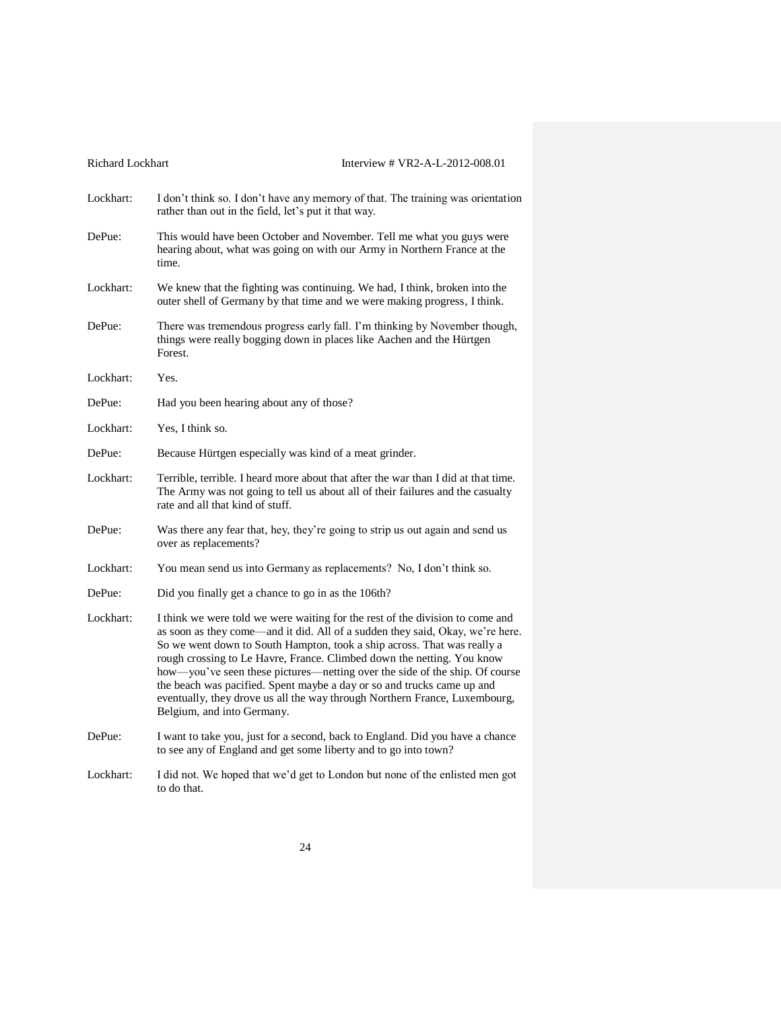| <b>Richard Lockhart</b> |                                                                                                                                                                                                                                                                                                                                                                                                                                                                                                                                                                                          | Interview # VR2-A-L-2012-008.01 |
|-------------------------|------------------------------------------------------------------------------------------------------------------------------------------------------------------------------------------------------------------------------------------------------------------------------------------------------------------------------------------------------------------------------------------------------------------------------------------------------------------------------------------------------------------------------------------------------------------------------------------|---------------------------------|
| Lockhart:               | I don't think so. I don't have any memory of that. The training was orientation<br>rather than out in the field, let's put it that way.                                                                                                                                                                                                                                                                                                                                                                                                                                                  |                                 |
| DePue:                  | This would have been October and November. Tell me what you guys were<br>hearing about, what was going on with our Army in Northern France at the<br>time.                                                                                                                                                                                                                                                                                                                                                                                                                               |                                 |
| Lockhart:               | We knew that the fighting was continuing. We had, I think, broken into the<br>outer shell of Germany by that time and we were making progress, I think.                                                                                                                                                                                                                                                                                                                                                                                                                                  |                                 |
| DePue:                  | There was tremendous progress early fall. I'm thinking by November though,<br>things were really bogging down in places like Aachen and the Hürtgen<br>Forest.                                                                                                                                                                                                                                                                                                                                                                                                                           |                                 |
| Lockhart:               | Yes.                                                                                                                                                                                                                                                                                                                                                                                                                                                                                                                                                                                     |                                 |
| DePue:                  | Had you been hearing about any of those?                                                                                                                                                                                                                                                                                                                                                                                                                                                                                                                                                 |                                 |
| Lockhart:               | Yes, I think so.                                                                                                                                                                                                                                                                                                                                                                                                                                                                                                                                                                         |                                 |
| DePue:                  | Because Hürtgen especially was kind of a meat grinder.                                                                                                                                                                                                                                                                                                                                                                                                                                                                                                                                   |                                 |
| Lockhart:               | Terrible, terrible. I heard more about that after the war than I did at that time.<br>The Army was not going to tell us about all of their failures and the casualty<br>rate and all that kind of stuff.                                                                                                                                                                                                                                                                                                                                                                                 |                                 |
| DePue:                  | Was there any fear that, hey, they're going to strip us out again and send us<br>over as replacements?                                                                                                                                                                                                                                                                                                                                                                                                                                                                                   |                                 |
| Lockhart:               | You mean send us into Germany as replacements? No, I don't think so.                                                                                                                                                                                                                                                                                                                                                                                                                                                                                                                     |                                 |
| DePue:                  | Did you finally get a chance to go in as the 106th?                                                                                                                                                                                                                                                                                                                                                                                                                                                                                                                                      |                                 |
| Lockhart:               | I think we were told we were waiting for the rest of the division to come and<br>as soon as they come—and it did. All of a sudden they said, Okay, we're here.<br>So we went down to South Hampton, took a ship across. That was really a<br>rough crossing to Le Havre, France. Climbed down the netting. You know<br>how—you've seen these pictures—netting over the side of the ship. Of course<br>the beach was pacified. Spent maybe a day or so and trucks came up and<br>eventually, they drove us all the way through Northern France, Luxembourg,<br>Belgium, and into Germany. |                                 |
| DePue:                  | I want to take you, just for a second, back to England. Did you have a chance<br>to see any of England and get some liberty and to go into town?                                                                                                                                                                                                                                                                                                                                                                                                                                         |                                 |
| Lockhart:               | I did not. We hoped that we'd get to London but none of the enlisted men got<br>to do that.                                                                                                                                                                                                                                                                                                                                                                                                                                                                                              |                                 |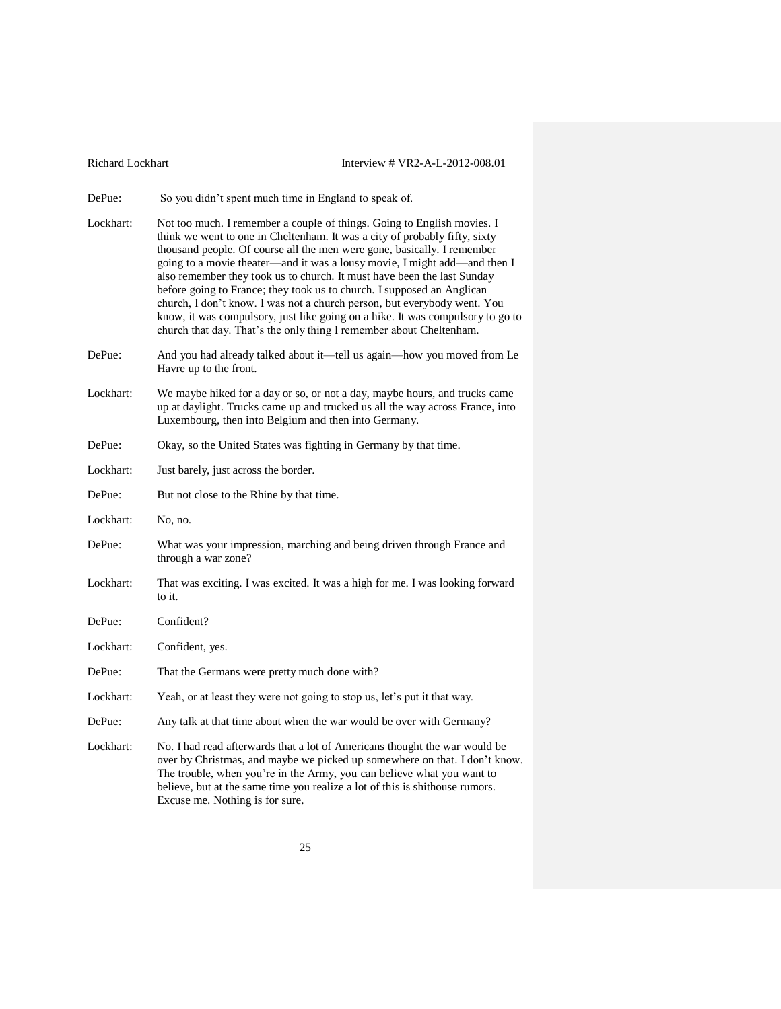| Richard Lockhart |  |  |  |
|------------------|--|--|--|
|------------------|--|--|--|

### Interview # VR2-A-L-2012-008.01

DePue: So you didn't spent much time in England to speak of.

- Lockhart: Not too much. I remember a couple of things. Going to English movies. I think we went to one in Cheltenham. It was a city of probably fifty, sixty thousand people. Of course all the men were gone, basically. I remember going to a movie theater—and it was a lousy movie, I might add—and then I also remember they took us to church. It must have been the last Sunday before going to France; they took us to church. I supposed an Anglican church, I don't know. I was not a church person, but everybody went. You know, it was compulsory, just like going on a hike. It was compulsory to go to church that day. That's the only thing I remember about Cheltenham.
- DePue: And you had already talked about it—tell us again—how you moved from Le Havre up to the front.
- Lockhart: We maybe hiked for a day or so, or not a day, maybe hours, and trucks came up at daylight. Trucks came up and trucked us all the way across France, into Luxembourg, then into Belgium and then into Germany.
- DePue: Okay, so the United States was fighting in Germany by that time.
- Lockhart: Just barely, just across the border.
- DePue: But not close to the Rhine by that time.
- Lockhart: No, no.
- DePue: What was your impression, marching and being driven through France and through a war zone?
- Lockhart: That was exciting. I was excited. It was a high for me. I was looking forward to it.
- DePue: Confident?
- Lockhart: Confident, yes.
- DePue: That the Germans were pretty much done with?
- Lockhart: Yeah, or at least they were not going to stop us, let's put it that way.
- DePue: Any talk at that time about when the war would be over with Germany?
- Lockhart: No. I had read afterwards that a lot of Americans thought the war would be over by Christmas, and maybe we picked up somewhere on that. I don't know. The trouble, when you're in the Army, you can believe what you want to believe, but at the same time you realize a lot of this is shithouse rumors. Excuse me. Nothing is for sure.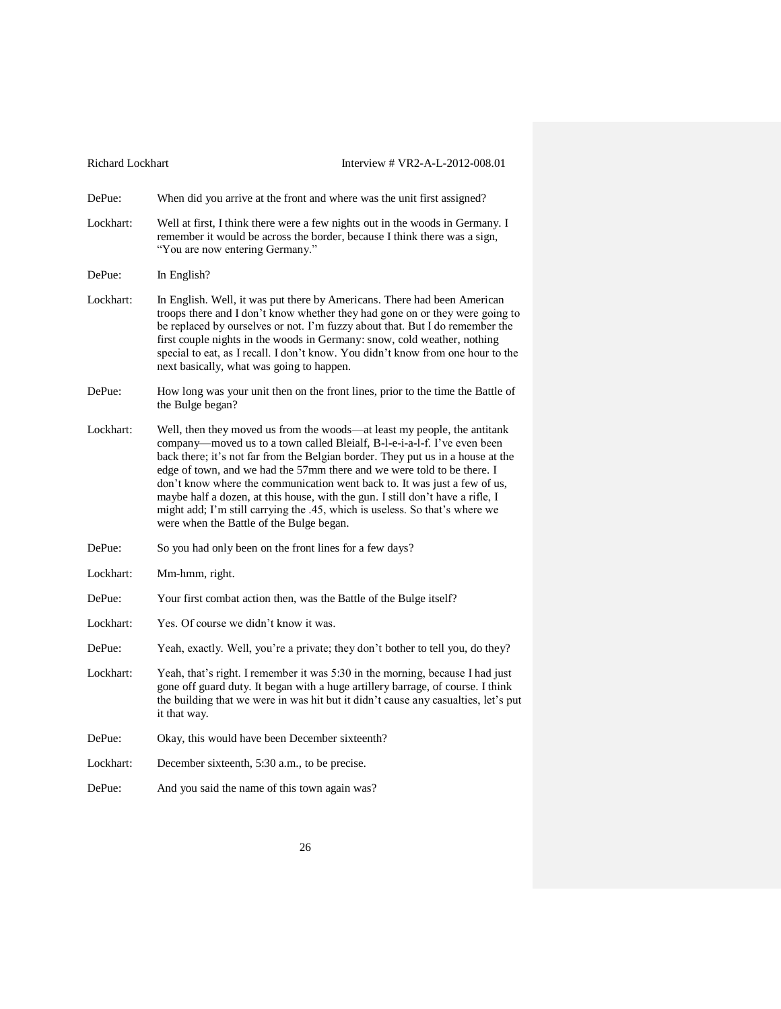| Richard Lockhart | Interview # VR2-A-L-2012-008.01                                                                                                                                                                                                                                                                                                                                                                                                                                                                                                                                                                              |
|------------------|--------------------------------------------------------------------------------------------------------------------------------------------------------------------------------------------------------------------------------------------------------------------------------------------------------------------------------------------------------------------------------------------------------------------------------------------------------------------------------------------------------------------------------------------------------------------------------------------------------------|
| DePue:           | When did you arrive at the front and where was the unit first assigned?                                                                                                                                                                                                                                                                                                                                                                                                                                                                                                                                      |
| Lockhart:        | Well at first, I think there were a few nights out in the woods in Germany. I<br>remember it would be across the border, because I think there was a sign,<br>"You are now entering Germany."                                                                                                                                                                                                                                                                                                                                                                                                                |
| DePue:           | In English?                                                                                                                                                                                                                                                                                                                                                                                                                                                                                                                                                                                                  |
| Lockhart:        | In English. Well, it was put there by Americans. There had been American<br>troops there and I don't know whether they had gone on or they were going to<br>be replaced by ourselves or not. I'm fuzzy about that. But I do remember the<br>first couple nights in the woods in Germany: snow, cold weather, nothing<br>special to eat, as I recall. I don't know. You didn't know from one hour to the<br>next basically, what was going to happen.                                                                                                                                                         |
| DePue:           | How long was your unit then on the front lines, prior to the time the Battle of<br>the Bulge began?                                                                                                                                                                                                                                                                                                                                                                                                                                                                                                          |
| Lockhart:        | Well, then they moved us from the woods-at least my people, the antitank<br>company-moved us to a town called Bleialf, B-l-e-i-a-l-f. I've even been<br>back there; it's not far from the Belgian border. They put us in a house at the<br>edge of town, and we had the 57mm there and we were told to be there. I<br>don't know where the communication went back to. It was just a few of us,<br>maybe half a dozen, at this house, with the gun. I still don't have a rifle, I<br>might add; I'm still carrying the .45, which is useless. So that's where we<br>were when the Battle of the Bulge began. |
| DePue:           | So you had only been on the front lines for a few days?                                                                                                                                                                                                                                                                                                                                                                                                                                                                                                                                                      |
| Lockhart:        | Mm-hmm, right.                                                                                                                                                                                                                                                                                                                                                                                                                                                                                                                                                                                               |
| DePue:           | Your first combat action then, was the Battle of the Bulge itself?                                                                                                                                                                                                                                                                                                                                                                                                                                                                                                                                           |
| Lockhart:        | Yes. Of course we didn't know it was.                                                                                                                                                                                                                                                                                                                                                                                                                                                                                                                                                                        |
| DePue:           | Yeah, exactly. Well, you're a private; they don't bother to tell you, do they?                                                                                                                                                                                                                                                                                                                                                                                                                                                                                                                               |
| Lockhart:        | Yeah, that's right. I remember it was 5:30 in the morning, because I had just<br>gone off guard duty. It began with a huge artillery barrage, of course. I think<br>the building that we were in was hit but it didn't cause any casualties, let's put<br>it that way.                                                                                                                                                                                                                                                                                                                                       |
| DePue:           | Okay, this would have been December sixteenth?                                                                                                                                                                                                                                                                                                                                                                                                                                                                                                                                                               |
| Lockhart:        | December sixteenth, 5:30 a.m., to be precise.                                                                                                                                                                                                                                                                                                                                                                                                                                                                                                                                                                |
| DePue:           | And you said the name of this town again was?                                                                                                                                                                                                                                                                                                                                                                                                                                                                                                                                                                |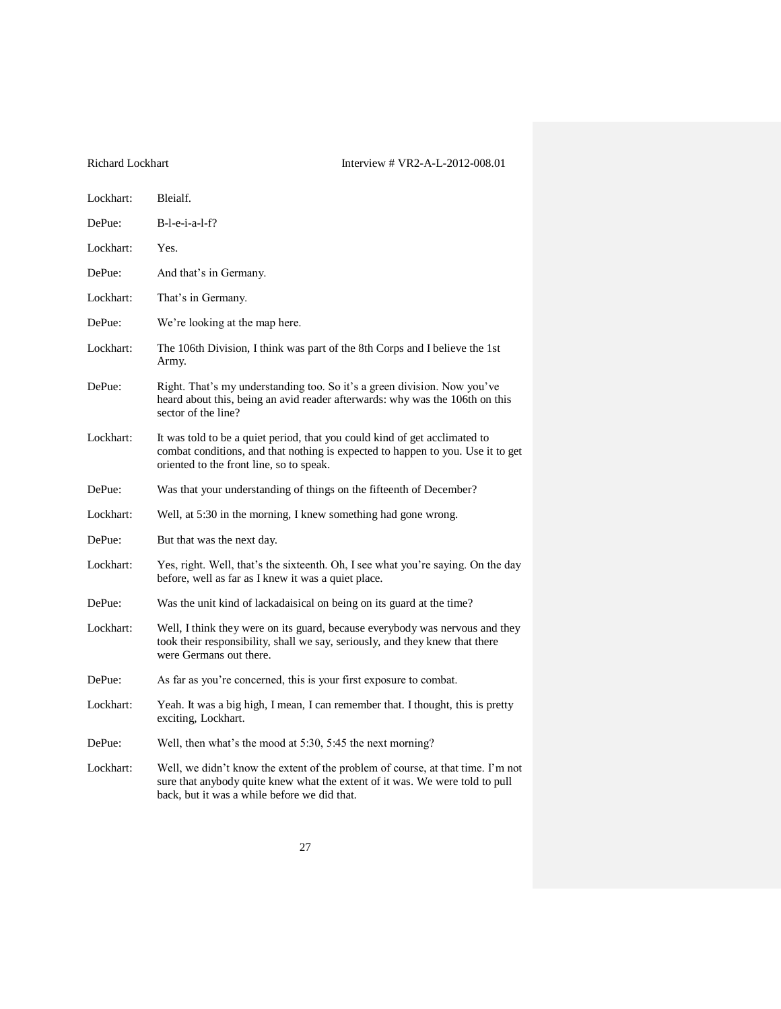| Lockhart: | Bleialf.                                                                                                                                                                                                        |
|-----------|-----------------------------------------------------------------------------------------------------------------------------------------------------------------------------------------------------------------|
| DePue:    | $B-l-e-i-a-l-f?$                                                                                                                                                                                                |
| Lockhart: | Yes.                                                                                                                                                                                                            |
| DePue:    | And that's in Germany.                                                                                                                                                                                          |
| Lockhart: | That's in Germany.                                                                                                                                                                                              |
| DePue:    | We're looking at the map here.                                                                                                                                                                                  |
| Lockhart: | The 106th Division, I think was part of the 8th Corps and I believe the 1st<br>Army.                                                                                                                            |
| DePue:    | Right. That's my understanding too. So it's a green division. Now you've<br>heard about this, being an avid reader afterwards: why was the 106th on this<br>sector of the line?                                 |
| Lockhart: | It was told to be a quiet period, that you could kind of get acclimated to<br>combat conditions, and that nothing is expected to happen to you. Use it to get<br>oriented to the front line, so to speak.       |
| DePue:    | Was that your understanding of things on the fifteenth of December?                                                                                                                                             |
| Lockhart: | Well, at 5:30 in the morning, I knew something had gone wrong.                                                                                                                                                  |
| DePue:    | But that was the next day.                                                                                                                                                                                      |
| Lockhart: | Yes, right. Well, that's the sixteenth. Oh, I see what you're saying. On the day<br>before, well as far as I knew it was a quiet place.                                                                         |
| DePue:    | Was the unit kind of lackadaisical on being on its guard at the time?                                                                                                                                           |
| Lockhart: | Well, I think they were on its guard, because everybody was nervous and they<br>took their responsibility, shall we say, seriously, and they knew that there<br>were Germans out there.                         |
| DePue:    | As far as you're concerned, this is your first exposure to combat.                                                                                                                                              |
| Lockhart: | Yeah. It was a big high, I mean, I can remember that. I thought, this is pretty<br>exciting, Lockhart.                                                                                                          |
| DePue:    | Well, then what's the mood at 5:30, 5:45 the next morning?                                                                                                                                                      |
| Lockhart: | Well, we didn't know the extent of the problem of course, at that time. I'm not<br>sure that anybody quite knew what the extent of it was. We were told to pull<br>back, but it was a while before we did that. |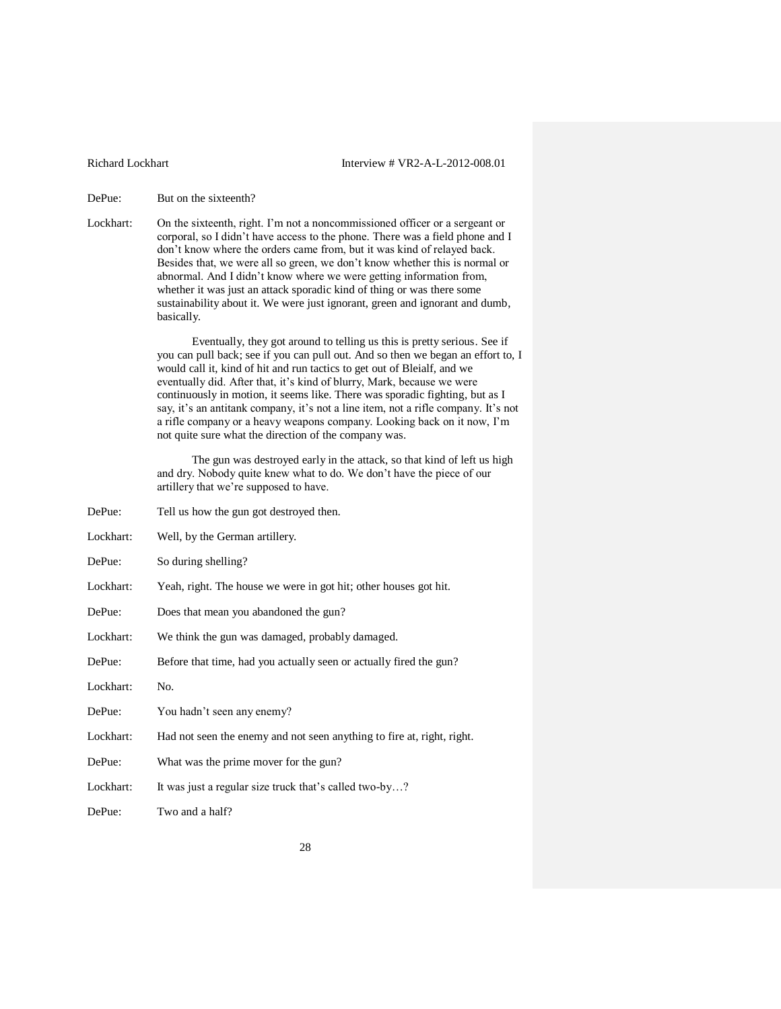DePue: But on the sixteenth?

Lockhart: On the sixteenth, right. I'm not a noncommissioned officer or a sergeant or corporal, so I didn't have access to the phone. There was a field phone and I don't know where the orders came from, but it was kind of relayed back. Besides that, we were all so green, we don't know whether this is normal or abnormal. And I didn't know where we were getting information from, whether it was just an attack sporadic kind of thing or was there some sustainability about it. We were just ignorant, green and ignorant and dumb, basically.

> Eventually, they got around to telling us this is pretty serious. See if you can pull back; see if you can pull out. And so then we began an effort to, I would call it, kind of hit and run tactics to get out of Bleialf, and we eventually did. After that, it's kind of blurry, Mark, because we were continuously in motion, it seems like. There was sporadic fighting, but as I say, it's an antitank company, it's not a line item, not a rifle company. It's not a rifle company or a heavy weapons company. Looking back on it now, I'm not quite sure what the direction of the company was.

The gun was destroyed early in the attack, so that kind of left us high and dry. Nobody quite knew what to do. We don't have the piece of our artillery that we're supposed to have.

DePue: Tell us how the gun got destroyed then. Lockhart: Well, by the German artillery. DePue: So during shelling? Lockhart: Yeah, right. The house we were in got hit; other houses got hit. DePue: Does that mean you abandoned the gun? Lockhart: We think the gun was damaged, probably damaged. DePue: Before that time, had you actually seen or actually fired the gun? Lockhart: No. DePue: You hadn't seen any enemy? Lockhart: Had not seen the enemy and not seen anything to fire at, right, right. DePue: What was the prime mover for the gun? Lockhart: It was just a regular size truck that's called two-by...? DePue: Two and a half?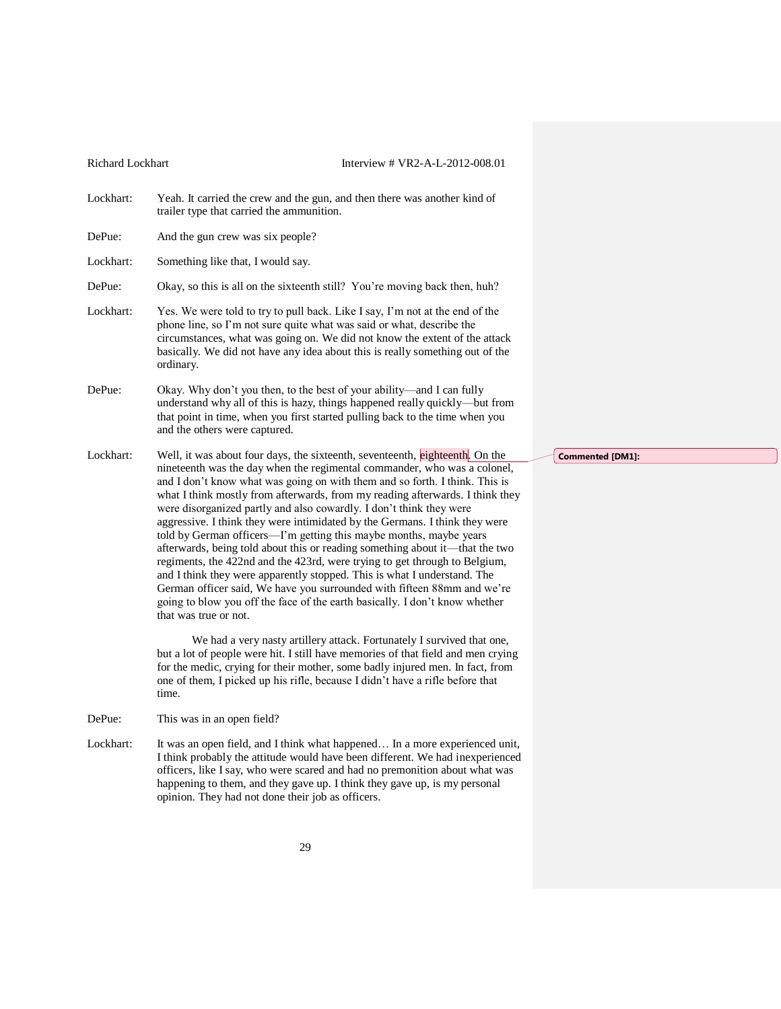Lockhart: Yeah. It carried the crew and the gun, and then there was another kind of trailer type that carried the ammunition. DePue: And the gun crew was six people? Lockhart: Something like that, I would say. DePue: Okay, so this is all on the sixteenth still? You're moving back then, huh? Lockhart: Yes. We were told to try to pull back. Like I say, I'm not at the end of the phone line, so I'm not sure quite what was said or what, describe the circumstances, what was going on. We did not know the extent of the attack basically. We did not have any idea about this is really something out of the ordinary. DePue: Okay. Why don't you then, to the best of your ability—and I can fully understand why all of this is hazy, things happened really quickly—but from that point in time, when you first started pulling back to the time when you and the others were captured. Lockhart: Well, it was about four days, the sixteenth, seventeenth, eighteenth. On the nineteenth was the day when the regimental commander, who was a colonel, and I don't know what was going on with them and so forth. I think. This is what I think mostly from afterwards, from my reading afterwards. I think they were disorganized partly and also cowardly. I don't think they were aggressive. I think they were intimidated by the Germans. I think they were told by German officers—I'm getting this maybe months, maybe years afterwards, being told about this or reading something about it—that the two

> regiments, the 422nd and the 423rd, were trying to get through to Belgium, and I think they were apparently stopped. This is what I understand. The German officer said, We have you surrounded with fifteen 88mm and we're going to blow you off the face of the earth basically. I don't know whether that was true or not.

We had a very nasty artillery attack. Fortunately I survived that one, but a lot of people were hit. I still have memories of that field and men crying for the medic, crying for their mother, some badly injured men. In fact, from one of them, I picked up his rifle, because I didn't have a rifle before that time.

DePue: This was in an open field?

Lockhart: It was an open field, and I think what happened... In a more experienced unit, I think probably the attitude would have been different. We had inexperienced officers, like I say, who were scared and had no premonition about what was happening to them, and they gave up. I think they gave up, is my personal opinion. They had not done their job as officers.

**Commented [DM1]:**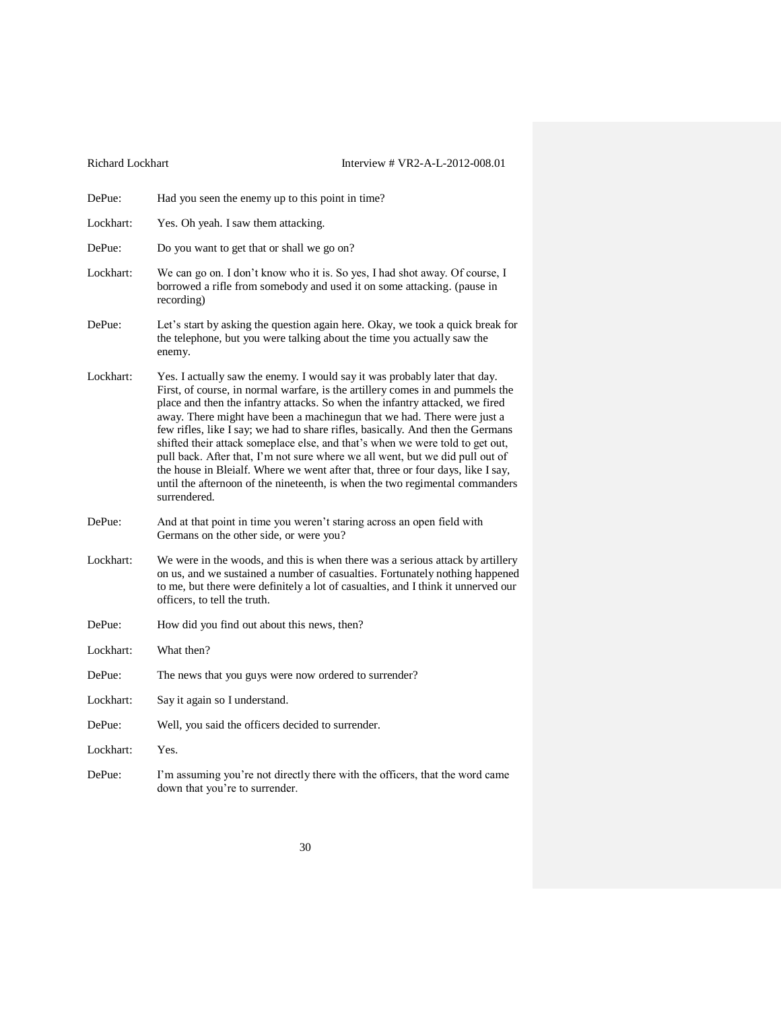| DePue:    | Had you seen the enemy up to this point in time?                                                                                                                                                                                                                                                                                                                                                                                                                                                                                                                                                                                                                                                                                                                |
|-----------|-----------------------------------------------------------------------------------------------------------------------------------------------------------------------------------------------------------------------------------------------------------------------------------------------------------------------------------------------------------------------------------------------------------------------------------------------------------------------------------------------------------------------------------------------------------------------------------------------------------------------------------------------------------------------------------------------------------------------------------------------------------------|
| Lockhart: | Yes. Oh yeah. I saw them attacking.                                                                                                                                                                                                                                                                                                                                                                                                                                                                                                                                                                                                                                                                                                                             |
| DePue:    | Do you want to get that or shall we go on?                                                                                                                                                                                                                                                                                                                                                                                                                                                                                                                                                                                                                                                                                                                      |
| Lockhart: | We can go on. I don't know who it is. So yes, I had shot away. Of course, I<br>borrowed a rifle from somebody and used it on some attacking. (pause in<br>recording)                                                                                                                                                                                                                                                                                                                                                                                                                                                                                                                                                                                            |
| DePue:    | Let's start by asking the question again here. Okay, we took a quick break for<br>the telephone, but you were talking about the time you actually saw the<br>enemy.                                                                                                                                                                                                                                                                                                                                                                                                                                                                                                                                                                                             |
| Lockhart: | Yes. I actually saw the enemy. I would say it was probably later that day.<br>First, of course, in normal warfare, is the artillery comes in and pummels the<br>place and then the infantry attacks. So when the infantry attacked, we fired<br>away. There might have been a machinegun that we had. There were just a<br>few rifles, like I say; we had to share rifles, basically. And then the Germans<br>shifted their attack someplace else, and that's when we were told to get out,<br>pull back. After that, I'm not sure where we all went, but we did pull out of<br>the house in Bleialf. Where we went after that, three or four days, like I say,<br>until the afternoon of the nineteenth, is when the two regimental commanders<br>surrendered. |
| DePue:    | And at that point in time you weren't staring across an open field with<br>Germans on the other side, or were you?                                                                                                                                                                                                                                                                                                                                                                                                                                                                                                                                                                                                                                              |
| Lockhart: | We were in the woods, and this is when there was a serious attack by artillery<br>on us, and we sustained a number of casualties. Fortunately nothing happened<br>to me, but there were definitely a lot of casualties, and I think it unnerved our<br>officers, to tell the truth.                                                                                                                                                                                                                                                                                                                                                                                                                                                                             |
| DePue:    | How did you find out about this news, then?                                                                                                                                                                                                                                                                                                                                                                                                                                                                                                                                                                                                                                                                                                                     |
| Lockhart: | What then?                                                                                                                                                                                                                                                                                                                                                                                                                                                                                                                                                                                                                                                                                                                                                      |
| DePue:    | The news that you guys were now ordered to surrender?                                                                                                                                                                                                                                                                                                                                                                                                                                                                                                                                                                                                                                                                                                           |
| Lockhart: | Say it again so I understand.                                                                                                                                                                                                                                                                                                                                                                                                                                                                                                                                                                                                                                                                                                                                   |
| DePue:    | Well, you said the officers decided to surrender.                                                                                                                                                                                                                                                                                                                                                                                                                                                                                                                                                                                                                                                                                                               |
| Lockhart: | Yes.                                                                                                                                                                                                                                                                                                                                                                                                                                                                                                                                                                                                                                                                                                                                                            |
| DePue:    | I'm assuming you're not directly there with the officers, that the word came<br>down that you're to surrender.                                                                                                                                                                                                                                                                                                                                                                                                                                                                                                                                                                                                                                                  |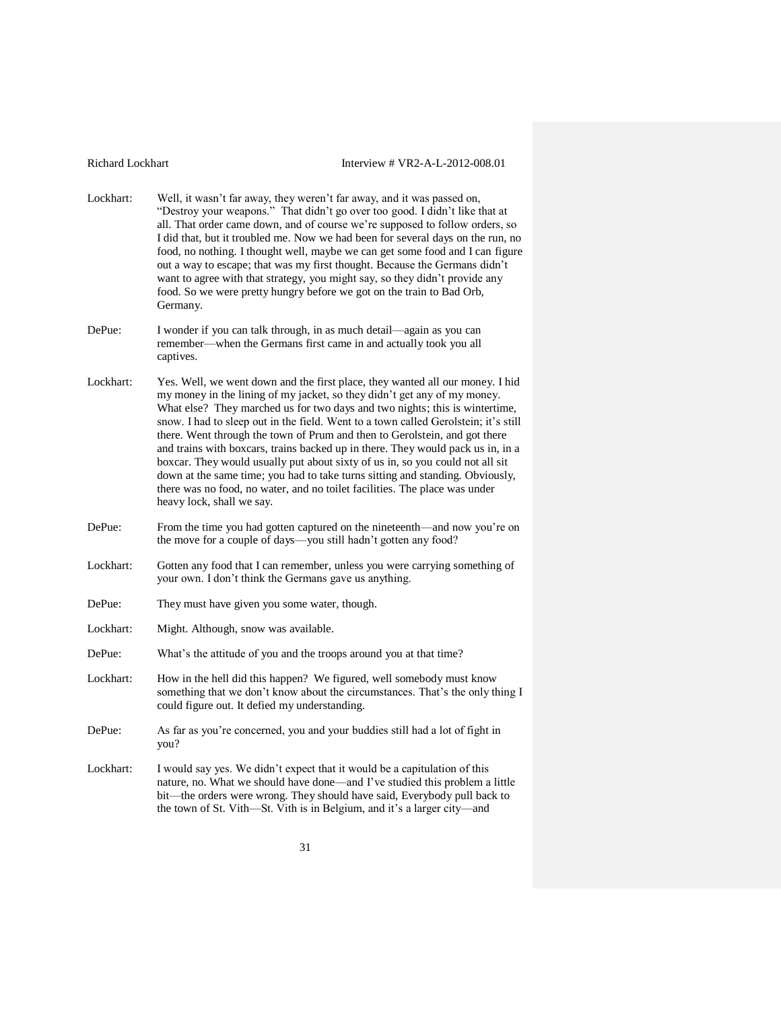- Lockhart: Well, it wasn't far away, they weren't far away, and it was passed on, "Destroy your weapons." That didn't go over too good. I didn't like that at all. That order came down, and of course we're supposed to follow orders, so I did that, but it troubled me. Now we had been for several days on the run, no food, no nothing. I thought well, maybe we can get some food and I can figure out a way to escape; that was my first thought. Because the Germans didn't want to agree with that strategy, you might say, so they didn't provide any food. So we were pretty hungry before we got on the train to Bad Orb, Germany.
- DePue: I wonder if you can talk through, in as much detail—again as you can remember—when the Germans first came in and actually took you all captives.
- Lockhart: Yes. Well, we went down and the first place, they wanted all our money. I hid my money in the lining of my jacket, so they didn't get any of my money. What else? They marched us for two days and two nights; this is wintertime, snow. I had to sleep out in the field. Went to a town called Gerolstein; it's still there. Went through the town of Prum and then to Gerolstein, and got there and trains with boxcars, trains backed up in there. They would pack us in, in a boxcar. They would usually put about sixty of us in, so you could not all sit down at the same time; you had to take turns sitting and standing. Obviously, there was no food, no water, and no toilet facilities. The place was under heavy lock, shall we say.
- DePue: From the time you had gotten captured on the nineteenth—and now you're on the move for a couple of days—you still hadn't gotten any food?
- Lockhart: Gotten any food that I can remember, unless you were carrying something of your own. I don't think the Germans gave us anything.
- DePue: They must have given you some water, though.
- Lockhart: Might. Although, snow was available.
- DePue: What's the attitude of you and the troops around you at that time?
- Lockhart: How in the hell did this happen? We figured, well somebody must know something that we don't know about the circumstances. That's the only thing I could figure out. It defied my understanding.
- DePue: As far as you're concerned, you and your buddies still had a lot of fight in you?
- Lockhart: I would say yes. We didn't expect that it would be a capitulation of this nature, no. What we should have done—and I've studied this problem a little bit—the orders were wrong. They should have said, Everybody pull back to the town of St. Vith—St. Vith is in Belgium, and it's a larger city—and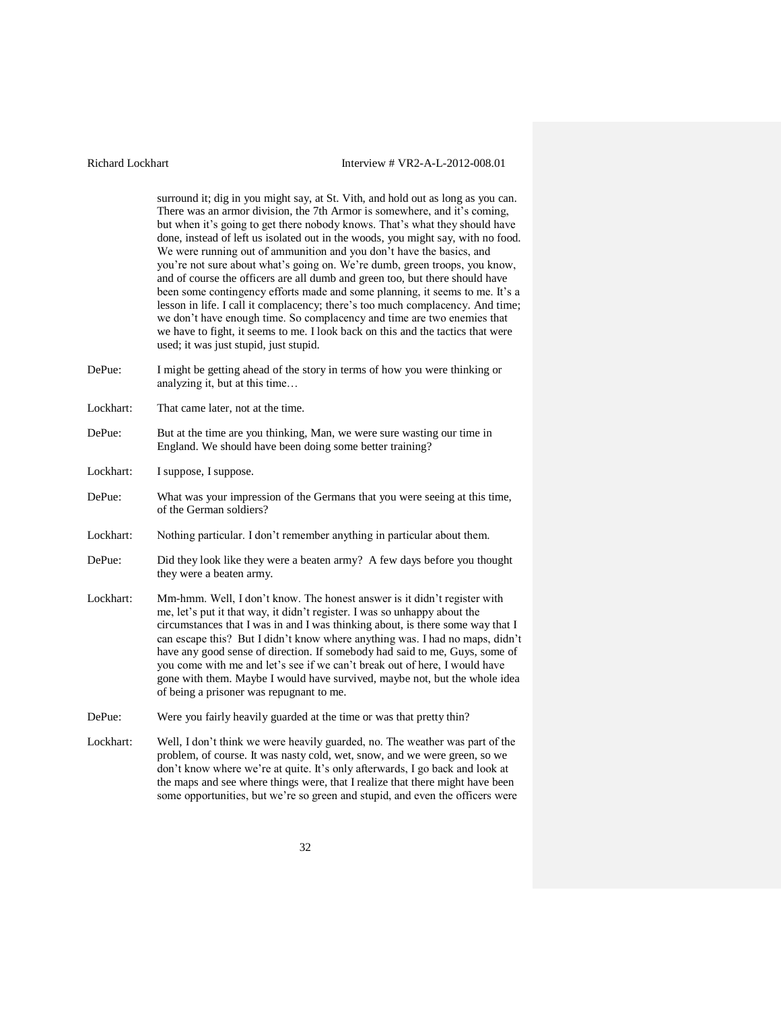surround it; dig in you might say, at St. Vith, and hold out as long as you can. There was an armor division, the 7th Armor is somewhere, and it's coming, but when it's going to get there nobody knows. That's what they should have done, instead of left us isolated out in the woods, you might say, with no food. We were running out of ammunition and you don't have the basics, and you're not sure about what's going on. We're dumb, green troops, you know, and of course the officers are all dumb and green too, but there should have been some contingency efforts made and some planning, it seems to me. It's a lesson in life. I call it complacency; there's too much complacency. And time; we don't have enough time. So complacency and time are two enemies that we have to fight, it seems to me. I look back on this and the tactics that were used; it was just stupid, just stupid.

- DePue: I might be getting ahead of the story in terms of how you were thinking or analyzing it, but at this time…
- Lockhart: That came later, not at the time.
- DePue: But at the time are you thinking, Man, we were sure wasting our time in England. We should have been doing some better training?
- Lockhart: I suppose, I suppose.
- DePue: What was your impression of the Germans that you were seeing at this time, of the German soldiers?
- Lockhart: Nothing particular. I don't remember anything in particular about them.
- DePue: Did they look like they were a beaten army? A few days before you thought they were a beaten army.
- Lockhart: Mm-hmm. Well, I don't know. The honest answer is it didn't register with me, let's put it that way, it didn't register. I was so unhappy about the circumstances that I was in and I was thinking about, is there some way that I can escape this? But I didn't know where anything was. I had no maps, didn't have any good sense of direction. If somebody had said to me, Guys, some of you come with me and let's see if we can't break out of here, I would have gone with them. Maybe I would have survived, maybe not, but the whole idea of being a prisoner was repugnant to me.
- DePue: Were you fairly heavily guarded at the time or was that pretty thin?
- Lockhart: Well, I don't think we were heavily guarded, no. The weather was part of the problem, of course. It was nasty cold, wet, snow, and we were green, so we don't know where we're at quite. It's only afterwards, I go back and look at the maps and see where things were, that I realize that there might have been some opportunities, but we're so green and stupid, and even the officers were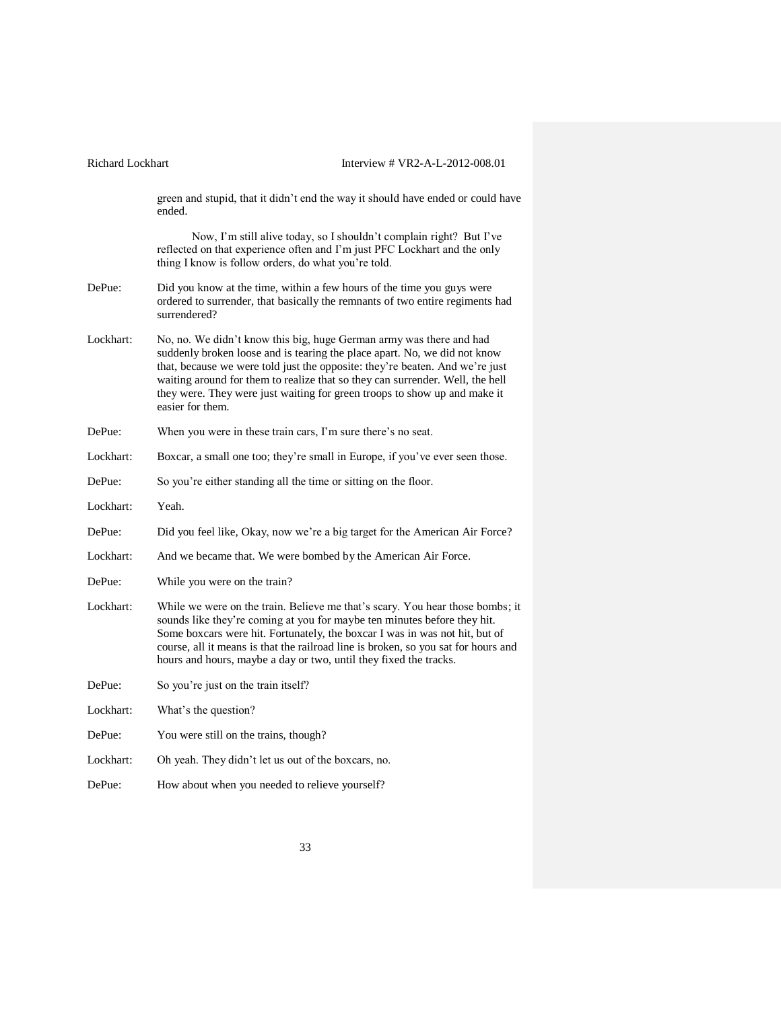| Richard Lockhart | Interview # VR2-A-L-2012-008.01                                                                                                                                                                                                                                                                                                                                                                                    |
|------------------|--------------------------------------------------------------------------------------------------------------------------------------------------------------------------------------------------------------------------------------------------------------------------------------------------------------------------------------------------------------------------------------------------------------------|
|                  | green and stupid, that it didn't end the way it should have ended or could have<br>ended.                                                                                                                                                                                                                                                                                                                          |
|                  | Now, I'm still alive today, so I shouldn't complain right? But I've<br>reflected on that experience often and I'm just PFC Lockhart and the only<br>thing I know is follow orders, do what you're told.                                                                                                                                                                                                            |
| DePue:           | Did you know at the time, within a few hours of the time you guys were<br>ordered to surrender, that basically the remnants of two entire regiments had<br>surrendered?                                                                                                                                                                                                                                            |
| Lockhart:        | No, no. We didn't know this big, huge German army was there and had<br>suddenly broken loose and is tearing the place apart. No, we did not know<br>that, because we were told just the opposite: they're beaten. And we're just<br>waiting around for them to realize that so they can surrender. Well, the hell<br>they were. They were just waiting for green troops to show up and make it<br>easier for them. |
| DePue:           | When you were in these train cars, I'm sure there's no seat.                                                                                                                                                                                                                                                                                                                                                       |
| Lockhart:        | Boxcar, a small one too; they're small in Europe, if you've ever seen those.                                                                                                                                                                                                                                                                                                                                       |
| DePue:           | So you're either standing all the time or sitting on the floor.                                                                                                                                                                                                                                                                                                                                                    |
| Lockhart:        | Yeah.                                                                                                                                                                                                                                                                                                                                                                                                              |
| DePue:           | Did you feel like, Okay, now we're a big target for the American Air Force?                                                                                                                                                                                                                                                                                                                                        |
| Lockhart:        | And we became that. We were bombed by the American Air Force.                                                                                                                                                                                                                                                                                                                                                      |
| DePue:           | While you were on the train?                                                                                                                                                                                                                                                                                                                                                                                       |
| Lockhart:        | While we were on the train. Believe me that's scary. You hear those bombs; it<br>sounds like they're coming at you for maybe ten minutes before they hit.<br>Some boxcars were hit. Fortunately, the boxcar I was in was not hit, but of<br>course, all it means is that the railroad line is broken, so you sat for hours and<br>hours and hours, maybe a day or two, until they fixed the tracks.                |
| DePue:           | So you're just on the train itself?                                                                                                                                                                                                                                                                                                                                                                                |
| Lockhart:        | What's the question?                                                                                                                                                                                                                                                                                                                                                                                               |
| DePue:           | You were still on the trains, though?                                                                                                                                                                                                                                                                                                                                                                              |
| Lockhart:        | Oh yeah. They didn't let us out of the boxcars, no.                                                                                                                                                                                                                                                                                                                                                                |
| DePue:           | How about when you needed to relieve yourself?                                                                                                                                                                                                                                                                                                                                                                     |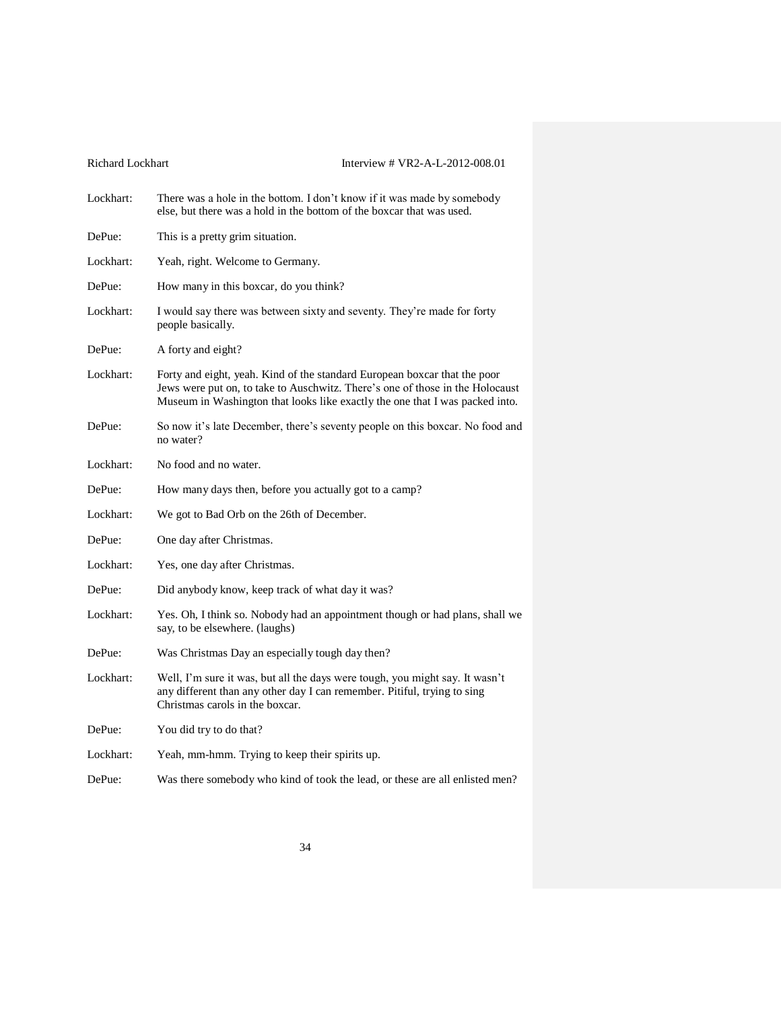| Lockhart: | There was a hole in the bottom. I don't know if it was made by somebody<br>else, but there was a hold in the bottom of the boxcar that was used.                                                                                           |
|-----------|--------------------------------------------------------------------------------------------------------------------------------------------------------------------------------------------------------------------------------------------|
| DePue:    | This is a pretty grim situation.                                                                                                                                                                                                           |
| Lockhart: | Yeah, right. Welcome to Germany.                                                                                                                                                                                                           |
| DePue:    | How many in this boxcar, do you think?                                                                                                                                                                                                     |
| Lockhart: | I would say there was between sixty and seventy. They're made for forty<br>people basically.                                                                                                                                               |
| DePue:    | A forty and eight?                                                                                                                                                                                                                         |
| Lockhart: | Forty and eight, yeah. Kind of the standard European boxcar that the poor<br>Jews were put on, to take to Auschwitz. There's one of those in the Holocaust<br>Museum in Washington that looks like exactly the one that I was packed into. |
| DePue:    | So now it's late December, there's seventy people on this boxcar. No food and<br>no water?                                                                                                                                                 |
| Lockhart: | No food and no water.                                                                                                                                                                                                                      |
| DePue:    | How many days then, before you actually got to a camp?                                                                                                                                                                                     |
| Lockhart: | We got to Bad Orb on the 26th of December.                                                                                                                                                                                                 |
| DePue:    | One day after Christmas.                                                                                                                                                                                                                   |
| Lockhart: | Yes, one day after Christmas.                                                                                                                                                                                                              |
| DePue:    | Did anybody know, keep track of what day it was?                                                                                                                                                                                           |
| Lockhart: | Yes. Oh, I think so. Nobody had an appointment though or had plans, shall we<br>say, to be elsewhere. (laughs)                                                                                                                             |
| DePue:    | Was Christmas Day an especially tough day then?                                                                                                                                                                                            |
| Lockhart: | Well, I'm sure it was, but all the days were tough, you might say. It wasn't<br>any different than any other day I can remember. Pitiful, trying to sing<br>Christmas carols in the boxcar.                                                |
| DePue:    | You did try to do that?                                                                                                                                                                                                                    |
| Lockhart: | Yeah, mm-hmm. Trying to keep their spirits up.                                                                                                                                                                                             |
| DePue:    | Was there somebody who kind of took the lead, or these are all enlisted men?                                                                                                                                                               |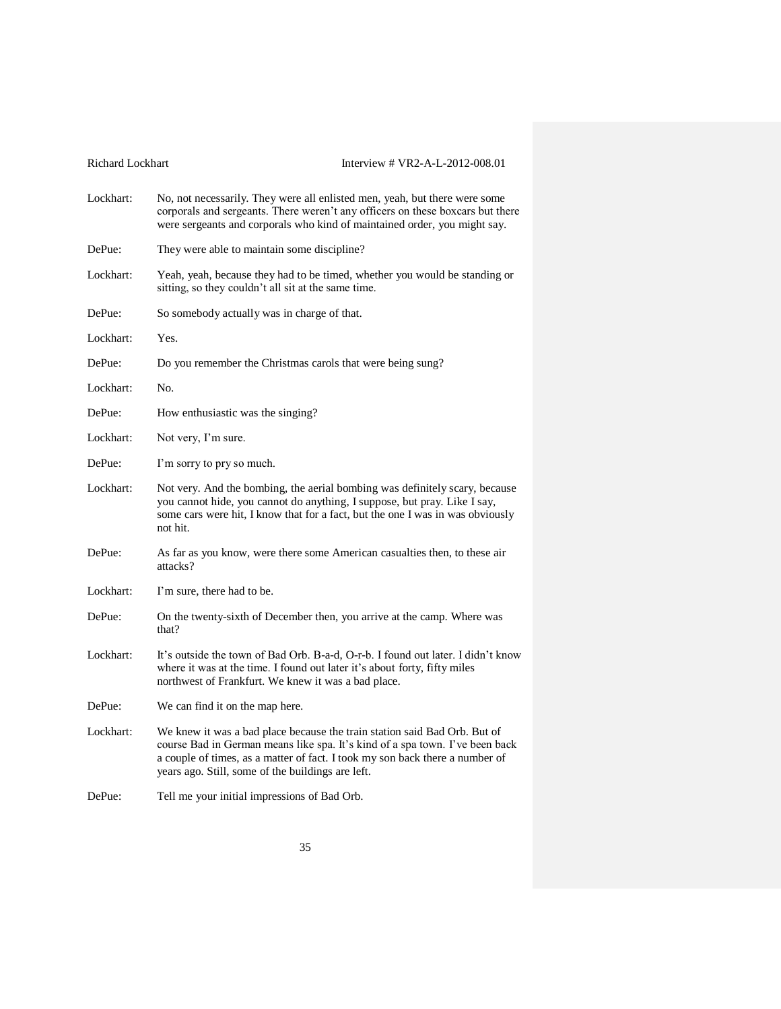| Richard Lockhart | Interview # VR2-A-L-2012-008.01                                                                                                                                                                                                                                                                |
|------------------|------------------------------------------------------------------------------------------------------------------------------------------------------------------------------------------------------------------------------------------------------------------------------------------------|
| Lockhart:        | No, not necessarily. They were all enlisted men, yeah, but there were some<br>corporals and sergeants. There weren't any officers on these boxcars but there<br>were sergeants and corporals who kind of maintained order, you might say.                                                      |
| DePue:           | They were able to maintain some discipline?                                                                                                                                                                                                                                                    |
| Lockhart:        | Yeah, yeah, because they had to be timed, whether you would be standing or<br>sitting, so they couldn't all sit at the same time.                                                                                                                                                              |
| DePue:           | So somebody actually was in charge of that.                                                                                                                                                                                                                                                    |
| Lockhart:        | Yes.                                                                                                                                                                                                                                                                                           |
| DePue:           | Do you remember the Christmas carols that were being sung?                                                                                                                                                                                                                                     |
| Lockhart:        | No.                                                                                                                                                                                                                                                                                            |
| DePue:           | How enthusiastic was the singing?                                                                                                                                                                                                                                                              |
| Lockhart:        | Not very, I'm sure.                                                                                                                                                                                                                                                                            |
| DePue:           | I'm sorry to pry so much.                                                                                                                                                                                                                                                                      |
| Lockhart:        | Not very. And the bombing, the aerial bombing was definitely scary, because<br>you cannot hide, you cannot do anything, I suppose, but pray. Like I say,<br>some cars were hit, I know that for a fact, but the one I was in was obviously<br>not hit.                                         |
| DePue:           | As far as you know, were there some American casualties then, to these air<br>attacks?                                                                                                                                                                                                         |
| Lockhart:        | I'm sure, there had to be.                                                                                                                                                                                                                                                                     |
| DePue:           | On the twenty-sixth of December then, you arrive at the camp. Where was<br>that?                                                                                                                                                                                                               |
| Lockhart:        | It's outside the town of Bad Orb. B-a-d, O-r-b. I found out later. I didn't know<br>where it was at the time. I found out later it's about forty, fifty miles<br>northwest of Frankfurt. We knew it was a bad place.                                                                           |
| DePue:           | We can find it on the map here.                                                                                                                                                                                                                                                                |
| Lockhart:        | We knew it was a bad place because the train station said Bad Orb. But of<br>course Bad in German means like spa. It's kind of a spa town. I've been back<br>a couple of times, as a matter of fact. I took my son back there a number of<br>years ago. Still, some of the buildings are left. |
| DePue:           | Tell me your initial impressions of Bad Orb.                                                                                                                                                                                                                                                   |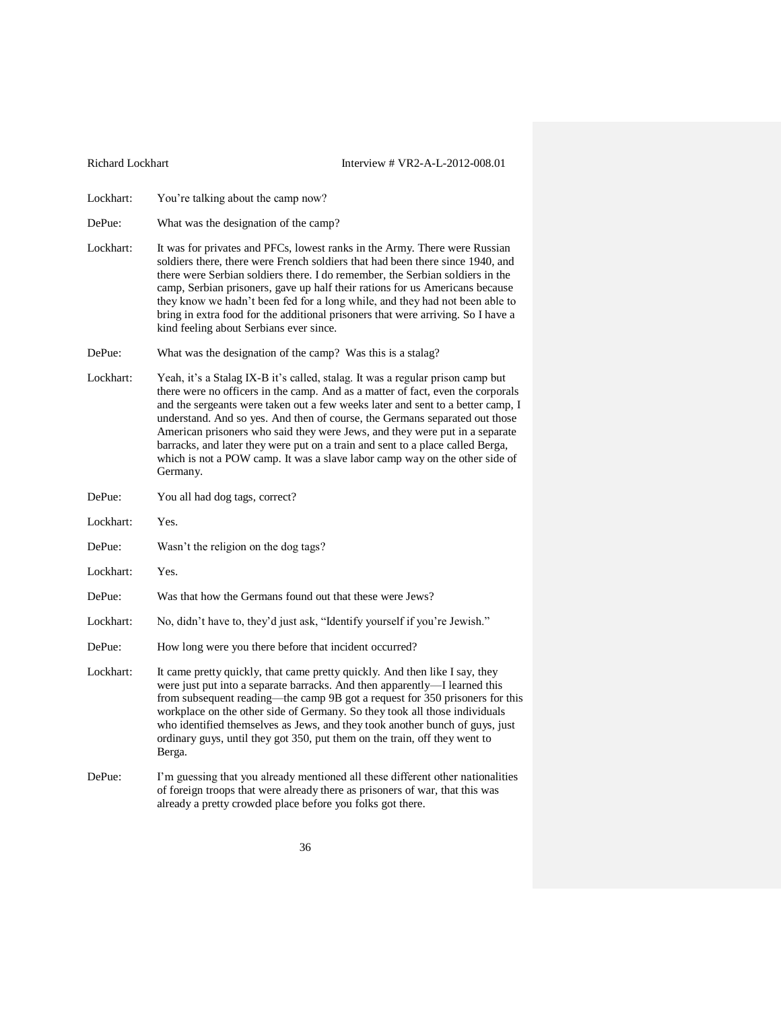Lockhart: You're talking about the camp now?

DePue: What was the designation of the camp?

- Lockhart: It was for privates and PFCs, lowest ranks in the Army. There were Russian soldiers there, there were French soldiers that had been there since 1940, and there were Serbian soldiers there. I do remember, the Serbian soldiers in the camp, Serbian prisoners, gave up half their rations for us Americans because they know we hadn't been fed for a long while, and they had not been able to bring in extra food for the additional prisoners that were arriving. So I have a kind feeling about Serbians ever since.
- DePue: What was the designation of the camp? Was this is a stalag?
- Lockhart: Yeah, it's a Stalag IX-B it's called, stalag. It was a regular prison camp but there were no officers in the camp. And as a matter of fact, even the corporals and the sergeants were taken out a few weeks later and sent to a better camp, I understand. And so yes. And then of course, the Germans separated out those American prisoners who said they were Jews, and they were put in a separate barracks, and later they were put on a train and sent to a place called Berga, which is not a POW camp. It was a slave labor camp way on the other side of Germany.
- DePue: You all had dog tags, correct?
- Lockhart: Yes.
- DePue: Wasn't the religion on the dog tags?
- Lockhart: Yes.
- DePue: Was that how the Germans found out that these were Jews?
- Lockhart: No, didn't have to, they'd just ask, "Identify yourself if you're Jewish."
- DePue: How long were you there before that incident occurred?
- Lockhart: It came pretty quickly, that came pretty quickly. And then like I say, they were just put into a separate barracks. And then apparently—I learned this from subsequent reading—the camp 9B got a request for 350 prisoners for this workplace on the other side of Germany. So they took all those individuals who identified themselves as Jews, and they took another bunch of guys, just ordinary guys, until they got 350, put them on the train, off they went to Berga.
- DePue: I'm guessing that you already mentioned all these different other nationalities of foreign troops that were already there as prisoners of war, that this was already a pretty crowded place before you folks got there.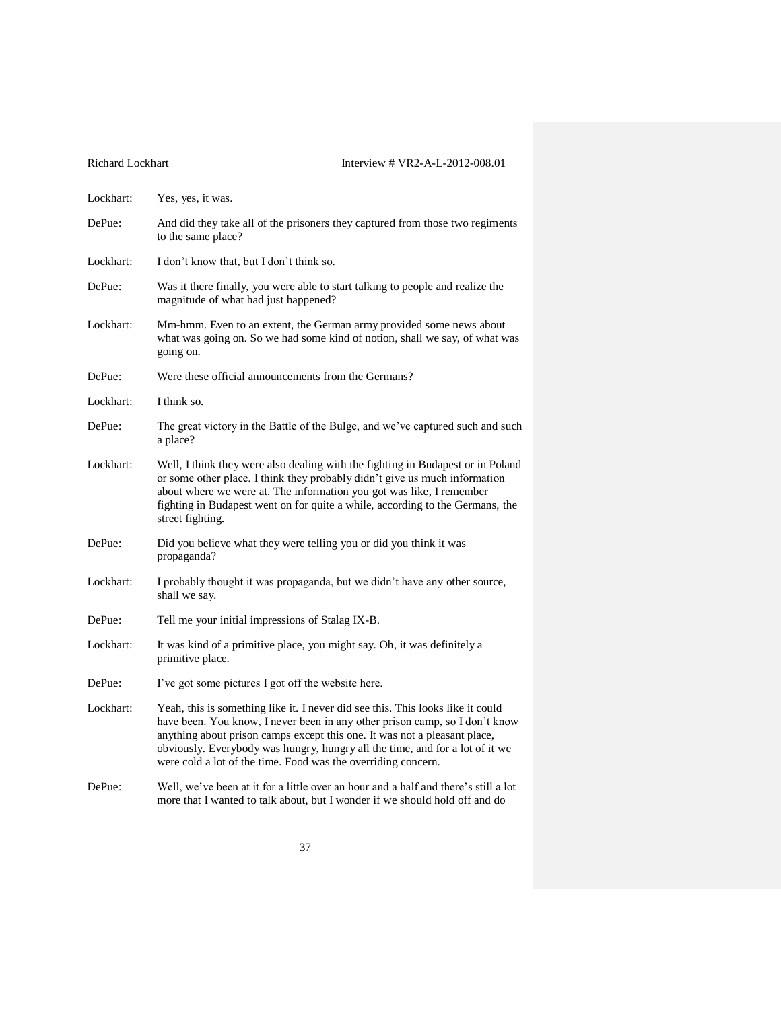| Lockhart: | Yes, yes, it was.                                                                                                                                                                                                                                                                                                                                                                            |
|-----------|----------------------------------------------------------------------------------------------------------------------------------------------------------------------------------------------------------------------------------------------------------------------------------------------------------------------------------------------------------------------------------------------|
| DePue:    | And did they take all of the prisoners they captured from those two regiments<br>to the same place?                                                                                                                                                                                                                                                                                          |
| Lockhart: | I don't know that, but I don't think so.                                                                                                                                                                                                                                                                                                                                                     |
| DePue:    | Was it there finally, you were able to start talking to people and realize the<br>magnitude of what had just happened?                                                                                                                                                                                                                                                                       |
| Lockhart: | Mm-hmm. Even to an extent, the German army provided some news about<br>what was going on. So we had some kind of notion, shall we say, of what was<br>going on.                                                                                                                                                                                                                              |
| DePue:    | Were these official announcements from the Germans?                                                                                                                                                                                                                                                                                                                                          |
| Lockhart: | I think so.                                                                                                                                                                                                                                                                                                                                                                                  |
| DePue:    | The great victory in the Battle of the Bulge, and we've captured such and such<br>a place?                                                                                                                                                                                                                                                                                                   |
| Lockhart: | Well, I think they were also dealing with the fighting in Budapest or in Poland<br>or some other place. I think they probably didn't give us much information<br>about where we were at. The information you got was like, I remember<br>fighting in Budapest went on for quite a while, according to the Germans, the<br>street fighting.                                                   |
| DePue:    | Did you believe what they were telling you or did you think it was<br>propaganda?                                                                                                                                                                                                                                                                                                            |
| Lockhart: | I probably thought it was propaganda, but we didn't have any other source,<br>shall we say.                                                                                                                                                                                                                                                                                                  |
| DePue:    | Tell me your initial impressions of Stalag IX-B.                                                                                                                                                                                                                                                                                                                                             |
| Lockhart: | It was kind of a primitive place, you might say. Oh, it was definitely a<br>primitive place.                                                                                                                                                                                                                                                                                                 |
| DePue:    | I've got some pictures I got off the website here.                                                                                                                                                                                                                                                                                                                                           |
| Lockhart: | Yeah, this is something like it. I never did see this. This looks like it could<br>have been. You know, I never been in any other prison camp, so I don't know<br>anything about prison camps except this one. It was not a pleasant place,<br>obviously. Everybody was hungry, hungry all the time, and for a lot of it we<br>were cold a lot of the time. Food was the overriding concern. |
| DePue:    | Well, we've been at it for a little over an hour and a half and there's still a lot<br>more that I wanted to talk about, but I wonder if we should hold off and do                                                                                                                                                                                                                           |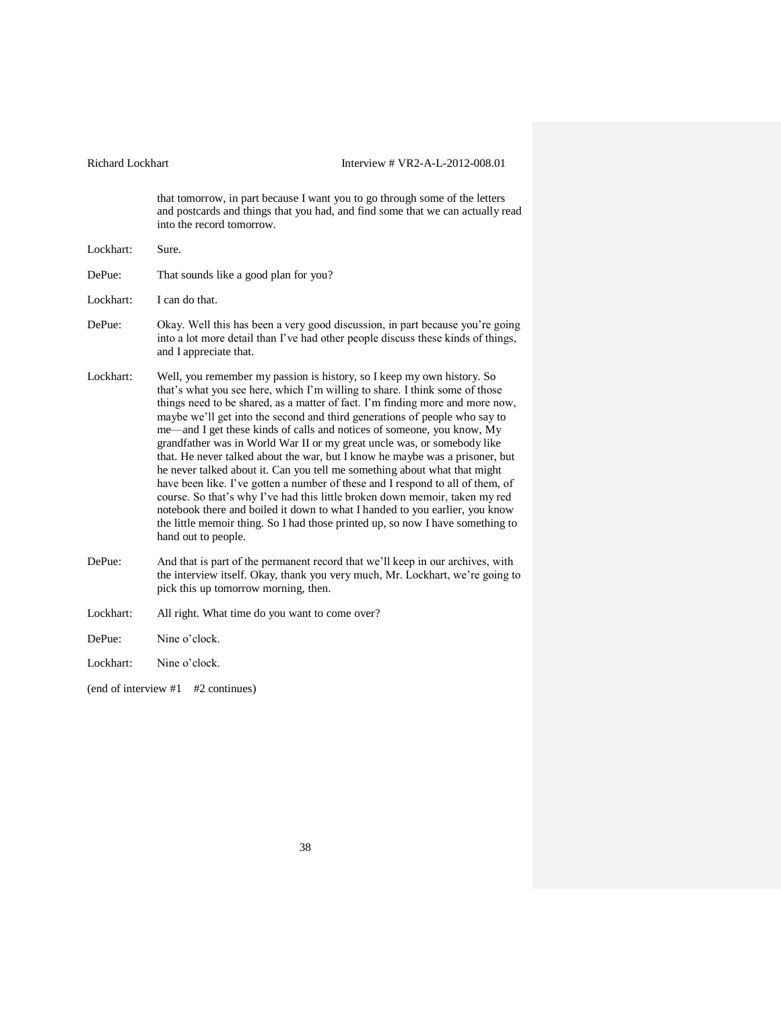that tomorrow, in part because I want you to go through some of the letters and postcards and things that you had, and find some that we can actually read into the record tomorrow.

| Lockhart: | Sure.                                                                                                                                                                                                                                                                                                                                                                                                                                                                                                                                                                                                                                                                                                                                                                                                                                                                                                                                                                                           |
|-----------|-------------------------------------------------------------------------------------------------------------------------------------------------------------------------------------------------------------------------------------------------------------------------------------------------------------------------------------------------------------------------------------------------------------------------------------------------------------------------------------------------------------------------------------------------------------------------------------------------------------------------------------------------------------------------------------------------------------------------------------------------------------------------------------------------------------------------------------------------------------------------------------------------------------------------------------------------------------------------------------------------|
| DePue:    | That sounds like a good plan for you?                                                                                                                                                                                                                                                                                                                                                                                                                                                                                                                                                                                                                                                                                                                                                                                                                                                                                                                                                           |
| Lockhart: | I can do that.                                                                                                                                                                                                                                                                                                                                                                                                                                                                                                                                                                                                                                                                                                                                                                                                                                                                                                                                                                                  |
| DePue:    | Okay. Well this has been a very good discussion, in part because you're going<br>into a lot more detail than I've had other people discuss these kinds of things,<br>and I appreciate that.                                                                                                                                                                                                                                                                                                                                                                                                                                                                                                                                                                                                                                                                                                                                                                                                     |
| Lockhart: | Well, you remember my passion is history, so I keep my own history. So<br>that's what you see here, which I'm willing to share. I think some of those<br>things need to be shared, as a matter of fact. I'm finding more and more now,<br>maybe we'll get into the second and third generations of people who say to<br>me—and I get these kinds of calls and notices of someone, you know, My<br>grandfather was in World War II or my great uncle was, or somebody like<br>that. He never talked about the war, but I know he maybe was a prisoner, but<br>he never talked about it. Can you tell me something about what that might<br>have been like. I've gotten a number of these and I respond to all of them, of<br>course. So that's why I've had this little broken down memoir, taken my red<br>notebook there and boiled it down to what I handed to you earlier, you know<br>the little memoir thing. So I had those printed up, so now I have something to<br>hand out to people. |
| DePue:    | And that is part of the permanent record that we'll keep in our archives, with<br>the interview itself. Okay, thank you very much, Mr. Lockhart, we're going to<br>pick this up tomorrow morning, then.                                                                                                                                                                                                                                                                                                                                                                                                                                                                                                                                                                                                                                                                                                                                                                                         |
| Lockhart: | All right. What time do you want to come over?                                                                                                                                                                                                                                                                                                                                                                                                                                                                                                                                                                                                                                                                                                                                                                                                                                                                                                                                                  |
| DePue:    | Nine o'clock.                                                                                                                                                                                                                                                                                                                                                                                                                                                                                                                                                                                                                                                                                                                                                                                                                                                                                                                                                                                   |
| Lockhart: | Nine o'clock.                                                                                                                                                                                                                                                                                                                                                                                                                                                                                                                                                                                                                                                                                                                                                                                                                                                                                                                                                                                   |

(end of interview #1 #2 continues)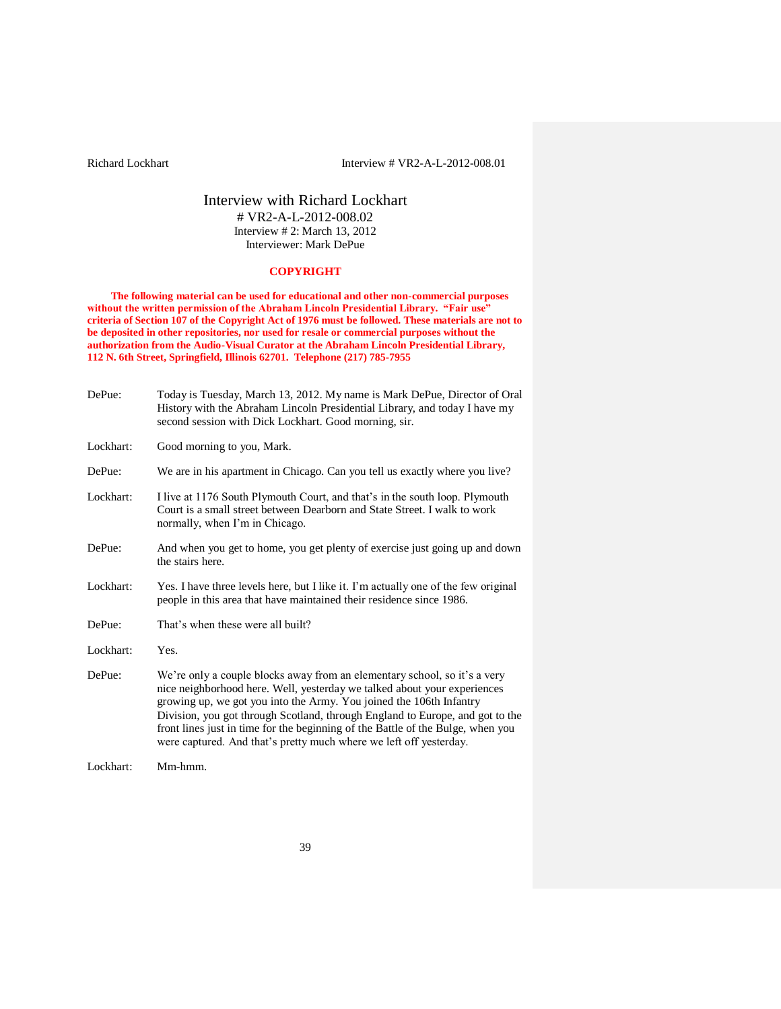# Interview with Richard Lockhart # VR2-A-L-2012-008.02 Interview # 2: March 13, 2012 Interviewer: Mark DePue

# **COPYRIGHT**

**The following material can be used for educational and other non-commercial purposes without the written permission of the Abraham Lincoln Presidential Library. "Fair use" criteria of Section 107 of the Copyright Act of 1976 must be followed. These materials are not to be deposited in other repositories, nor used for resale or commercial purposes without the authorization from the Audio-Visual Curator at the Abraham Lincoln Presidential Library, 112 N. 6th Street, Springfield, Illinois 62701. Telephone (217) 785-7955**

| DePue:    | Today is Tuesday, March 13, 2012. My name is Mark DePue, Director of Oral<br>History with the Abraham Lincoln Presidential Library, and today I have my<br>second session with Dick Lockhart. Good morning, sir.                                                                                                                                                                                                                                                       |
|-----------|------------------------------------------------------------------------------------------------------------------------------------------------------------------------------------------------------------------------------------------------------------------------------------------------------------------------------------------------------------------------------------------------------------------------------------------------------------------------|
| Lockhart: | Good morning to you, Mark.                                                                                                                                                                                                                                                                                                                                                                                                                                             |
| DePue:    | We are in his apartment in Chicago. Can you tell us exactly where you live?                                                                                                                                                                                                                                                                                                                                                                                            |
| Lockhart: | I live at 1176 South Plymouth Court, and that's in the south loop. Plymouth<br>Court is a small street between Dearborn and State Street. I walk to work<br>normally, when I'm in Chicago.                                                                                                                                                                                                                                                                             |
| DePue:    | And when you get to home, you get plenty of exercise just going up and down<br>the stairs here.                                                                                                                                                                                                                                                                                                                                                                        |
| Lockhart: | Yes. I have three levels here, but I like it. I'm actually one of the few original<br>people in this area that have maintained their residence since 1986.                                                                                                                                                                                                                                                                                                             |
| DePue:    | That's when these were all built?                                                                                                                                                                                                                                                                                                                                                                                                                                      |
| Lockhart: | Yes.                                                                                                                                                                                                                                                                                                                                                                                                                                                                   |
| DePue:    | We're only a couple blocks away from an elementary school, so it's a very<br>nice neighborhood here. Well, yesterday we talked about your experiences<br>growing up, we got you into the Army. You joined the 106th Infantry<br>Division, you got through Scotland, through England to Europe, and got to the<br>front lines just in time for the beginning of the Battle of the Bulge, when you<br>were captured. And that's pretty much where we left off yesterday. |
| Lockhart: | Mm-hmm.                                                                                                                                                                                                                                                                                                                                                                                                                                                                |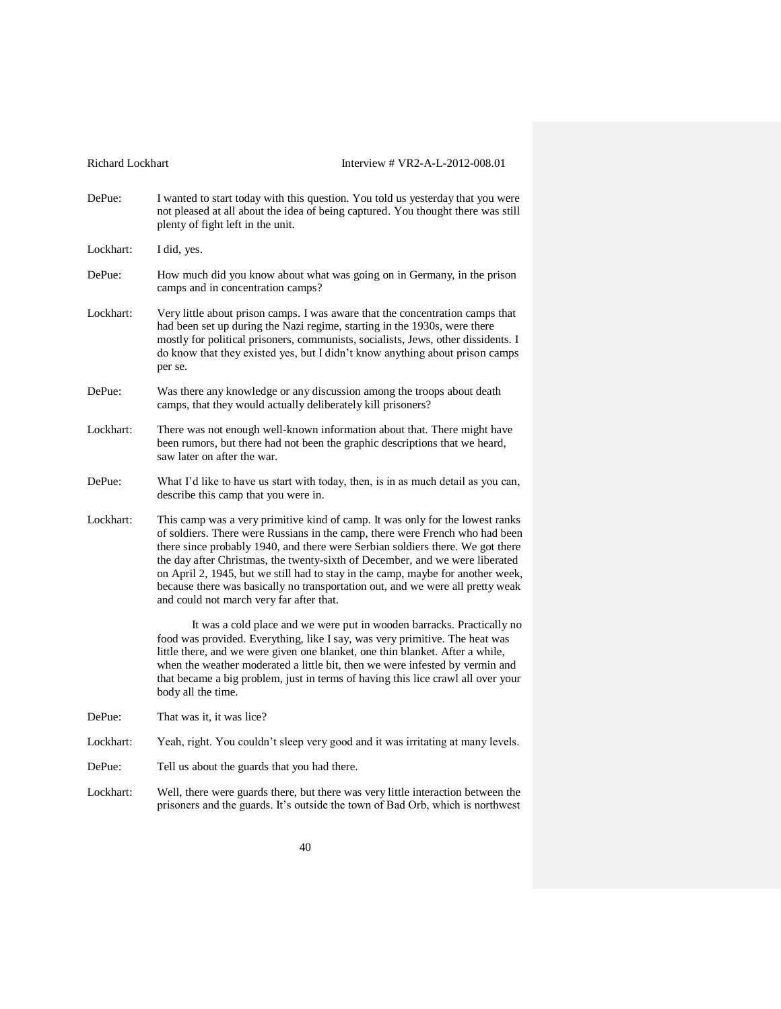Richard Lockhart Interview # VR2-A-L-2012-008.01 DePue: I wanted to start today with this question. You told us yesterday that you were not pleased at all about the idea of being captured. You thought there was still plenty of fight left in the unit. Lockhart: I did, yes. DePue: How much did you know about what was going on in Germany, in the prison camps and in concentration camps? Lockhart: Very little about prison camps. I was aware that the concentration camps that had been set up during the Nazi regime, starting in the 1930s, were there mostly for political prisoners, communists, socialists, Jews, other dissidents. I do know that they existed yes, but I didn't know anything about prison camps per se. DePue: Was there any knowledge or any discussion among the troops about death camps, that they would actually deliberately kill prisoners? Lockhart: There was not enough well-known information about that. There might have been rumors, but there had not been the graphic descriptions that we heard, saw later on after the war. DePue: What I'd like to have us start with today, then, is in as much detail as you can, describe this camp that you were in. Lockhart: This camp was a very primitive kind of camp. It was only for the lowest ranks of soldiers. There were Russians in the camp, there were French who had been there since probably 1940, and there were Serbian soldiers there. We got there the day after Christmas, the twenty-sixth of December, and we were liberated on April 2, 1945, but we still had to stay in the camp, maybe for another week, because there was basically no transportation out, and we were all pretty weak and could not march very far after that. It was a cold place and we were put in wooden barracks. Practically no food was provided. Everything, like I say, was very primitive. The heat was little there, and we were given one blanket, one thin blanket. After a while, when the weather moderated a little bit, then we were infested by vermin and that became a big problem, just in terms of having this lice crawl all over your body all the time. DePue: That was it, it was lice? Lockhart: Yeah, right. You couldn't sleep very good and it was irritating at many levels. DePue: Tell us about the guards that you had there. Lockhart: Well, there were guards there, but there was very little interaction between the prisoners and the guards. It's outside the town of Bad Orb, which is northwest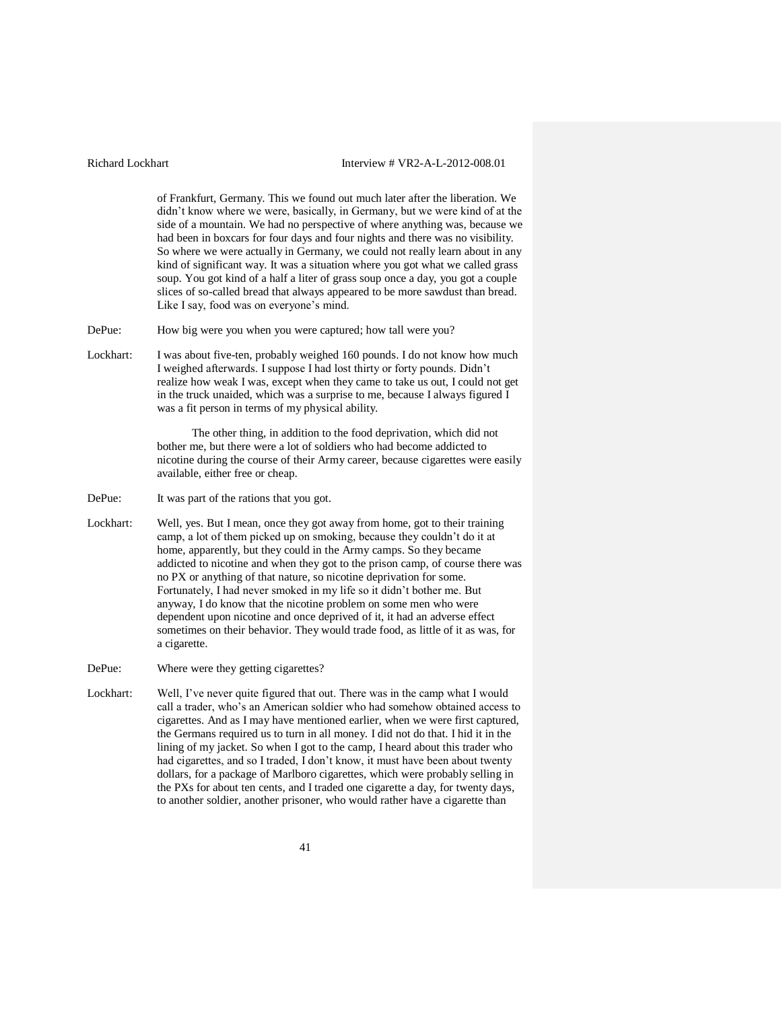of Frankfurt, Germany. This we found out much later after the liberation. We didn't know where we were, basically, in Germany, but we were kind of at the side of a mountain. We had no perspective of where anything was, because we had been in boxcars for four days and four nights and there was no visibility. So where we were actually in Germany, we could not really learn about in any kind of significant way. It was a situation where you got what we called grass soup. You got kind of a half a liter of grass soup once a day, you got a couple slices of so-called bread that always appeared to be more sawdust than bread. Like I say, food was on everyone's mind.

DePue: How big were you when you were captured; how tall were you?

Lockhart: I was about five-ten, probably weighed 160 pounds. I do not know how much I weighed afterwards. I suppose I had lost thirty or forty pounds. Didn't realize how weak I was, except when they came to take us out, I could not get in the truck unaided, which was a surprise to me, because I always figured I was a fit person in terms of my physical ability.

> The other thing, in addition to the food deprivation, which did not bother me, but there were a lot of soldiers who had become addicted to nicotine during the course of their Army career, because cigarettes were easily available, either free or cheap.

- DePue: It was part of the rations that you got.
- Lockhart: Well, yes. But I mean, once they got away from home, got to their training camp, a lot of them picked up on smoking, because they couldn't do it at home, apparently, but they could in the Army camps. So they became addicted to nicotine and when they got to the prison camp, of course there was no PX or anything of that nature, so nicotine deprivation for some. Fortunately, I had never smoked in my life so it didn't bother me. But anyway, I do know that the nicotine problem on some men who were dependent upon nicotine and once deprived of it, it had an adverse effect sometimes on their behavior. They would trade food, as little of it as was, for a cigarette.
- DePue: Where were they getting cigarettes?
- Lockhart: Well, I've never quite figured that out. There was in the camp what I would call a trader, who's an American soldier who had somehow obtained access to cigarettes. And as I may have mentioned earlier, when we were first captured, the Germans required us to turn in all money. I did not do that. I hid it in the lining of my jacket. So when I got to the camp, I heard about this trader who had cigarettes, and so I traded, I don't know, it must have been about twenty dollars, for a package of Marlboro cigarettes, which were probably selling in the PXs for about ten cents, and I traded one cigarette a day, for twenty days, to another soldier, another prisoner, who would rather have a cigarette than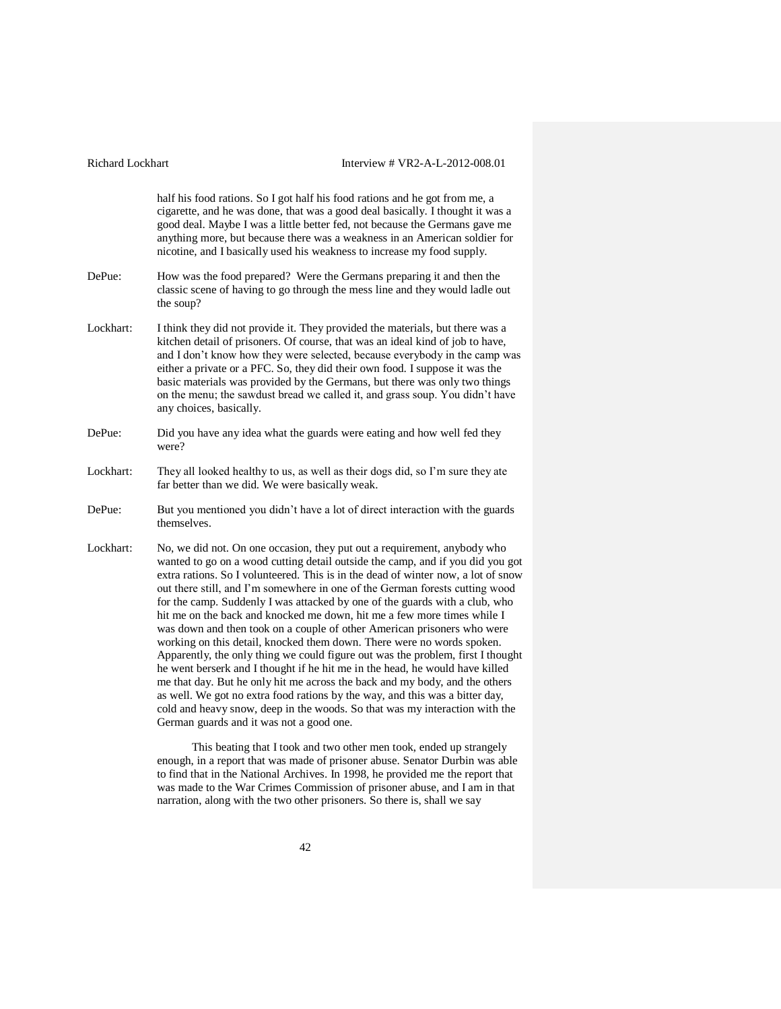| Richard Lockhart | Interview # VR2-A-L-2012-008.01                                                                                                                                                                                                                                                                                                                                                                                                                                                                                                                                                                                                                                                                                                                                                                                                                                                                                                                                                                                                                                                                             |
|------------------|-------------------------------------------------------------------------------------------------------------------------------------------------------------------------------------------------------------------------------------------------------------------------------------------------------------------------------------------------------------------------------------------------------------------------------------------------------------------------------------------------------------------------------------------------------------------------------------------------------------------------------------------------------------------------------------------------------------------------------------------------------------------------------------------------------------------------------------------------------------------------------------------------------------------------------------------------------------------------------------------------------------------------------------------------------------------------------------------------------------|
|                  | half his food rations. So I got half his food rations and he got from me, a<br>cigarette, and he was done, that was a good deal basically. I thought it was a<br>good deal. Maybe I was a little better fed, not because the Germans gave me<br>anything more, but because there was a weakness in an American soldier for<br>nicotine, and I basically used his weakness to increase my food supply.                                                                                                                                                                                                                                                                                                                                                                                                                                                                                                                                                                                                                                                                                                       |
| DePue:           | How was the food prepared? Were the Germans preparing it and then the<br>classic scene of having to go through the mess line and they would ladle out<br>the soup?                                                                                                                                                                                                                                                                                                                                                                                                                                                                                                                                                                                                                                                                                                                                                                                                                                                                                                                                          |
| Lockhart:        | I think they did not provide it. They provided the materials, but there was a<br>kitchen detail of prisoners. Of course, that was an ideal kind of job to have,<br>and I don't know how they were selected, because everybody in the camp was<br>either a private or a PFC. So, they did their own food. I suppose it was the<br>basic materials was provided by the Germans, but there was only two things<br>on the menu; the sawdust bread we called it, and grass soup. You didn't have<br>any choices, basically.                                                                                                                                                                                                                                                                                                                                                                                                                                                                                                                                                                                      |
| DePue:           | Did you have any idea what the guards were eating and how well fed they<br>were?                                                                                                                                                                                                                                                                                                                                                                                                                                                                                                                                                                                                                                                                                                                                                                                                                                                                                                                                                                                                                            |
| Lockhart:        | They all looked healthy to us, as well as their dogs did, so I'm sure they ate<br>far better than we did. We were basically weak.                                                                                                                                                                                                                                                                                                                                                                                                                                                                                                                                                                                                                                                                                                                                                                                                                                                                                                                                                                           |
| DePue:           | But you mentioned you didn't have a lot of direct interaction with the guards<br>themselves.                                                                                                                                                                                                                                                                                                                                                                                                                                                                                                                                                                                                                                                                                                                                                                                                                                                                                                                                                                                                                |
| Lockhart:        | No, we did not. On one occasion, they put out a requirement, anybody who<br>wanted to go on a wood cutting detail outside the camp, and if you did you got<br>extra rations. So I volunteered. This is in the dead of winter now, a lot of snow<br>out there still, and I'm somewhere in one of the German forests cutting wood<br>for the camp. Suddenly I was attacked by one of the guards with a club, who<br>hit me on the back and knocked me down, hit me a few more times while I<br>was down and then took on a couple of other American prisoners who were<br>working on this detail, knocked them down. There were no words spoken.<br>Apparently, the only thing we could figure out was the problem, first I thought<br>he went berserk and I thought if he hit me in the head, he would have killed<br>me that day. But he only hit me across the back and my body, and the others<br>as well. We got no extra food rations by the way, and this was a bitter day,<br>cold and heavy snow, deep in the woods. So that was my interaction with the<br>German guards and it was not a good one. |
|                  | This beating that I took and two other men took, ended up strangely<br>enough, in a report that was made of prisoner abuse. Senator Durbin was able<br>to find that in the National Archives. In 1998, he provided me the report that                                                                                                                                                                                                                                                                                                                                                                                                                                                                                                                                                                                                                                                                                                                                                                                                                                                                       |

42

was made to the War Crimes Commission of prisoner abuse, and I am in that narration, along with the two other prisoners. So there is, shall we say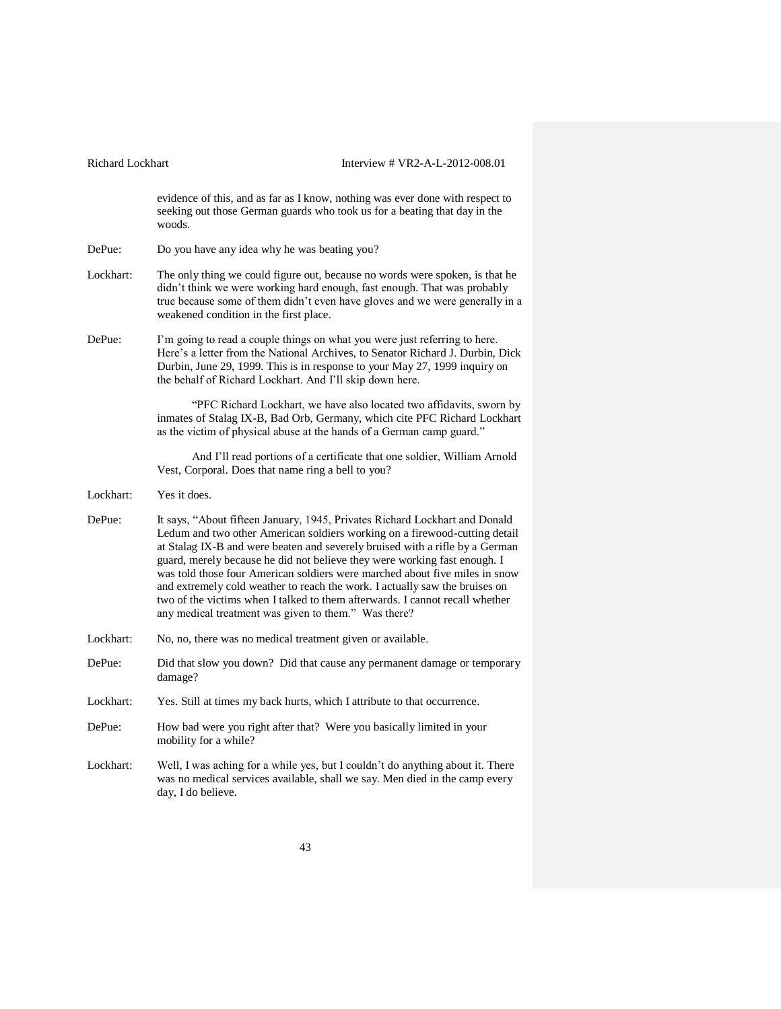evidence of this, and as far as I know, nothing was ever done with respect to seeking out those German guards who took us for a beating that day in the woods. DePue: Do you have any idea why he was beating you? Lockhart: The only thing we could figure out, because no words were spoken, is that he didn't think we were working hard enough, fast enough. That was probably true because some of them didn't even have gloves and we were generally in a weakened condition in the first place. DePue: I'm going to read a couple things on what you were just referring to here. Here's a letter from the National Archives, to Senator Richard J. Durbin, Dick Durbin, June 29, 1999. This is in response to your May 27, 1999 inquiry on the behalf of Richard Lockhart. And I'll skip down here. "PFC Richard Lockhart, we have also located two affidavits, sworn by inmates of Stalag IX-B, Bad Orb, Germany, which cite PFC Richard Lockhart as the victim of physical abuse at the hands of a German camp guard." And I'll read portions of a certificate that one soldier, William Arnold Vest, Corporal. Does that name ring a bell to you? Lockhart: Yes it does. DePue: It says, "About fifteen January, 1945, Privates Richard Lockhart and Donald Ledum and two other American soldiers working on a firewood-cutting detail at Stalag IX-B and were beaten and severely bruised with a rifle by a German guard, merely because he did not believe they were working fast enough. I was told those four American soldiers were marched about five miles in snow and extremely cold weather to reach the work. I actually saw the bruises on two of the victims when I talked to them afterwards. I cannot recall whether any medical treatment was given to them." Was there? Lockhart: No, no, there was no medical treatment given or available. DePue: Did that slow you down? Did that cause any permanent damage or temporary damage? Lockhart: Yes. Still at times my back hurts, which I attribute to that occurrence. DePue: How bad were you right after that? Were you basically limited in your mobility for a while? Lockhart: Well, I was aching for a while yes, but I couldn't do anything about it. There was no medical services available, shall we say. Men died in the camp every day, I do believe.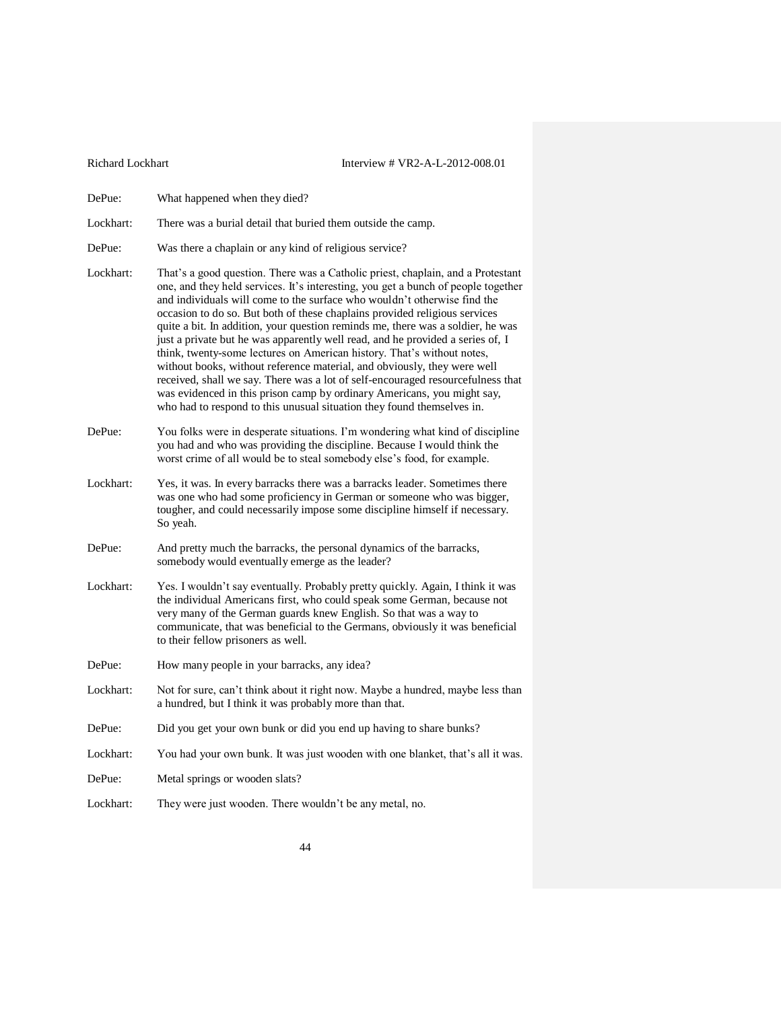- DePue: What happened when they died?
- Lockhart: There was a burial detail that buried them outside the camp.
- DePue: Was there a chaplain or any kind of religious service?
- Lockhart: That's a good question. There was a Catholic priest, chaplain, and a Protestant one, and they held services. It's interesting, you get a bunch of people together and individuals will come to the surface who wouldn't otherwise find the occasion to do so. But both of these chaplains provided religious services quite a bit. In addition, your question reminds me, there was a soldier, he was just a private but he was apparently well read, and he provided a series of, I think, twenty-some lectures on American history. That's without notes, without books, without reference material, and obviously, they were well received, shall we say. There was a lot of self-encouraged resourcefulness that was evidenced in this prison camp by ordinary Americans, you might say, who had to respond to this unusual situation they found themselves in.
- DePue: You folks were in desperate situations. I'm wondering what kind of discipline you had and who was providing the discipline. Because I would think the worst crime of all would be to steal somebody else's food, for example.
- Lockhart: Yes, it was. In every barracks there was a barracks leader. Sometimes there was one who had some proficiency in German or someone who was bigger, tougher, and could necessarily impose some discipline himself if necessary. So yeah.
- DePue: And pretty much the barracks, the personal dynamics of the barracks, somebody would eventually emerge as the leader?
- Lockhart: Yes. I wouldn't say eventually. Probably pretty quickly. Again, I think it was the individual Americans first, who could speak some German, because not very many of the German guards knew English. So that was a way to communicate, that was beneficial to the Germans, obviously it was beneficial to their fellow prisoners as well.
- DePue: How many people in your barracks, any idea?
- Lockhart: Not for sure, can't think about it right now. Maybe a hundred, maybe less than a hundred, but I think it was probably more than that.
- DePue: Did you get your own bunk or did you end up having to share bunks?
- Lockhart: You had your own bunk. It was just wooden with one blanket, that's all it was.
- DePue: Metal springs or wooden slats?
- Lockhart: They were just wooden. There wouldn't be any metal, no.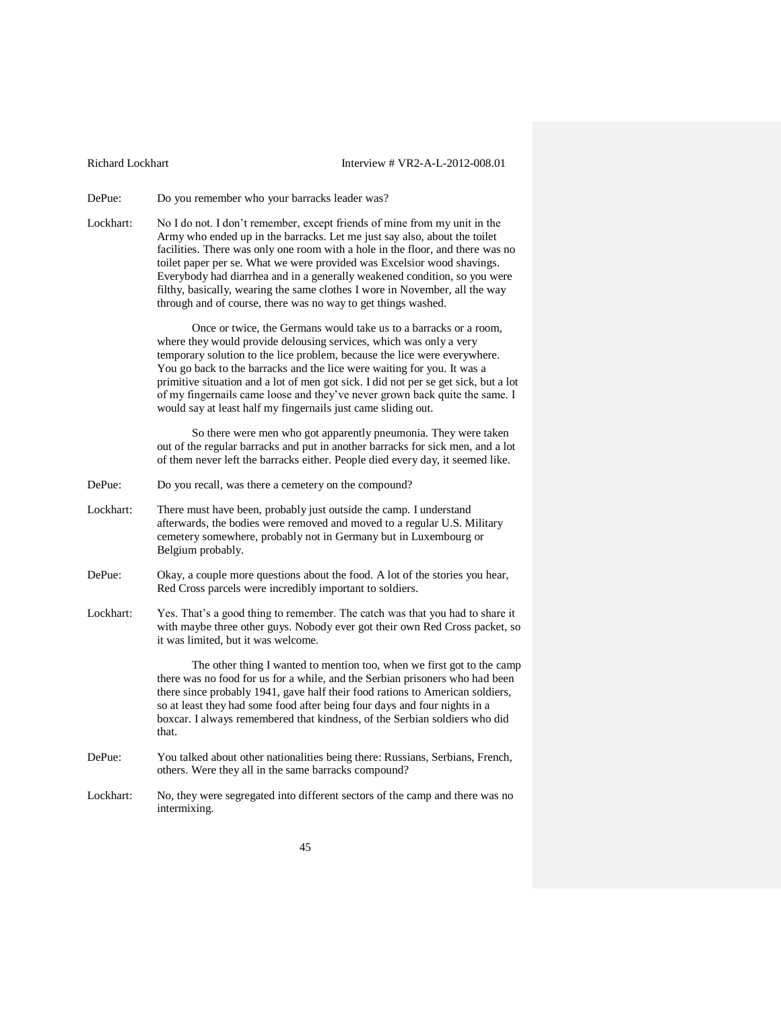DePue: Do you remember who your barracks leader was?

Lockhart: No I do not. I don't remember, except friends of mine from my unit in the Army who ended up in the barracks. Let me just say also, about the toilet facilities. There was only one room with a hole in the floor, and there was no toilet paper per se. What we were provided was Excelsior wood shavings. Everybody had diarrhea and in a generally weakened condition, so you were filthy, basically, wearing the same clothes I wore in November, all the way through and of course, there was no way to get things washed.

> Once or twice, the Germans would take us to a barracks or a room, where they would provide delousing services, which was only a very temporary solution to the lice problem, because the lice were everywhere. You go back to the barracks and the lice were waiting for you. It was a primitive situation and a lot of men got sick. I did not per se get sick, but a lot of my fingernails came loose and they've never grown back quite the same. I would say at least half my fingernails just came sliding out.

> So there were men who got apparently pneumonia. They were taken out of the regular barracks and put in another barracks for sick men, and a lot of them never left the barracks either. People died every day, it seemed like.

- DePue: Do you recall, was there a cemetery on the compound?
- Lockhart: There must have been, probably just outside the camp. I understand afterwards, the bodies were removed and moved to a regular U.S. Military cemetery somewhere, probably not in Germany but in Luxembourg or Belgium probably.
- DePue: Okay, a couple more questions about the food. A lot of the stories you hear, Red Cross parcels were incredibly important to soldiers.
- Lockhart: Yes. That's a good thing to remember. The catch was that you had to share it with maybe three other guys. Nobody ever got their own Red Cross packet, so it was limited, but it was welcome.

The other thing I wanted to mention too, when we first got to the camp there was no food for us for a while, and the Serbian prisoners who had been there since probably 1941, gave half their food rations to American soldiers, so at least they had some food after being four days and four nights in a boxcar. I always remembered that kindness, of the Serbian soldiers who did that.

- DePue: You talked about other nationalities being there: Russians, Serbians, French, others. Were they all in the same barracks compound?
- Lockhart: No, they were segregated into different sectors of the camp and there was no intermixing.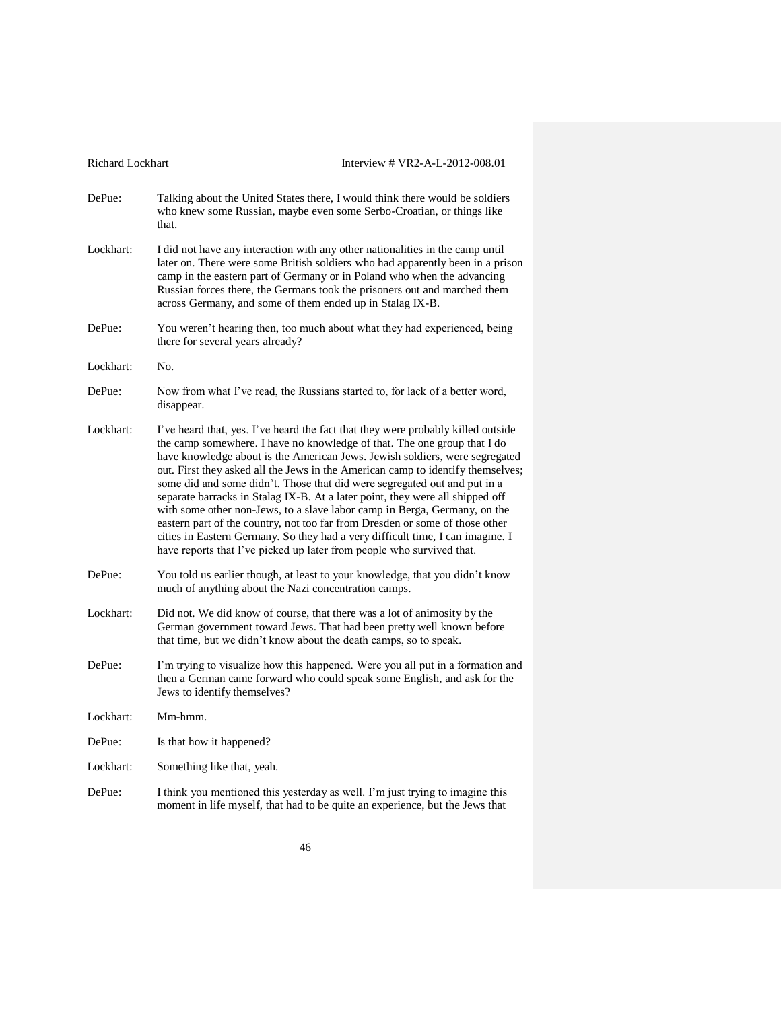| Richard Lockhart | Interview # VR2-A-L-2012-008.01                                                                                                                                                                                                                                                                                                                                                                                                                                                                                                                                                                                                                                                                                                                                                                                      |
|------------------|----------------------------------------------------------------------------------------------------------------------------------------------------------------------------------------------------------------------------------------------------------------------------------------------------------------------------------------------------------------------------------------------------------------------------------------------------------------------------------------------------------------------------------------------------------------------------------------------------------------------------------------------------------------------------------------------------------------------------------------------------------------------------------------------------------------------|
| DePue:           | Talking about the United States there, I would think there would be soldiers<br>who knew some Russian, maybe even some Serbo-Croatian, or things like<br>that.                                                                                                                                                                                                                                                                                                                                                                                                                                                                                                                                                                                                                                                       |
| Lockhart:        | I did not have any interaction with any other nationalities in the camp until<br>later on. There were some British soldiers who had apparently been in a prison<br>camp in the eastern part of Germany or in Poland who when the advancing<br>Russian forces there, the Germans took the prisoners out and marched them<br>across Germany, and some of them ended up in Stalag IX-B.                                                                                                                                                                                                                                                                                                                                                                                                                                 |
| DePue:           | You weren't hearing then, too much about what they had experienced, being<br>there for several years already?                                                                                                                                                                                                                                                                                                                                                                                                                                                                                                                                                                                                                                                                                                        |
| Lockhart:        | No.                                                                                                                                                                                                                                                                                                                                                                                                                                                                                                                                                                                                                                                                                                                                                                                                                  |
| DePue:           | Now from what I've read, the Russians started to, for lack of a better word,<br>disappear.                                                                                                                                                                                                                                                                                                                                                                                                                                                                                                                                                                                                                                                                                                                           |
| Lockhart:        | I've heard that, yes. I've heard the fact that they were probably killed outside<br>the camp somewhere. I have no knowledge of that. The one group that I do<br>have knowledge about is the American Jews. Jewish soldiers, were segregated<br>out. First they asked all the Jews in the American camp to identify themselves;<br>some did and some didn't. Those that did were segregated out and put in a<br>separate barracks in Stalag IX-B. At a later point, they were all shipped off<br>with some other non-Jews, to a slave labor camp in Berga, Germany, on the<br>eastern part of the country, not too far from Dresden or some of those other<br>cities in Eastern Germany. So they had a very difficult time, I can imagine. I<br>have reports that I've picked up later from people who survived that. |
| DePue:           | You told us earlier though, at least to your knowledge, that you didn't know<br>much of anything about the Nazi concentration camps.                                                                                                                                                                                                                                                                                                                                                                                                                                                                                                                                                                                                                                                                                 |
| Lockhart:        | Did not. We did know of course, that there was a lot of animosity by the<br>German government toward Jews. That had been pretty well known before<br>that time, but we didn't know about the death camps, so to speak.                                                                                                                                                                                                                                                                                                                                                                                                                                                                                                                                                                                               |
| DePue:           | I'm trying to visualize how this happened. Were you all put in a formation and<br>then a German came forward who could speak some English, and ask for the<br>Jews to identify themselves?                                                                                                                                                                                                                                                                                                                                                                                                                                                                                                                                                                                                                           |
| Lockhart:        | Mm-hmm.                                                                                                                                                                                                                                                                                                                                                                                                                                                                                                                                                                                                                                                                                                                                                                                                              |
| DePue:           | Is that how it happened?                                                                                                                                                                                                                                                                                                                                                                                                                                                                                                                                                                                                                                                                                                                                                                                             |
| Lockhart:        | Something like that, yeah.                                                                                                                                                                                                                                                                                                                                                                                                                                                                                                                                                                                                                                                                                                                                                                                           |
| DePue:           | I think you mentioned this yesterday as well. I'm just trying to imagine this<br>moment in life myself, that had to be quite an experience, but the Jews that                                                                                                                                                                                                                                                                                                                                                                                                                                                                                                                                                                                                                                                        |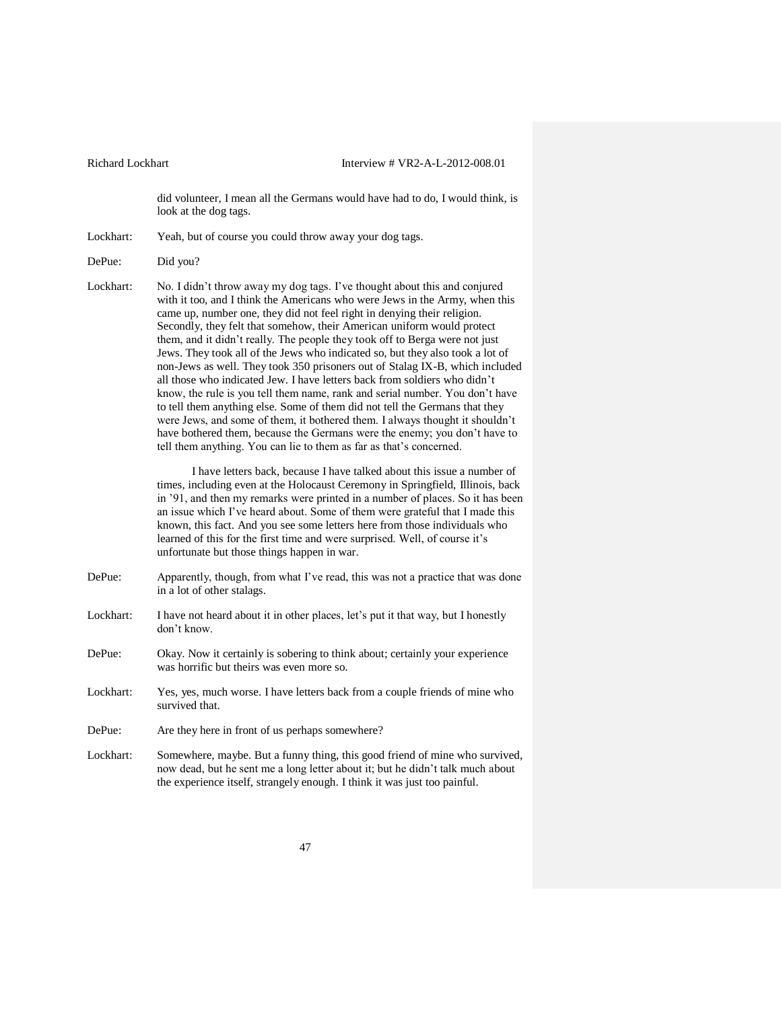did volunteer, I mean all the Germans would have had to do, I would think, is look at the dog tags.

Lockhart: Yeah, but of course you could throw away your dog tags.

Lockhart: No. I didn't throw away my dog tags. I've thought about this and conjured with it too, and I think the Americans who were Jews in the Army, when this came up, number one, they did not feel right in denying their religion. Secondly, they felt that somehow, their American uniform would protect them, and it didn't really. The people they took off to Berga were not just Jews. They took all of the Jews who indicated so, but they also took a lot of non-Jews as well. They took 350 prisoners out of Stalag IX-B, which included all those who indicated Jew. I have letters back from soldiers who didn't know, the rule is you tell them name, rank and serial number. You don't have to tell them anything else. Some of them did not tell the Germans that they were Jews, and some of them, it bothered them. I always thought it shouldn't have bothered them, because the Germans were the enemy; you don't have to tell them anything. You can lie to them as far as that's concerned.

> I have letters back, because I have talked about this issue a number of times, including even at the Holocaust Ceremony in Springfield, Illinois, back in '91, and then my remarks were printed in a number of places. So it has been an issue which I've heard about. Some of them were grateful that I made this known, this fact. And you see some letters here from those individuals who learned of this for the first time and were surprised. Well, of course it's unfortunate but those things happen in war.

- DePue: Apparently, though, from what I've read, this was not a practice that was done in a lot of other stalags.
- Lockhart: I have not heard about it in other places, let's put it that way, but I honestly don't know.
- DePue: Okay. Now it certainly is sobering to think about; certainly your experience was horrific but theirs was even more so.
- Lockhart: Yes, yes, much worse. I have letters back from a couple friends of mine who survived that.
- DePue: Are they here in front of us perhaps somewhere?
- Lockhart: Somewhere, maybe. But a funny thing, this good friend of mine who survived, now dead, but he sent me a long letter about it; but he didn't talk much about the experience itself, strangely enough. I think it was just too painful.

DePue: Did you?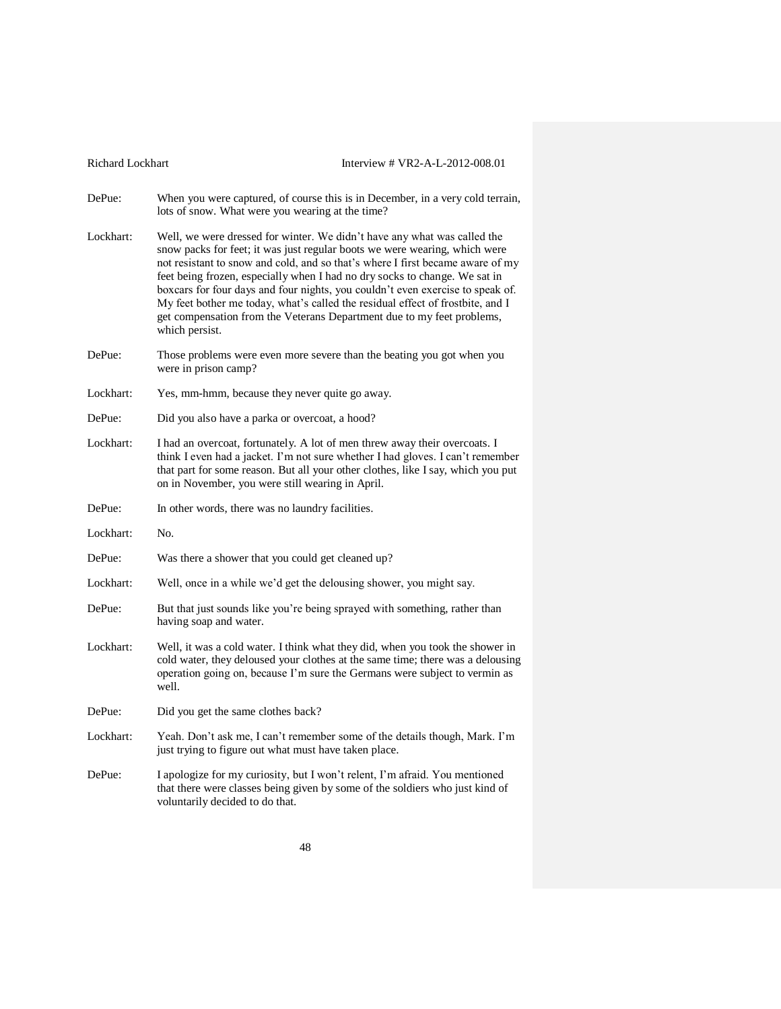| <b>Richard Lockhart</b> | Interview # VR2-A-L-2012-008.01                                                                                                                                                                                                                                                                                                                                                                                                                                                                                                                                                        |
|-------------------------|----------------------------------------------------------------------------------------------------------------------------------------------------------------------------------------------------------------------------------------------------------------------------------------------------------------------------------------------------------------------------------------------------------------------------------------------------------------------------------------------------------------------------------------------------------------------------------------|
| DePue:                  | When you were captured, of course this is in December, in a very cold terrain,<br>lots of snow. What were you wearing at the time?                                                                                                                                                                                                                                                                                                                                                                                                                                                     |
| Lockhart:               | Well, we were dressed for winter. We didn't have any what was called the<br>snow packs for feet; it was just regular boots we were wearing, which were<br>not resistant to snow and cold, and so that's where I first became aware of my<br>feet being frozen, especially when I had no dry socks to change. We sat in<br>boxcars for four days and four nights, you couldn't even exercise to speak of.<br>My feet bother me today, what's called the residual effect of frostbite, and I<br>get compensation from the Veterans Department due to my feet problems,<br>which persist. |
| DePue:                  | Those problems were even more severe than the beating you got when you<br>were in prison camp?                                                                                                                                                                                                                                                                                                                                                                                                                                                                                         |
| Lockhart:               | Yes, mm-hmm, because they never quite go away.                                                                                                                                                                                                                                                                                                                                                                                                                                                                                                                                         |
| DePue:                  | Did you also have a parka or overcoat, a hood?                                                                                                                                                                                                                                                                                                                                                                                                                                                                                                                                         |
| Lockhart:               | I had an overcoat, fortunately. A lot of men threw away their overcoats. I<br>think I even had a jacket. I'm not sure whether I had gloves. I can't remember<br>that part for some reason. But all your other clothes, like I say, which you put<br>on in November, you were still wearing in April.                                                                                                                                                                                                                                                                                   |
| DePue:                  | In other words, there was no laundry facilities.                                                                                                                                                                                                                                                                                                                                                                                                                                                                                                                                       |
| Lockhart:               | No.                                                                                                                                                                                                                                                                                                                                                                                                                                                                                                                                                                                    |
| DePue:                  | Was there a shower that you could get cleaned up?                                                                                                                                                                                                                                                                                                                                                                                                                                                                                                                                      |
| Lockhart:               | Well, once in a while we'd get the delousing shower, you might say.                                                                                                                                                                                                                                                                                                                                                                                                                                                                                                                    |
| DePue:                  | But that just sounds like you're being sprayed with something, rather than<br>having soap and water.                                                                                                                                                                                                                                                                                                                                                                                                                                                                                   |
| Lockhart:               | Well, it was a cold water. I think what they did, when you took the shower in<br>cold water, they deloused your clothes at the same time; there was a delousing<br>operation going on, because I'm sure the Germans were subject to vermin as<br>well.                                                                                                                                                                                                                                                                                                                                 |
| DePue:                  | Did you get the same clothes back?                                                                                                                                                                                                                                                                                                                                                                                                                                                                                                                                                     |
| Lockhart:               | Yeah. Don't ask me, I can't remember some of the details though, Mark. I'm<br>just trying to figure out what must have taken place.                                                                                                                                                                                                                                                                                                                                                                                                                                                    |
| DePue:                  | I apologize for my curiosity, but I won't relent, I'm afraid. You mentioned<br>that there were classes being given by some of the soldiers who just kind of<br>voluntarily decided to do that.                                                                                                                                                                                                                                                                                                                                                                                         |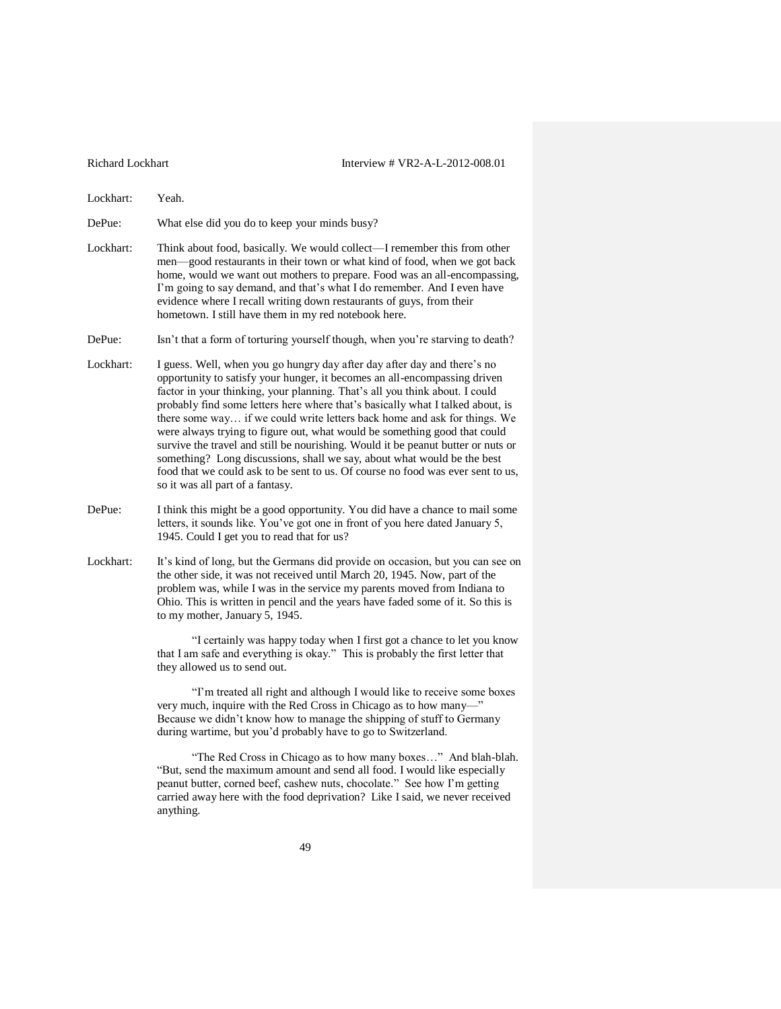Lockhart: Yeah.

DePue: What else did you do to keep your minds busy?

- Lockhart: Think about food, basically. We would collect—I remember this from other men—good restaurants in their town or what kind of food, when we got back home, would we want out mothers to prepare. Food was an all-encompassing, I'm going to say demand, and that's what I do remember. And I even have evidence where I recall writing down restaurants of guys, from their hometown. I still have them in my red notebook here.
- DePue: Isn't that a form of torturing yourself though, when you're starving to death?
- Lockhart: I guess. Well, when you go hungry day after day after day and there's no opportunity to satisfy your hunger, it becomes an all-encompassing driven factor in your thinking, your planning. That's all you think about. I could probably find some letters here where that's basically what I talked about, is there some way… if we could write letters back home and ask for things. We were always trying to figure out, what would be something good that could survive the travel and still be nourishing. Would it be peanut butter or nuts or something? Long discussions, shall we say, about what would be the best food that we could ask to be sent to us. Of course no food was ever sent to us, so it was all part of a fantasy.
- DePue: I think this might be a good opportunity. You did have a chance to mail some letters, it sounds like. You've got one in front of you here dated January 5, 1945. Could I get you to read that for us?
- Lockhart: It's kind of long, but the Germans did provide on occasion, but you can see on the other side, it was not received until March 20, 1945. Now, part of the problem was, while I was in the service my parents moved from Indiana to Ohio. This is written in pencil and the years have faded some of it. So this is to my mother, January 5, 1945.

"I certainly was happy today when I first got a chance to let you know that I am safe and everything is okay." This is probably the first letter that they allowed us to send out.

"I'm treated all right and although I would like to receive some boxes very much, inquire with the Red Cross in Chicago as to how many—" Because we didn't know how to manage the shipping of stuff to Germany during wartime, but you'd probably have to go to Switzerland.

"The Red Cross in Chicago as to how many boxes…" And blah-blah. "But, send the maximum amount and send all food. I would like especially peanut butter, corned beef, cashew nuts, chocolate." See how I'm getting carried away here with the food deprivation? Like I said, we never received anything.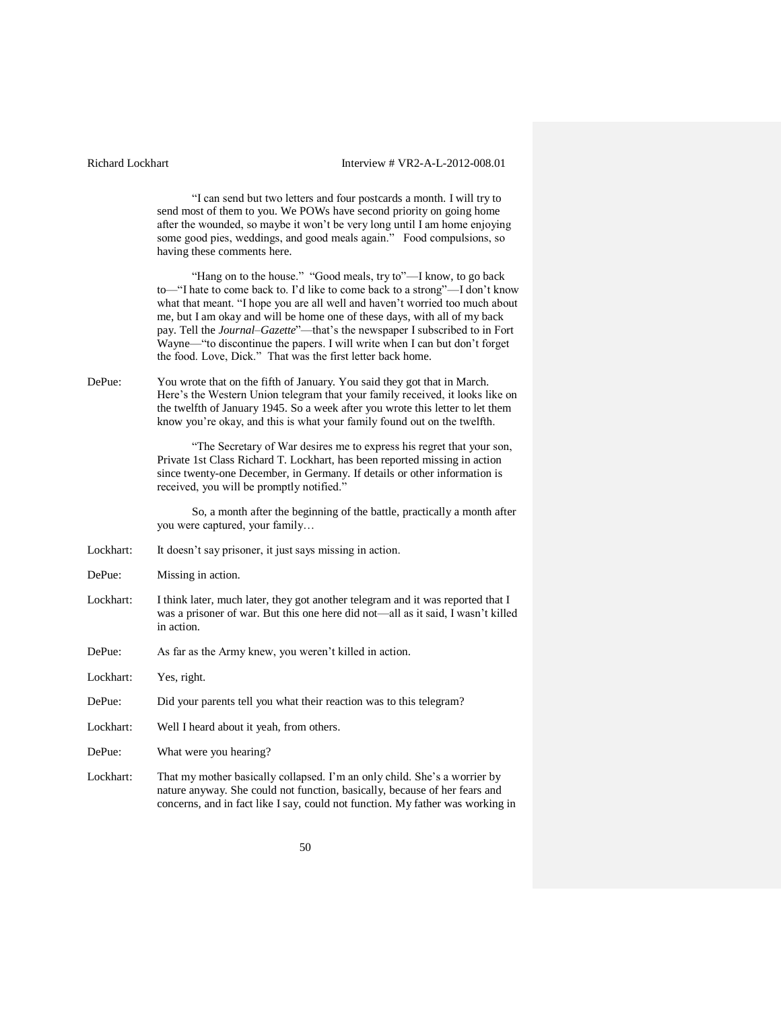"I can send but two letters and four postcards a month. I will try to send most of them to you. We POWs have second priority on going home after the wounded, so maybe it won't be very long until I am home enjoying some good pies, weddings, and good meals again." Food compulsions, so having these comments here.

"Hang on to the house." "Good meals, try to"—I know, to go back to—"I hate to come back to. I'd like to come back to a strong"—I don't know what that meant. "I hope you are all well and haven't worried too much about me, but I am okay and will be home one of these days, with all of my back pay. Tell the *Journal–Gazette*"—that's the newspaper I subscribed to in Fort Wayne—"to discontinue the papers. I will write when I can but don't forget the food. Love, Dick." That was the first letter back home.

DePue: You wrote that on the fifth of January. You said they got that in March. Here's the Western Union telegram that your family received, it looks like on the twelfth of January 1945. So a week after you wrote this letter to let them know you're okay, and this is what your family found out on the twelfth.

> "The Secretary of War desires me to express his regret that your son, Private 1st Class Richard T. Lockhart, has been reported missing in action since twenty-one December, in Germany. If details or other information is received, you will be promptly notified."

> So, a month after the beginning of the battle, practically a month after you were captured, your family…

- Lockhart: It doesn't say prisoner, it just says missing in action.
- DePue: Missing in action.
- Lockhart: I think later, much later, they got another telegram and it was reported that I was a prisoner of war. But this one here did not—all as it said, I wasn't killed in action.
- DePue: As far as the Army knew, you weren't killed in action.
- Lockhart: Yes, right.
- DePue: Did your parents tell you what their reaction was to this telegram?
- Lockhart: Well I heard about it yeah, from others.

DePue: What were you hearing?

Lockhart: That my mother basically collapsed. I'm an only child. She's a worrier by nature anyway. She could not function, basically, because of her fears and concerns, and in fact like I say, could not function. My father was working in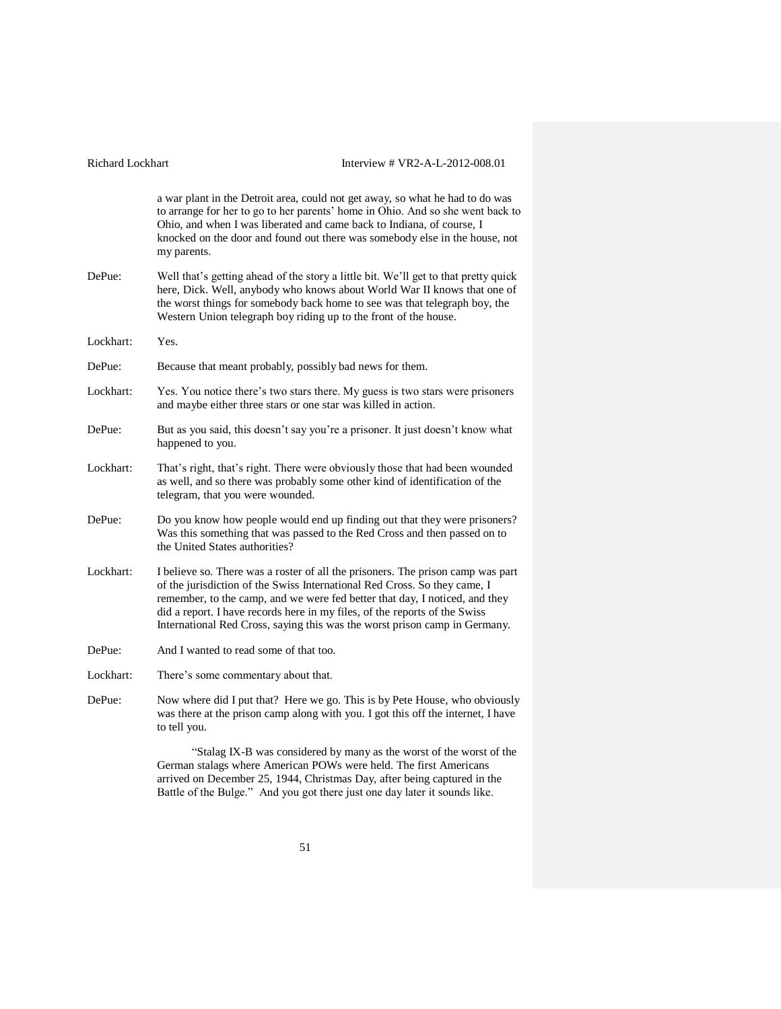| <b>Richard Lockhart</b> | Interview # VR2-A-L-2012-008.01                                                                                                                                                                                                                                                                                                                                                                         |
|-------------------------|---------------------------------------------------------------------------------------------------------------------------------------------------------------------------------------------------------------------------------------------------------------------------------------------------------------------------------------------------------------------------------------------------------|
|                         | a war plant in the Detroit area, could not get away, so what he had to do was<br>to arrange for her to go to her parents' home in Ohio. And so she went back to<br>Ohio, and when I was liberated and came back to Indiana, of course, I<br>knocked on the door and found out there was somebody else in the house, not<br>my parents.                                                                  |
| DePue:                  | Well that's getting ahead of the story a little bit. We'll get to that pretty quick<br>here, Dick. Well, anybody who knows about World War II knows that one of<br>the worst things for somebody back home to see was that telegraph boy, the<br>Western Union telegraph boy riding up to the front of the house.                                                                                       |
| Lockhart:               | Yes.                                                                                                                                                                                                                                                                                                                                                                                                    |
| DePue:                  | Because that meant probably, possibly bad news for them.                                                                                                                                                                                                                                                                                                                                                |
| Lockhart:               | Yes. You notice there's two stars there. My guess is two stars were prisoners<br>and maybe either three stars or one star was killed in action.                                                                                                                                                                                                                                                         |
| DePue:                  | But as you said, this doesn't say you're a prisoner. It just doesn't know what<br>happened to you.                                                                                                                                                                                                                                                                                                      |
| Lockhart:               | That's right, that's right. There were obviously those that had been wounded<br>as well, and so there was probably some other kind of identification of the<br>telegram, that you were wounded.                                                                                                                                                                                                         |
| DePue:                  | Do you know how people would end up finding out that they were prisoners?<br>Was this something that was passed to the Red Cross and then passed on to<br>the United States authorities?                                                                                                                                                                                                                |
| Lockhart:               | I believe so. There was a roster of all the prisoners. The prison camp was part<br>of the jurisdiction of the Swiss International Red Cross. So they came, I<br>remember, to the camp, and we were fed better that day, I noticed, and they<br>did a report. I have records here in my files, of the reports of the Swiss<br>International Red Cross, saying this was the worst prison camp in Germany. |
| DePue:                  | And I wanted to read some of that too.                                                                                                                                                                                                                                                                                                                                                                  |
| Lockhart:               | There's some commentary about that.                                                                                                                                                                                                                                                                                                                                                                     |
| DePue:                  | Now where did I put that? Here we go. This is by Pete House, who obviously<br>was there at the prison camp along with you. I got this off the internet, I have<br>to tell you.                                                                                                                                                                                                                          |
|                         | "Stalag IX-B was considered by many as the worst of the worst of the<br>German stalags where American POWs were held. The first Americans<br>arrived on December 25, 1944, Christmas Day, after being captured in the<br>Battle of the Bulge." And you got there just one day later it sounds like.                                                                                                     |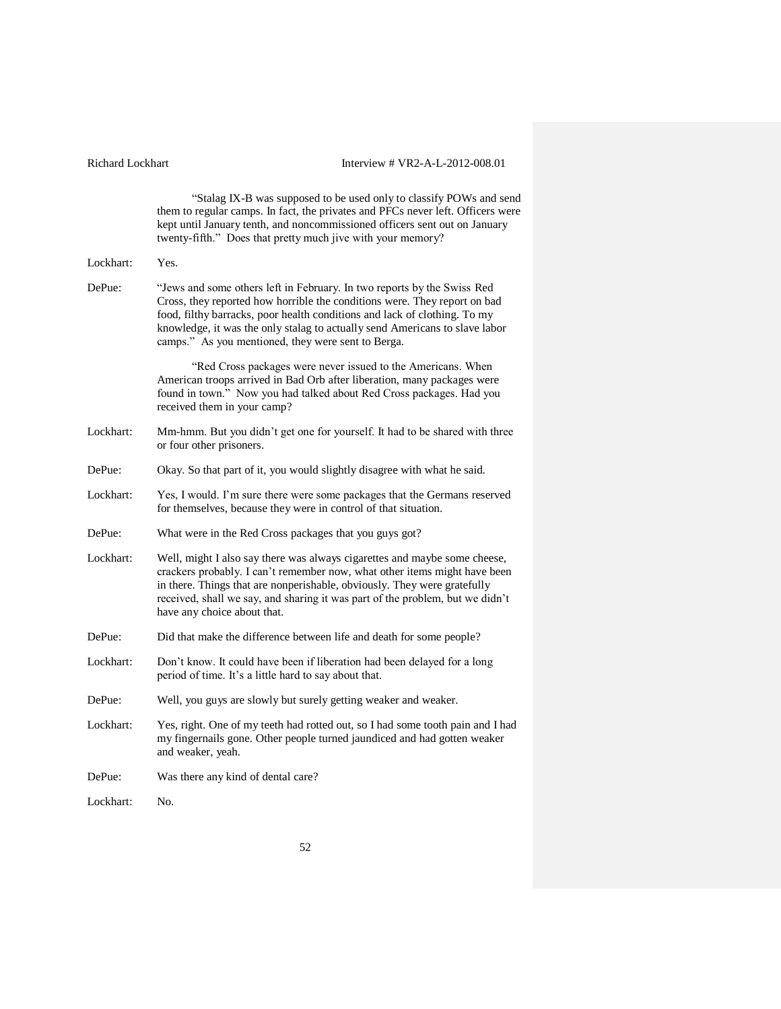"Stalag IX-B was supposed to be used only to classify POWs and send them to regular camps. In fact, the privates and PFCs never left. Officers were kept until January tenth, and noncommissioned officers sent out on January twenty-fifth." Does that pretty much jive with your memory? Lockhart: Yes. DePue: "Jews and some others left in February. In two reports by the Swiss Red Cross, they reported how horrible the conditions were. They report on bad food, filthy barracks, poor health conditions and lack of clothing. To my knowledge, it was the only stalag to actually send Americans to slave labor camps." As you mentioned, they were sent to Berga. "Red Cross packages were never issued to the Americans. When American troops arrived in Bad Orb after liberation, many packages were found in town." Now you had talked about Red Cross packages. Had you received them in your camp? Lockhart: Mm-hmm. But you didn't get one for yourself. It had to be shared with three or four other prisoners. DePue: Okay. So that part of it, you would slightly disagree with what he said. Lockhart: Yes, I would. I'm sure there were some packages that the Germans reserved for themselves, because they were in control of that situation. DePue: What were in the Red Cross packages that you guys got? Lockhart: Well, might I also say there was always cigarettes and maybe some cheese, crackers probably. I can't remember now, what other items might have been in there. Things that are nonperishable, obviously. They were gratefully received, shall we say, and sharing it was part of the problem, but we didn't have any choice about that. DePue: Did that make the difference between life and death for some people? Lockhart: Don't know. It could have been if liberation had been delayed for a long period of time. It's a little hard to say about that. DePue: Well, you guys are slowly but surely getting weaker and weaker. Lockhart: Yes, right. One of my teeth had rotted out, so I had some tooth pain and I had my fingernails gone. Other people turned jaundiced and had gotten weaker and weaker, yeah. DePue: Was there any kind of dental care? Lockhart: No.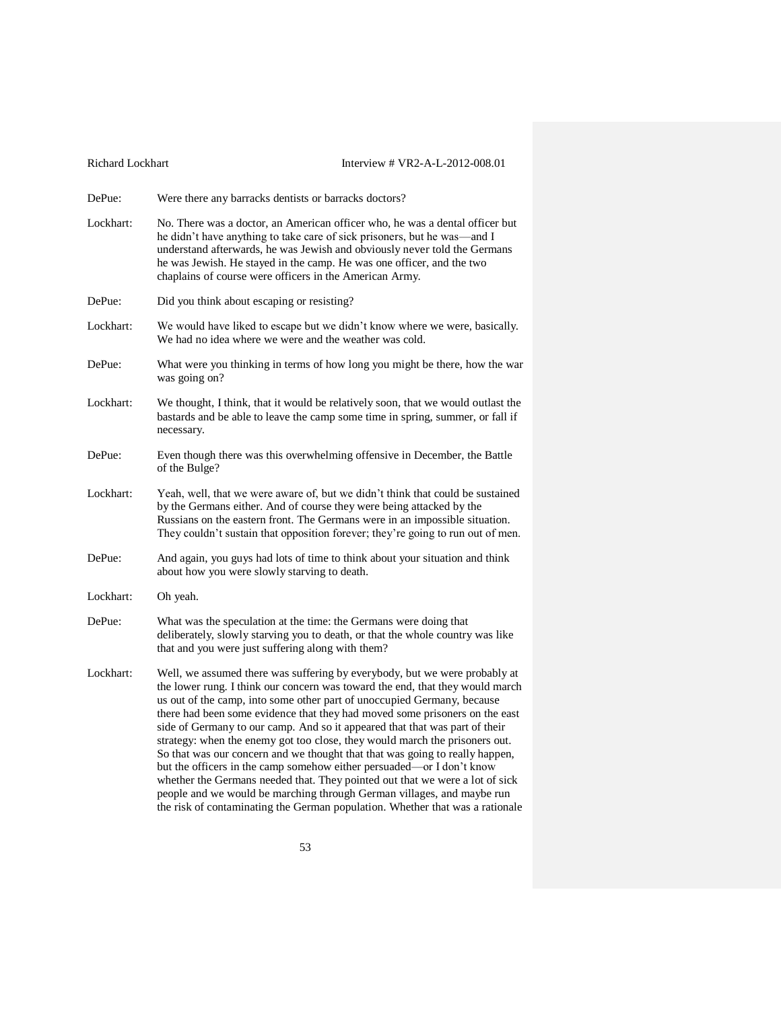| <b>Richard Lockhart</b> | Interview # VR2-A-L-2012-008.01                                                                                                                                                                                                                                                                                                                                                                                                                                                                                                                                                                                                                                                                                                                                                                                                                                                         |
|-------------------------|-----------------------------------------------------------------------------------------------------------------------------------------------------------------------------------------------------------------------------------------------------------------------------------------------------------------------------------------------------------------------------------------------------------------------------------------------------------------------------------------------------------------------------------------------------------------------------------------------------------------------------------------------------------------------------------------------------------------------------------------------------------------------------------------------------------------------------------------------------------------------------------------|
| DePue:                  | Were there any barracks dentists or barracks doctors?                                                                                                                                                                                                                                                                                                                                                                                                                                                                                                                                                                                                                                                                                                                                                                                                                                   |
| Lockhart:               | No. There was a doctor, an American officer who, he was a dental officer but<br>he didn't have anything to take care of sick prisoners, but he was—and I<br>understand afterwards, he was Jewish and obviously never told the Germans<br>he was Jewish. He stayed in the camp. He was one officer, and the two<br>chaplains of course were officers in the American Army.                                                                                                                                                                                                                                                                                                                                                                                                                                                                                                               |
| DePue:                  | Did you think about escaping or resisting?                                                                                                                                                                                                                                                                                                                                                                                                                                                                                                                                                                                                                                                                                                                                                                                                                                              |
| Lockhart:               | We would have liked to escape but we didn't know where we were, basically.<br>We had no idea where we were and the weather was cold.                                                                                                                                                                                                                                                                                                                                                                                                                                                                                                                                                                                                                                                                                                                                                    |
| DePue:                  | What were you thinking in terms of how long you might be there, how the war<br>was going on?                                                                                                                                                                                                                                                                                                                                                                                                                                                                                                                                                                                                                                                                                                                                                                                            |
| Lockhart:               | We thought, I think, that it would be relatively soon, that we would outlast the<br>bastards and be able to leave the camp some time in spring, summer, or fall if<br>necessary.                                                                                                                                                                                                                                                                                                                                                                                                                                                                                                                                                                                                                                                                                                        |
| DePue:                  | Even though there was this overwhelming offensive in December, the Battle<br>of the Bulge?                                                                                                                                                                                                                                                                                                                                                                                                                                                                                                                                                                                                                                                                                                                                                                                              |
| Lockhart:               | Yeah, well, that we were aware of, but we didn't think that could be sustained<br>by the Germans either. And of course they were being attacked by the<br>Russians on the eastern front. The Germans were in an impossible situation.<br>They couldn't sustain that opposition forever; they're going to run out of men.                                                                                                                                                                                                                                                                                                                                                                                                                                                                                                                                                                |
| DePue:                  | And again, you guys had lots of time to think about your situation and think<br>about how you were slowly starving to death.                                                                                                                                                                                                                                                                                                                                                                                                                                                                                                                                                                                                                                                                                                                                                            |
| Lockhart:               | Oh yeah.                                                                                                                                                                                                                                                                                                                                                                                                                                                                                                                                                                                                                                                                                                                                                                                                                                                                                |
| DePue:                  | What was the speculation at the time: the Germans were doing that<br>deliberately, slowly starving you to death, or that the whole country was like<br>that and you were just suffering along with them?                                                                                                                                                                                                                                                                                                                                                                                                                                                                                                                                                                                                                                                                                |
| Lockhart:               | Well, we assumed there was suffering by everybody, but we were probably at<br>the lower rung. I think our concern was toward the end, that they would march<br>us out of the camp, into some other part of unoccupied Germany, because<br>there had been some evidence that they had moved some prisoners on the east<br>side of Germany to our camp. And so it appeared that that was part of their<br>strategy: when the enemy got too close, they would march the prisoners out.<br>So that was our concern and we thought that that was going to really happen,<br>but the officers in the camp somehow either persuaded—or I don't know<br>whether the Germans needed that. They pointed out that we were a lot of sick<br>people and we would be marching through German villages, and maybe run<br>the risk of contaminating the German population. Whether that was a rationale |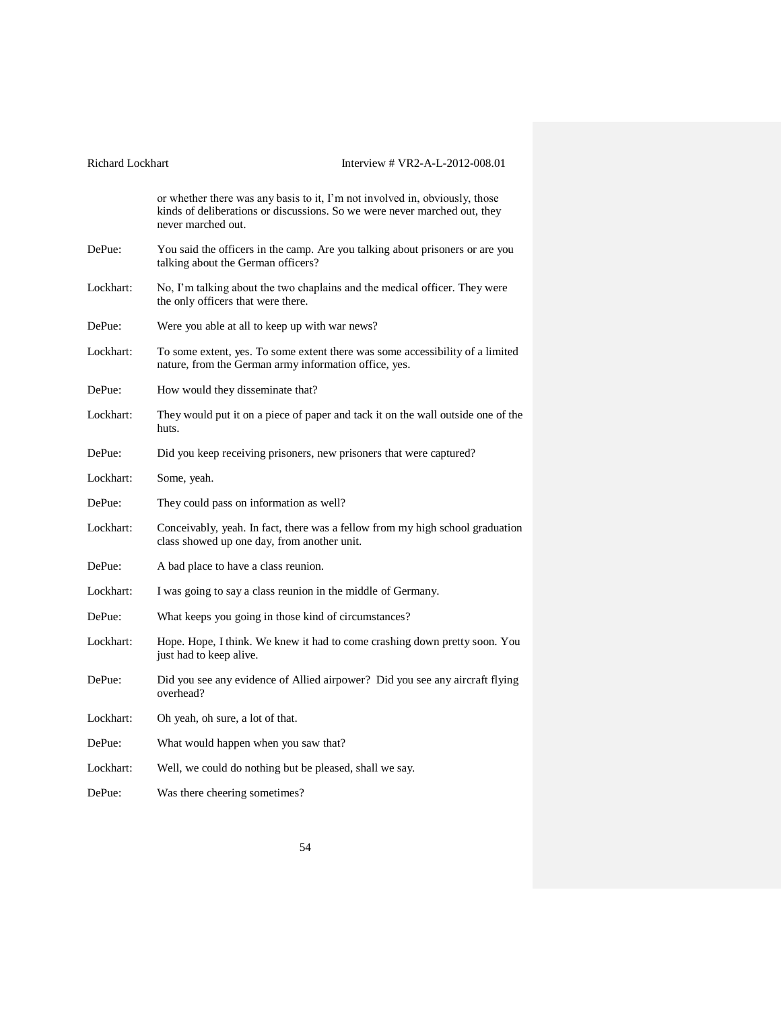|           | or whether there was any basis to it, I'm not involved in, obviously, those<br>kinds of deliberations or discussions. So we were never marched out, they<br>never marched out. |
|-----------|--------------------------------------------------------------------------------------------------------------------------------------------------------------------------------|
| DePue:    | You said the officers in the camp. Are you talking about prisoners or are you<br>talking about the German officers?                                                            |
| Lockhart: | No, I'm talking about the two chaplains and the medical officer. They were<br>the only officers that were there.                                                               |
| DePue:    | Were you able at all to keep up with war news?                                                                                                                                 |
| Lockhart: | To some extent, yes. To some extent there was some accessibility of a limited<br>nature, from the German army information office, yes.                                         |
| DePue:    | How would they disseminate that?                                                                                                                                               |
| Lockhart: | They would put it on a piece of paper and tack it on the wall outside one of the<br>huts.                                                                                      |
| DePue:    | Did you keep receiving prisoners, new prisoners that were captured?                                                                                                            |
| Lockhart: | Some, yeah.                                                                                                                                                                    |
| DePue:    | They could pass on information as well?                                                                                                                                        |
| Lockhart: | Conceivably, yeah. In fact, there was a fellow from my high school graduation<br>class showed up one day, from another unit.                                                   |
| DePue:    | A bad place to have a class reunion.                                                                                                                                           |
| Lockhart: | I was going to say a class reunion in the middle of Germany.                                                                                                                   |
| DePue:    | What keeps you going in those kind of circumstances?                                                                                                                           |
| Lockhart: | Hope. Hope, I think. We knew it had to come crashing down pretty soon. You<br>just had to keep alive.                                                                          |
| DePue:    | Did you see any evidence of Allied airpower? Did you see any aircraft flying<br>overhead?                                                                                      |
| Lockhart: | Oh yeah, oh sure, a lot of that.                                                                                                                                               |
| DePue:    | What would happen when you saw that?                                                                                                                                           |
| Lockhart: | Well, we could do nothing but be pleased, shall we say.                                                                                                                        |
| DePue:    | Was there cheering sometimes?                                                                                                                                                  |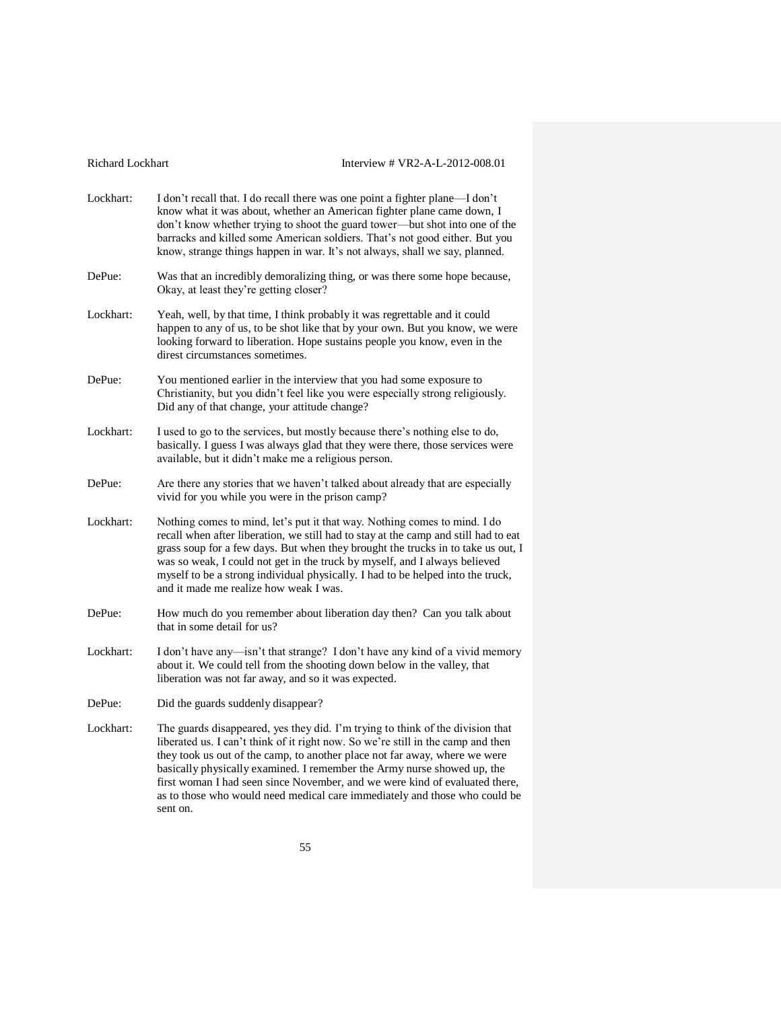|  |  |  | Richard Lockhart |
|--|--|--|------------------|
|--|--|--|------------------|

### Interview # VR2-A-L-2012-008.01

Lockhart: I don't recall that. I do recall there was one point a fighter plane—I don't know what it was about, whether an American fighter plane came down, I don't know whether trying to shoot the guard tower—but shot into one of the barracks and killed some American soldiers. That's not good either. But you know, strange things happen in war. It's not always, shall we say, planned. DePue: Was that an incredibly demoralizing thing, or was there some hope because, Okay, at least they're getting closer? Lockhart: Yeah, well, by that time, I think probably it was regrettable and it could happen to any of us, to be shot like that by your own. But you know, we were looking forward to liberation. Hope sustains people you know, even in the direst circumstances sometimes. DePue: You mentioned earlier in the interview that you had some exposure to Christianity, but you didn't feel like you were especially strong religiously. Did any of that change, your attitude change? Lockhart: I used to go to the services, but mostly because there's nothing else to do, basically. I guess I was always glad that they were there, those services were available, but it didn't make me a religious person. DePue: Are there any stories that we haven't talked about already that are especially vivid for you while you were in the prison camp? Lockhart: Nothing comes to mind, let's put it that way. Nothing comes to mind. I do recall when after liberation, we still had to stay at the camp and still had to eat grass soup for a few days. But when they brought the trucks in to take us out, I was so weak, I could not get in the truck by myself, and I always believed myself to be a strong individual physically. I had to be helped into the truck, and it made me realize how weak I was. DePue: How much do you remember about liberation day then? Can you talk about that in some detail for us? Lockhart: I don't have any—isn't that strange? I don't have any kind of a vivid memory about it. We could tell from the shooting down below in the valley, that liberation was not far away, and so it was expected. DePue: Did the guards suddenly disappear? Lockhart: The guards disappeared, yes they did. I'm trying to think of the division that liberated us. I can't think of it right now. So we're still in the camp and then they took us out of the camp, to another place not far away, where we were basically physically examined. I remember the Army nurse showed up, the first woman I had seen since November, and we were kind of evaluated there, as to those who would need medical care immediately and those who could be sent on.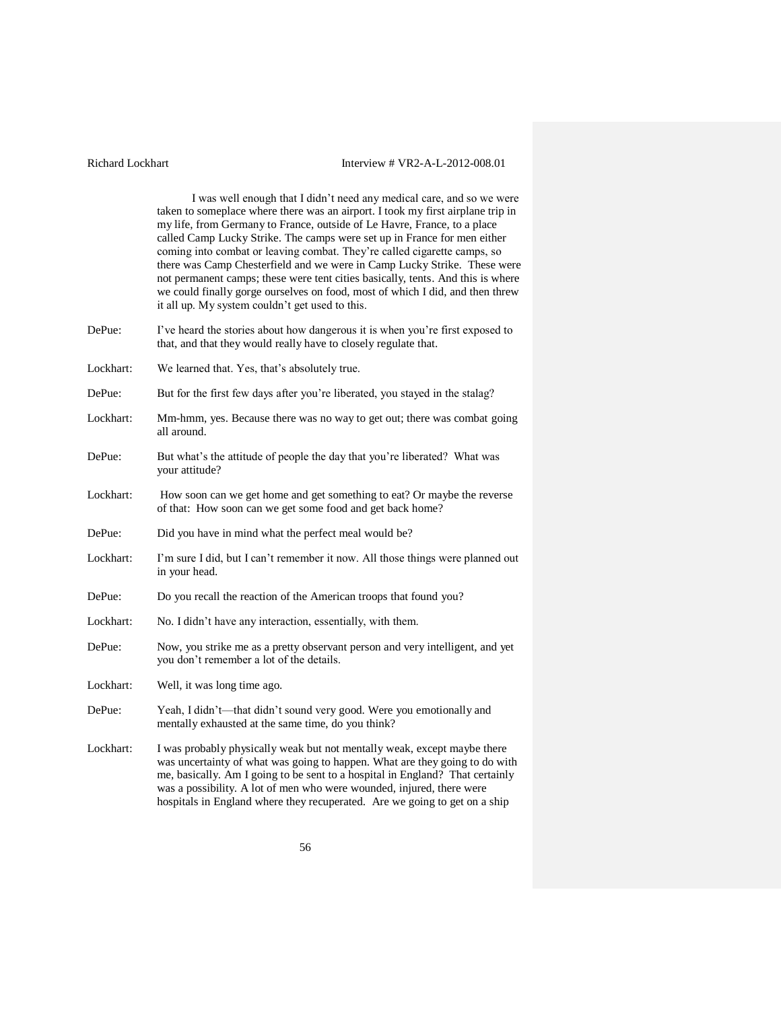I was well enough that I didn't need any medical care, and so we were taken to someplace where there was an airport. I took my first airplane trip in my life, from Germany to France, outside of Le Havre, France, to a place called Camp Lucky Strike. The camps were set up in France for men either coming into combat or leaving combat. They're called cigarette camps, so there was Camp Chesterfield and we were in Camp Lucky Strike. These were not permanent camps; these were tent cities basically, tents. And this is where we could finally gorge ourselves on food, most of which I did, and then threw it all up. My system couldn't get used to this.

- DePue: I've heard the stories about how dangerous it is when you're first exposed to that, and that they would really have to closely regulate that.
- Lockhart: We learned that. Yes, that's absolutely true.
- DePue: But for the first few days after you're liberated, you stayed in the stalag?
- Lockhart: Mm-hmm, yes. Because there was no way to get out; there was combat going all around.
- DePue: But what's the attitude of people the day that you're liberated? What was your attitude?
- Lockhart: How soon can we get home and get something to eat? Or maybe the reverse of that: How soon can we get some food and get back home?
- DePue: Did you have in mind what the perfect meal would be?
- Lockhart: I'm sure I did, but I can't remember it now. All those things were planned out in your head.
- DePue: Do you recall the reaction of the American troops that found you?
- Lockhart: No. I didn't have any interaction, essentially, with them.
- DePue: Now, you strike me as a pretty observant person and very intelligent, and yet you don't remember a lot of the details.
- Lockhart: Well, it was long time ago.
- DePue: Yeah, I didn't—that didn't sound very good. Were you emotionally and mentally exhausted at the same time, do you think?
- Lockhart: I was probably physically weak but not mentally weak, except maybe there was uncertainty of what was going to happen. What are they going to do with me, basically. Am I going to be sent to a hospital in England? That certainly was a possibility. A lot of men who were wounded, injured, there were hospitals in England where they recuperated. Are we going to get on a ship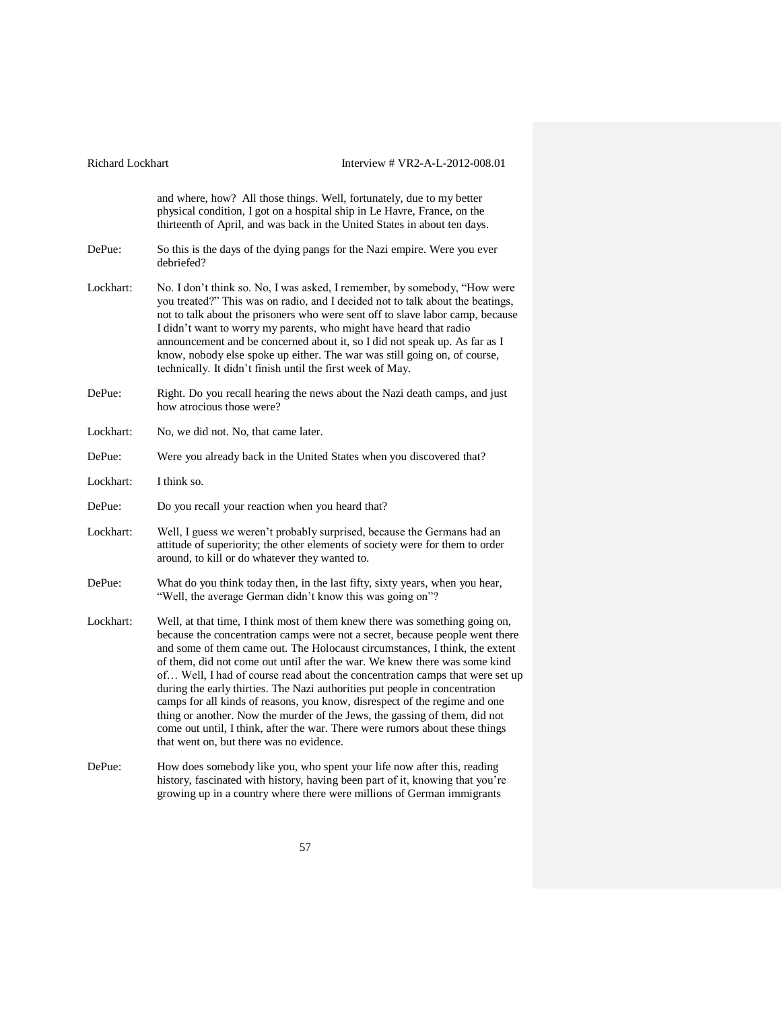| Richard Lockhart | Interview # VR2-A-L-2012-008.01                                                                                                                                                                                                                                                                                                                                                                                                                                                                                                                                                                                                                                                                                                                                                 |
|------------------|---------------------------------------------------------------------------------------------------------------------------------------------------------------------------------------------------------------------------------------------------------------------------------------------------------------------------------------------------------------------------------------------------------------------------------------------------------------------------------------------------------------------------------------------------------------------------------------------------------------------------------------------------------------------------------------------------------------------------------------------------------------------------------|
|                  | and where, how? All those things. Well, fortunately, due to my better<br>physical condition, I got on a hospital ship in Le Havre, France, on the<br>thirteenth of April, and was back in the United States in about ten days.                                                                                                                                                                                                                                                                                                                                                                                                                                                                                                                                                  |
| DePue:           | So this is the days of the dying pangs for the Nazi empire. Were you ever<br>debriefed?                                                                                                                                                                                                                                                                                                                                                                                                                                                                                                                                                                                                                                                                                         |
| Lockhart:        | No. I don't think so. No, I was asked, I remember, by somebody, "How were<br>you treated?" This was on radio, and I decided not to talk about the beatings,<br>not to talk about the prisoners who were sent off to slave labor camp, because<br>I didn't want to worry my parents, who might have heard that radio<br>announcement and be concerned about it, so I did not speak up. As far as I<br>know, nobody else spoke up either. The war was still going on, of course,<br>technically. It didn't finish until the first week of May.                                                                                                                                                                                                                                    |
| DePue:           | Right. Do you recall hearing the news about the Nazi death camps, and just<br>how atrocious those were?                                                                                                                                                                                                                                                                                                                                                                                                                                                                                                                                                                                                                                                                         |
| Lockhart:        | No, we did not. No, that came later.                                                                                                                                                                                                                                                                                                                                                                                                                                                                                                                                                                                                                                                                                                                                            |
| DePue:           | Were you already back in the United States when you discovered that?                                                                                                                                                                                                                                                                                                                                                                                                                                                                                                                                                                                                                                                                                                            |
| Lockhart:        | I think so.                                                                                                                                                                                                                                                                                                                                                                                                                                                                                                                                                                                                                                                                                                                                                                     |
| DePue:           | Do you recall your reaction when you heard that?                                                                                                                                                                                                                                                                                                                                                                                                                                                                                                                                                                                                                                                                                                                                |
| Lockhart:        | Well, I guess we weren't probably surprised, because the Germans had an<br>attitude of superiority; the other elements of society were for them to order<br>around, to kill or do whatever they wanted to.                                                                                                                                                                                                                                                                                                                                                                                                                                                                                                                                                                      |
| DePue:           | What do you think today then, in the last fifty, sixty years, when you hear,<br>"Well, the average German didn't know this was going on"?                                                                                                                                                                                                                                                                                                                                                                                                                                                                                                                                                                                                                                       |
| Lockhart:        | Well, at that time, I think most of them knew there was something going on,<br>because the concentration camps were not a secret, because people went there<br>and some of them came out. The Holocaust circumstances, I think, the extent<br>of them, did not come out until after the war. We knew there was some kind<br>of Well, I had of course read about the concentration camps that were set up<br>during the early thirties. The Nazi authorities put people in concentration<br>camps for all kinds of reasons, you know, disrespect of the regime and one<br>thing or another. Now the murder of the Jews, the gassing of them, did not<br>come out until, I think, after the war. There were rumors about these things<br>that went on, but there was no evidence. |
|                  | $-1 - 1 - 1$<br><b>Controlled the Controller Controller State State State State State State State State State State State State State State State State State State State State State State State State State State State State State State Stat</b><br>$\sim$ 1.000 $\sim$ 1.000 $\sim$                                                                                                                                                                                                                                                                                                                                                                                                                                                                                        |

DePue: How does somebody like you, who spent your life now after this, reading history, fascinated with history, having been part of it, knowing that you're growing up in a country where there were millions of German immigrants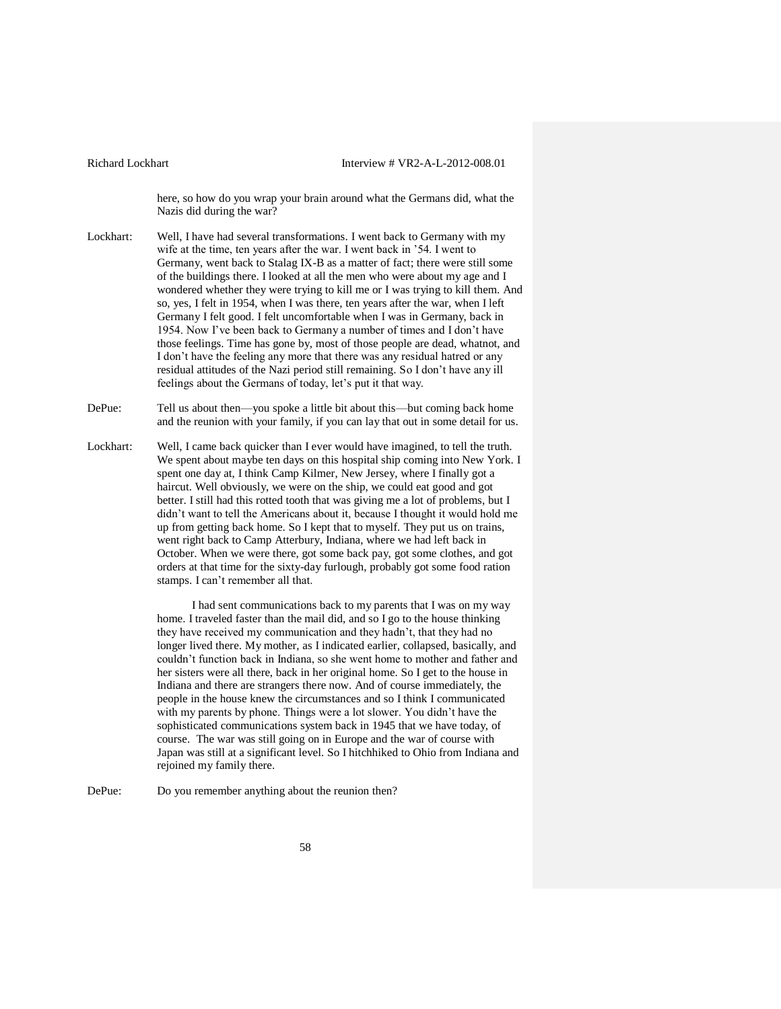here, so how do you wrap your brain around what the Germans did, what the Nazis did during the war?

- Lockhart: Well, I have had several transformations. I went back to Germany with my wife at the time, ten years after the war. I went back in '54. I went to Germany, went back to Stalag IX-B as a matter of fact; there were still some of the buildings there. I looked at all the men who were about my age and I wondered whether they were trying to kill me or I was trying to kill them. And so, yes, I felt in 1954, when I was there, ten years after the war, when I left Germany I felt good. I felt uncomfortable when I was in Germany, back in 1954. Now I've been back to Germany a number of times and I don't have those feelings. Time has gone by, most of those people are dead, whatnot, and I don't have the feeling any more that there was any residual hatred or any residual attitudes of the Nazi period still remaining. So I don't have any ill feelings about the Germans of today, let's put it that way.
- DePue: Tell us about then—you spoke a little bit about this—but coming back home and the reunion with your family, if you can lay that out in some detail for us.
- Lockhart: Well, I came back quicker than I ever would have imagined, to tell the truth. We spent about maybe ten days on this hospital ship coming into New York. I spent one day at, I think Camp Kilmer, New Jersey, where I finally got a haircut. Well obviously, we were on the ship, we could eat good and got better. I still had this rotted tooth that was giving me a lot of problems, but I didn't want to tell the Americans about it, because I thought it would hold me up from getting back home. So I kept that to myself. They put us on trains, went right back to Camp Atterbury, Indiana, where we had left back in October. When we were there, got some back pay, got some clothes, and got orders at that time for the sixty-day furlough, probably got some food ration stamps. I can't remember all that.

I had sent communications back to my parents that I was on my way home. I traveled faster than the mail did, and so I go to the house thinking they have received my communication and they hadn't, that they had no longer lived there. My mother, as I indicated earlier, collapsed, basically, and couldn't function back in Indiana, so she went home to mother and father and her sisters were all there, back in her original home. So I get to the house in Indiana and there are strangers there now. And of course immediately, the people in the house knew the circumstances and so I think I communicated with my parents by phone. Things were a lot slower. You didn't have the sophisticated communications system back in 1945 that we have today, of course. The war was still going on in Europe and the war of course with Japan was still at a significant level. So I hitchhiked to Ohio from Indiana and rejoined my family there.

DePue: Do you remember anything about the reunion then?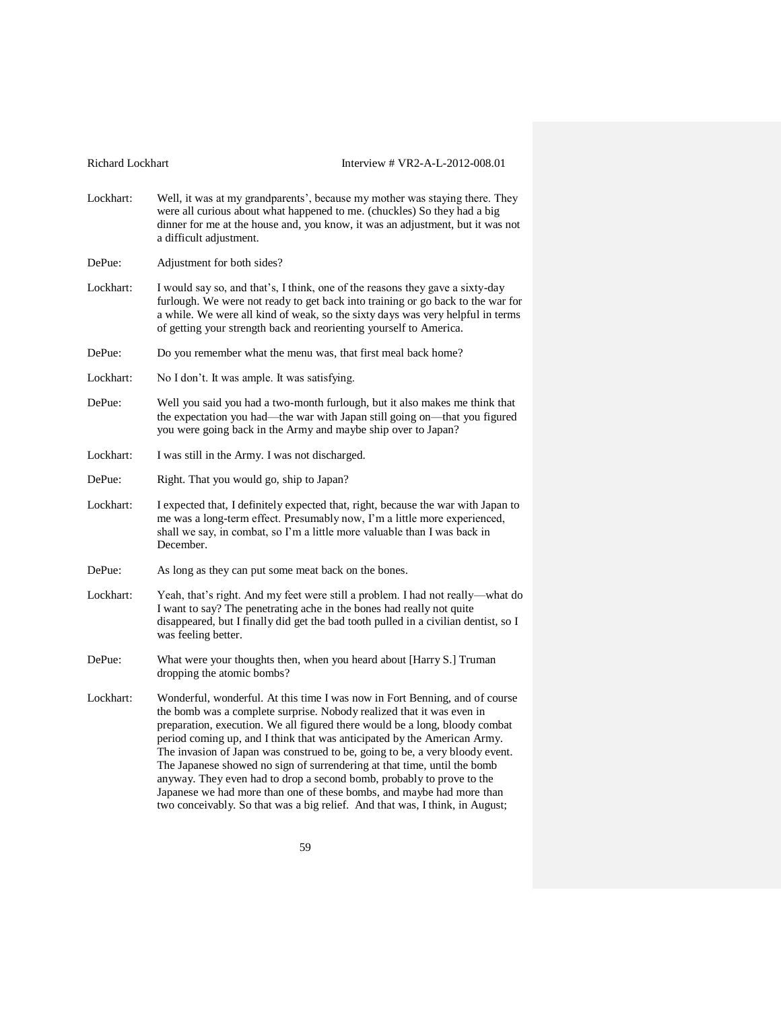| Richard Lockhart |  |  |
|------------------|--|--|
|------------------|--|--|

Lockhart: Well, it was at my grandparents', because my mother was staying there. They were all curious about what happened to me. (chuckles) So they had a big dinner for me at the house and, you know, it was an adjustment, but it was not a difficult adjustment.

DePue: Adjustment for both sides?

- Lockhart: I would say so, and that's, I think, one of the reasons they gave a sixty-day furlough. We were not ready to get back into training or go back to the war for a while. We were all kind of weak, so the sixty days was very helpful in terms of getting your strength back and reorienting yourself to America.
- DePue: Do you remember what the menu was, that first meal back home?
- Lockhart: No I don't. It was ample. It was satisfying.
- DePue: Well you said you had a two-month furlough, but it also makes me think that the expectation you had—the war with Japan still going on—that you figured you were going back in the Army and maybe ship over to Japan?
- Lockhart: I was still in the Army. I was not discharged.
- DePue: Right. That you would go, ship to Japan?
- Lockhart: I expected that, I definitely expected that, right, because the war with Japan to me was a long-term effect. Presumably now, I'm a little more experienced, shall we say, in combat, so I'm a little more valuable than I was back in December.
- DePue: As long as they can put some meat back on the bones.
- Lockhart: Yeah, that's right. And my feet were still a problem. I had not really—what do I want to say? The penetrating ache in the bones had really not quite disappeared, but I finally did get the bad tooth pulled in a civilian dentist, so I was feeling better.
- DePue: What were your thoughts then, when you heard about [Harry S.] Truman dropping the atomic bombs?
- Lockhart: Wonderful, wonderful. At this time I was now in Fort Benning, and of course the bomb was a complete surprise. Nobody realized that it was even in preparation, execution. We all figured there would be a long, bloody combat period coming up, and I think that was anticipated by the American Army. The invasion of Japan was construed to be, going to be, a very bloody event. The Japanese showed no sign of surrendering at that time, until the bomb anyway. They even had to drop a second bomb, probably to prove to the Japanese we had more than one of these bombs, and maybe had more than two conceivably. So that was a big relief. And that was, I think, in August;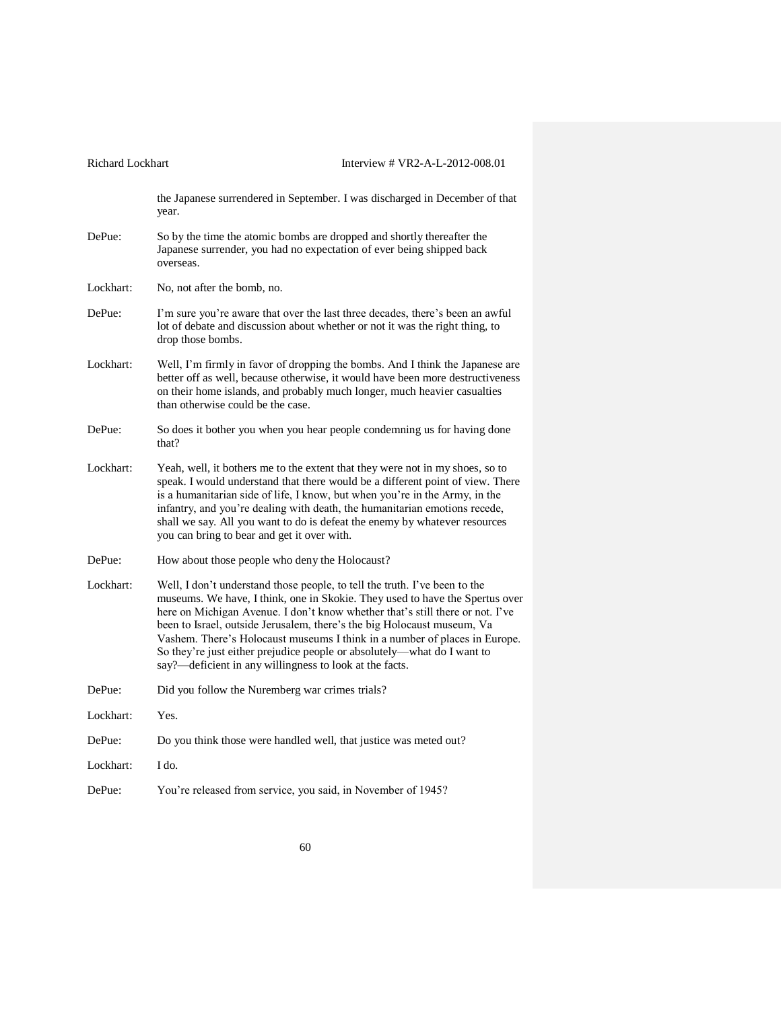| Richard Lockhart | Interview # VR2-A-L-2012-008.01                                                                                                                                                                                                                                                                                                                                                                                                                                                                                                            |
|------------------|--------------------------------------------------------------------------------------------------------------------------------------------------------------------------------------------------------------------------------------------------------------------------------------------------------------------------------------------------------------------------------------------------------------------------------------------------------------------------------------------------------------------------------------------|
|                  | the Japanese surrendered in September. I was discharged in December of that<br>year.                                                                                                                                                                                                                                                                                                                                                                                                                                                       |
| DePue:           | So by the time the atomic bombs are dropped and shortly thereafter the<br>Japanese surrender, you had no expectation of ever being shipped back<br>overseas.                                                                                                                                                                                                                                                                                                                                                                               |
| Lockhart:        | No, not after the bomb, no.                                                                                                                                                                                                                                                                                                                                                                                                                                                                                                                |
| DePue:           | I'm sure you're aware that over the last three decades, there's been an awful<br>lot of debate and discussion about whether or not it was the right thing, to<br>drop those bombs.                                                                                                                                                                                                                                                                                                                                                         |
| Lockhart:        | Well, I'm firmly in favor of dropping the bombs. And I think the Japanese are<br>better off as well, because otherwise, it would have been more destructiveness<br>on their home islands, and probably much longer, much heavier casualties<br>than otherwise could be the case.                                                                                                                                                                                                                                                           |
| DePue:           | So does it bother you when you hear people condemning us for having done<br>that?                                                                                                                                                                                                                                                                                                                                                                                                                                                          |
| Lockhart:        | Yeah, well, it bothers me to the extent that they were not in my shoes, so to<br>speak. I would understand that there would be a different point of view. There<br>is a humanitarian side of life, I know, but when you're in the Army, in the<br>infantry, and you're dealing with death, the humanitarian emotions recede,<br>shall we say. All you want to do is defeat the enemy by whatever resources<br>you can bring to bear and get it over with.                                                                                  |
| DePue:           | How about those people who deny the Holocaust?                                                                                                                                                                                                                                                                                                                                                                                                                                                                                             |
| Lockhart:        | Well, I don't understand those people, to tell the truth. I've been to the<br>museums. We have, I think, one in Skokie. They used to have the Spertus over<br>here on Michigan Avenue. I don't know whether that's still there or not. I've<br>been to Israel, outside Jerusalem, there's the big Holocaust museum, Va<br>Vashem. There's Holocaust museums I think in a number of places in Europe.<br>So they're just either prejudice people or absolutely-what do I want to<br>say?—deficient in any willingness to look at the facts. |
| DePue:           | Did you follow the Nuremberg war crimes trials?                                                                                                                                                                                                                                                                                                                                                                                                                                                                                            |
| Lockhart:        | Yes.                                                                                                                                                                                                                                                                                                                                                                                                                                                                                                                                       |
| DePue:           | Do you think those were handled well, that justice was meted out?                                                                                                                                                                                                                                                                                                                                                                                                                                                                          |
| Lockhart:        | I do.                                                                                                                                                                                                                                                                                                                                                                                                                                                                                                                                      |
| DePue:           | You're released from service, you said, in November of 1945?                                                                                                                                                                                                                                                                                                                                                                                                                                                                               |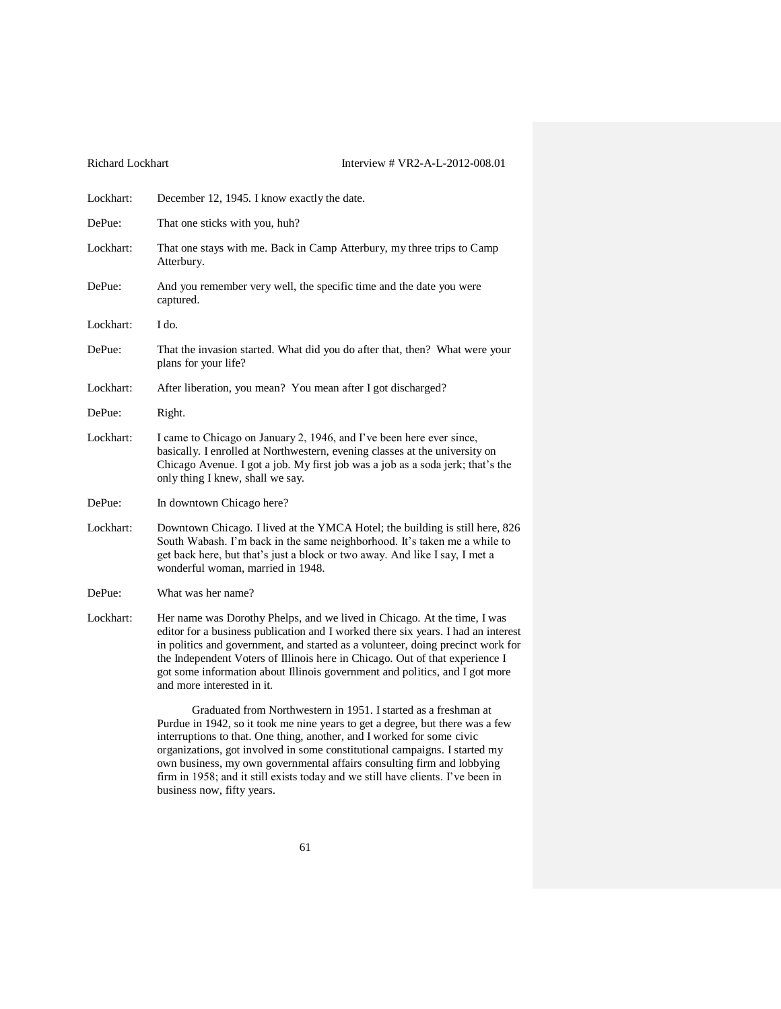| Lockhart: | December 12, 1945. I know exactly the date.                                                                                                                                                                                                                                                                                                                                                                                                   |
|-----------|-----------------------------------------------------------------------------------------------------------------------------------------------------------------------------------------------------------------------------------------------------------------------------------------------------------------------------------------------------------------------------------------------------------------------------------------------|
| DePue:    | That one sticks with you, huh?                                                                                                                                                                                                                                                                                                                                                                                                                |
| Lockhart: | That one stays with me. Back in Camp Atterbury, my three trips to Camp<br>Atterbury.                                                                                                                                                                                                                                                                                                                                                          |
| DePue:    | And you remember very well, the specific time and the date you were<br>captured.                                                                                                                                                                                                                                                                                                                                                              |
| Lockhart: | I do.                                                                                                                                                                                                                                                                                                                                                                                                                                         |
| DePue:    | That the invasion started. What did you do after that, then? What were your<br>plans for your life?                                                                                                                                                                                                                                                                                                                                           |
| Lockhart: | After liberation, you mean? You mean after I got discharged?                                                                                                                                                                                                                                                                                                                                                                                  |
| DePue:    | Right.                                                                                                                                                                                                                                                                                                                                                                                                                                        |
| Lockhart: | I came to Chicago on January 2, 1946, and I've been here ever since,<br>basically. I enrolled at Northwestern, evening classes at the university on<br>Chicago Avenue. I got a job. My first job was a job as a soda jerk; that's the<br>only thing I knew, shall we say.                                                                                                                                                                     |
| DePue:    | In downtown Chicago here?                                                                                                                                                                                                                                                                                                                                                                                                                     |
| Lockhart: | Downtown Chicago. I lived at the YMCA Hotel; the building is still here, 826<br>South Wabash. I'm back in the same neighborhood. It's taken me a while to<br>get back here, but that's just a block or two away. And like I say, I met a<br>wonderful woman, married in 1948.                                                                                                                                                                 |
| DePue:    | What was her name?                                                                                                                                                                                                                                                                                                                                                                                                                            |
| Lockhart: | Her name was Dorothy Phelps, and we lived in Chicago. At the time, I was<br>editor for a business publication and I worked there six years. I had an interest<br>in politics and government, and started as a volunteer, doing precinct work for<br>the Independent Voters of Illinois here in Chicago. Out of that experience I<br>got some information about Illinois government and politics, and I got more<br>and more interested in it. |
|           | Graduated from Northwestern in 1951. I started as a freshman at<br>Purdue in 1942, so it took me nine years to get a degree, but there was a few<br>interruptions to that. One thing, another, and I worked for some civic                                                                                                                                                                                                                    |

organizations, got involved in some constitutional campaigns. I started my own business, my own governmental affairs consulting firm and lobbying firm in 1958; and it still exists today and we still have clients. I've been in business now, fifty years.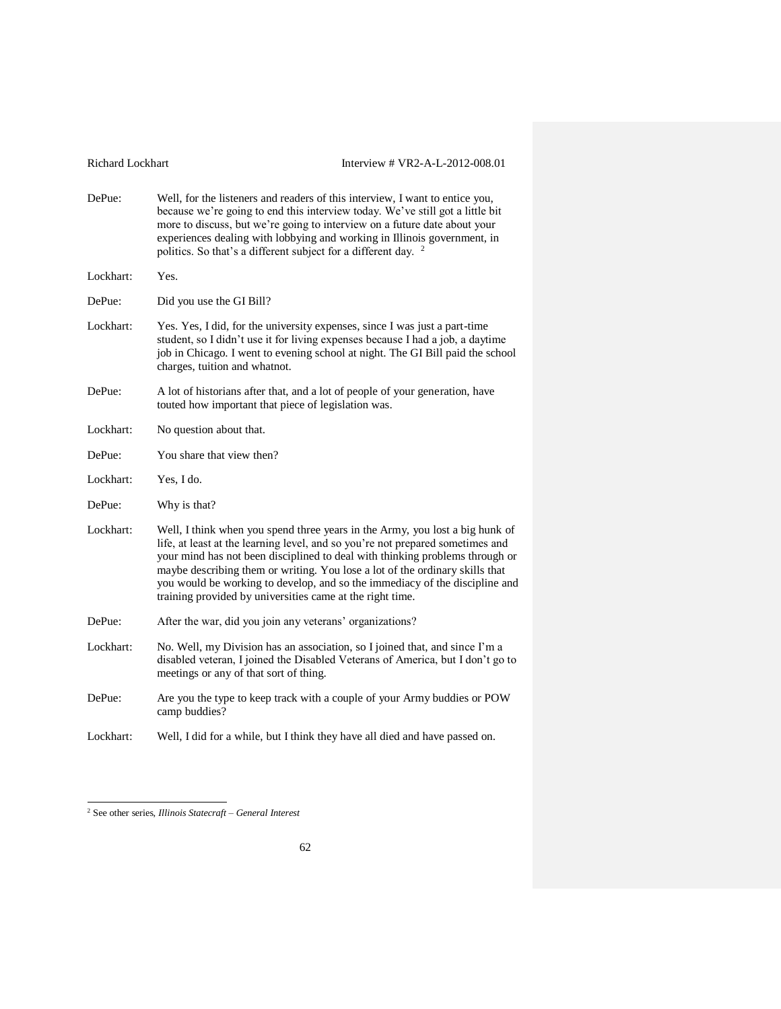- DePue: Well, for the listeners and readers of this interview, I want to entice you, because we're going to end this interview today. We've still got a little bit more to discuss, but we're going to interview on a future date about your experiences dealing with lobbying and working in Illinois government, in politics. So that's a different subject for a different day. <sup>2</sup> Lockhart: Yes. DePue: Did you use the GI Bill? Lockhart: Yes. Yes, I did, for the university expenses, since I was just a part-time student, so I didn't use it for living expenses because I had a job, a daytime job in Chicago. I went to evening school at night. The GI Bill paid the school charges, tuition and whatnot.
- DePue: A lot of historians after that, and a lot of people of your generation, have touted how important that piece of legislation was.
- Lockhart: No question about that.
- DePue: You share that view then?
- Lockhart: Yes, I do.
- DePue: Why is that?
- Lockhart: Well, I think when you spend three years in the Army, you lost a big hunk of life, at least at the learning level, and so you're not prepared sometimes and your mind has not been disciplined to deal with thinking problems through or maybe describing them or writing. You lose a lot of the ordinary skills that you would be working to develop, and so the immediacy of the discipline and training provided by universities came at the right time.
- DePue: After the war, did you join any veterans' organizations?
- Lockhart: No. Well, my Division has an association, so I joined that, and since I'm a disabled veteran, I joined the Disabled Veterans of America, but I don't go to meetings or any of that sort of thing.
- DePue: Are you the type to keep track with a couple of your Army buddies or POW camp buddies?
- Lockhart: Well, I did for a while, but I think they have all died and have passed on.

 $\overline{a}$ 

<sup>2</sup> See other series, *Illinois Statecraft – General Interest*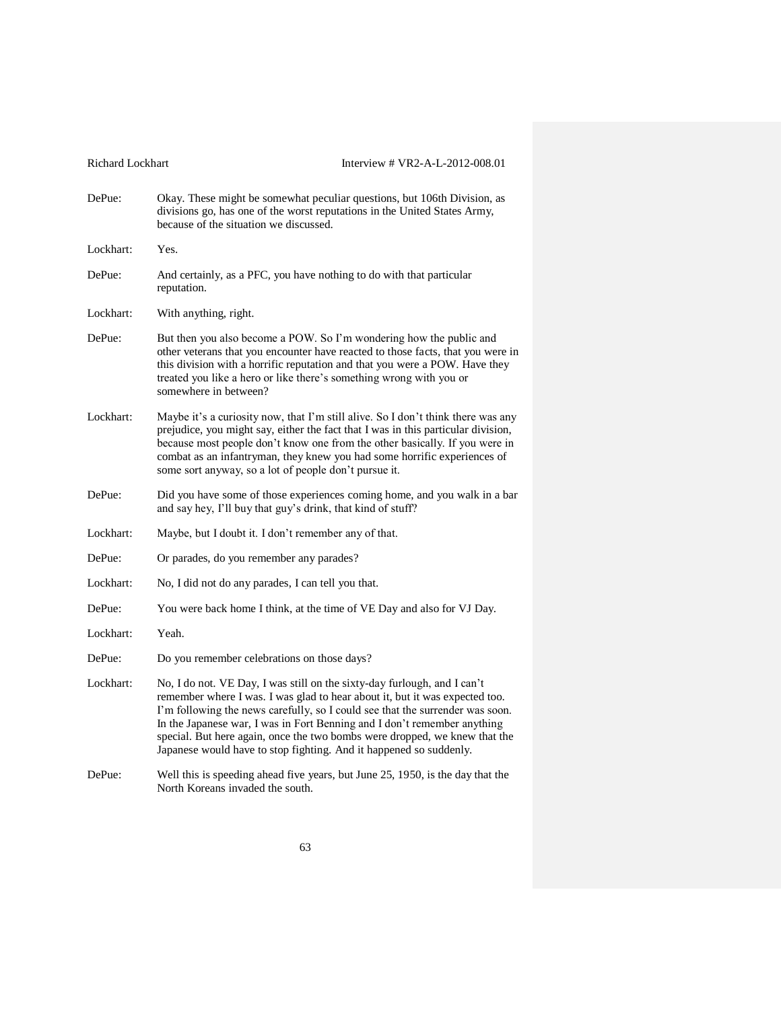| Richard Lockhart | Interview # VR2-A-L-2012-008.01                                                                                                                                                                                                                                                                                                                                                                                                                                          |
|------------------|--------------------------------------------------------------------------------------------------------------------------------------------------------------------------------------------------------------------------------------------------------------------------------------------------------------------------------------------------------------------------------------------------------------------------------------------------------------------------|
| DePue:           | Okay. These might be somewhat peculiar questions, but 106th Division, as<br>divisions go, has one of the worst reputations in the United States Army,<br>because of the situation we discussed.                                                                                                                                                                                                                                                                          |
| Lockhart:        | Yes.                                                                                                                                                                                                                                                                                                                                                                                                                                                                     |
| DePue:           | And certainly, as a PFC, you have nothing to do with that particular<br>reputation.                                                                                                                                                                                                                                                                                                                                                                                      |
| Lockhart:        | With anything, right.                                                                                                                                                                                                                                                                                                                                                                                                                                                    |
| DePue:           | But then you also become a POW. So I'm wondering how the public and<br>other veterans that you encounter have reacted to those facts, that you were in<br>this division with a horrific reputation and that you were a POW. Have they<br>treated you like a hero or like there's something wrong with you or<br>somewhere in between?                                                                                                                                    |
| Lockhart:        | Maybe it's a curiosity now, that I'm still alive. So I don't think there was any<br>prejudice, you might say, either the fact that I was in this particular division,<br>because most people don't know one from the other basically. If you were in<br>combat as an infantryman, they knew you had some horrific experiences of<br>some sort anyway, so a lot of people don't pursue it.                                                                                |
| DePue:           | Did you have some of those experiences coming home, and you walk in a bar<br>and say hey, I'll buy that guy's drink, that kind of stuff?                                                                                                                                                                                                                                                                                                                                 |
| Lockhart:        | Maybe, but I doubt it. I don't remember any of that.                                                                                                                                                                                                                                                                                                                                                                                                                     |
| DePue:           | Or parades, do you remember any parades?                                                                                                                                                                                                                                                                                                                                                                                                                                 |
| Lockhart:        | No, I did not do any parades, I can tell you that.                                                                                                                                                                                                                                                                                                                                                                                                                       |
| DePue:           | You were back home I think, at the time of VE Day and also for VJ Day.                                                                                                                                                                                                                                                                                                                                                                                                   |
| Lockhart:        | Yeah.                                                                                                                                                                                                                                                                                                                                                                                                                                                                    |
| DePue:           | Do you remember celebrations on those days?                                                                                                                                                                                                                                                                                                                                                                                                                              |
| Lockhart:        | No, I do not. VE Day, I was still on the sixty-day furlough, and I can't<br>remember where I was. I was glad to hear about it, but it was expected too.<br>I'm following the news carefully, so I could see that the surrender was soon.<br>In the Japanese war, I was in Fort Benning and I don't remember anything<br>special. But here again, once the two bombs were dropped, we knew that the<br>Japanese would have to stop fighting. And it happened so suddenly. |
| DePue:           | Well this is speeding ahead five years, but June 25, 1950, is the day that the<br>North Koreans invaded the south.                                                                                                                                                                                                                                                                                                                                                       |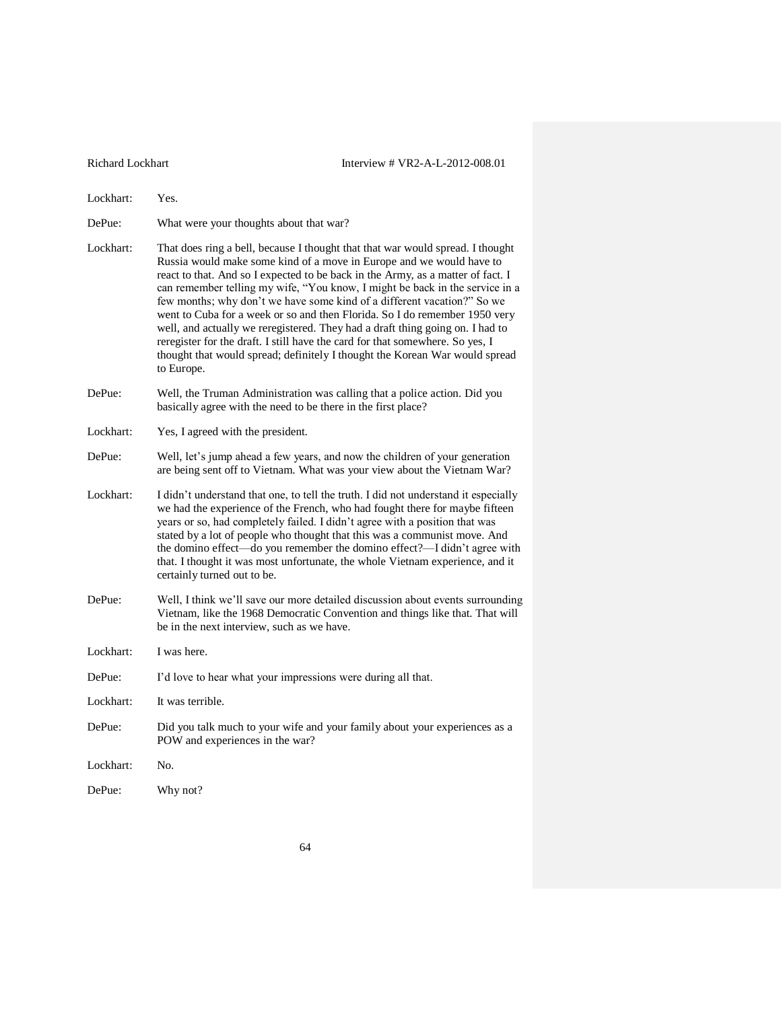Lockhart: Yes. DePue: What were your thoughts about that war? Lockhart: That does ring a bell, because I thought that that war would spread. I thought Russia would make some kind of a move in Europe and we would have to react to that. And so I expected to be back in the Army, as a matter of fact. I can remember telling my wife, "You know, I might be back in the service in a few months; why don't we have some kind of a different vacation?" So we went to Cuba for a week or so and then Florida. So I do remember 1950 very well, and actually we reregistered. They had a draft thing going on. I had to reregister for the draft. I still have the card for that somewhere. So yes, I thought that would spread; definitely I thought the Korean War would spread to Europe. DePue: Well, the Truman Administration was calling that a police action. Did you basically agree with the need to be there in the first place? Lockhart: Yes, I agreed with the president. DePue: Well, let's jump ahead a few years, and now the children of your generation are being sent off to Vietnam. What was your view about the Vietnam War? Lockhart: I didn't understand that one, to tell the truth. I did not understand it especially we had the experience of the French, who had fought there for maybe fifteen years or so, had completely failed. I didn't agree with a position that was stated by a lot of people who thought that this was a communist move. And the domino effect—do you remember the domino effect?—I didn't agree with that. I thought it was most unfortunate, the whole Vietnam experience, and it certainly turned out to be. DePue: Well, I think we'll save our more detailed discussion about events surrounding Vietnam, like the 1968 Democratic Convention and things like that. That will be in the next interview, such as we have. Lockhart: I was here. DePue: I'd love to hear what your impressions were during all that. Lockhart: It was terrible. DePue: Did you talk much to your wife and your family about your experiences as a POW and experiences in the war? Lockhart: No. DePue: Why not?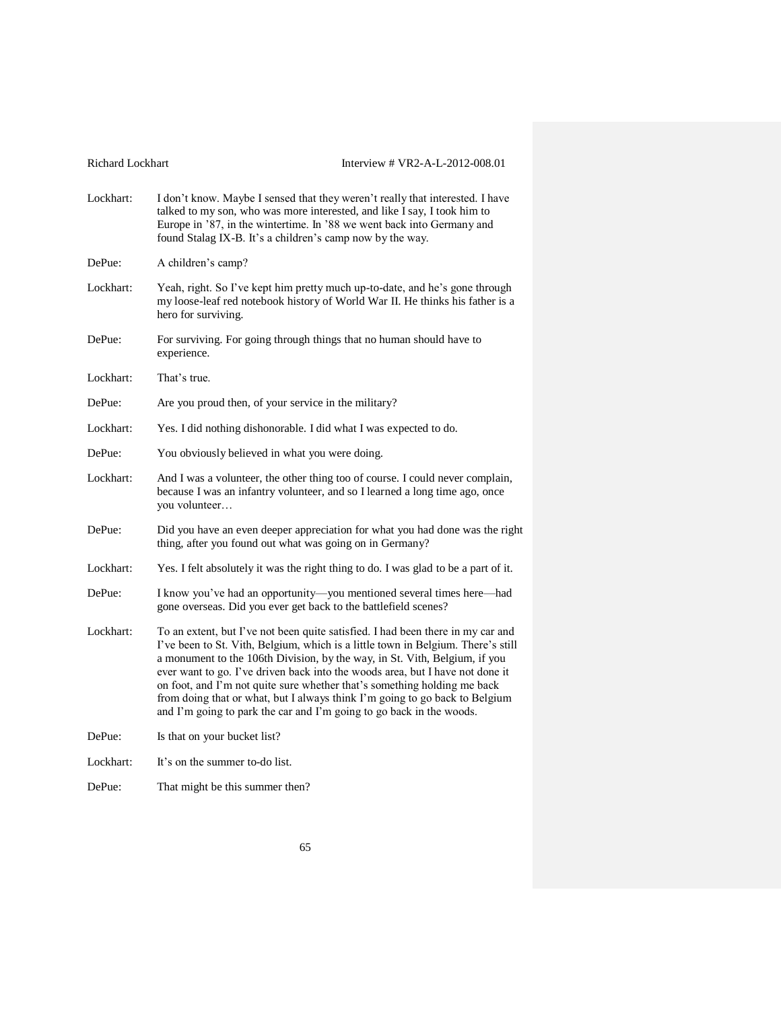| Richard Lockhart |  |  |
|------------------|--|--|
|------------------|--|--|

| Lockhart: | I don't know. Maybe I sensed that they weren't really that interested. I have<br>talked to my son, who was more interested, and like I say, I took him to<br>Europe in '87, in the wintertime. In '88 we went back into Germany and<br>found Stalag IX-B. It's a children's camp now by the way.                                                                                                                                                                                                                                                                      |
|-----------|-----------------------------------------------------------------------------------------------------------------------------------------------------------------------------------------------------------------------------------------------------------------------------------------------------------------------------------------------------------------------------------------------------------------------------------------------------------------------------------------------------------------------------------------------------------------------|
| DePue:    | A children's camp?                                                                                                                                                                                                                                                                                                                                                                                                                                                                                                                                                    |
| Lockhart: | Yeah, right. So I've kept him pretty much up-to-date, and he's gone through<br>my loose-leaf red notebook history of World War II. He thinks his father is a<br>hero for surviving.                                                                                                                                                                                                                                                                                                                                                                                   |
| DePue:    | For surviving. For going through things that no human should have to<br>experience.                                                                                                                                                                                                                                                                                                                                                                                                                                                                                   |
| Lockhart: | That's true.                                                                                                                                                                                                                                                                                                                                                                                                                                                                                                                                                          |
| DePue:    | Are you proud then, of your service in the military?                                                                                                                                                                                                                                                                                                                                                                                                                                                                                                                  |
| Lockhart: | Yes. I did nothing dishonorable. I did what I was expected to do.                                                                                                                                                                                                                                                                                                                                                                                                                                                                                                     |
| DePue:    | You obviously believed in what you were doing.                                                                                                                                                                                                                                                                                                                                                                                                                                                                                                                        |
| Lockhart: | And I was a volunteer, the other thing too of course. I could never complain,<br>because I was an infantry volunteer, and so I learned a long time ago, once<br>you volunteer                                                                                                                                                                                                                                                                                                                                                                                         |
| DePue:    | Did you have an even deeper appreciation for what you had done was the right<br>thing, after you found out what was going on in Germany?                                                                                                                                                                                                                                                                                                                                                                                                                              |
| Lockhart: | Yes. I felt absolutely it was the right thing to do. I was glad to be a part of it.                                                                                                                                                                                                                                                                                                                                                                                                                                                                                   |
| DePue:    | I know you've had an opportunity-you mentioned several times here-had<br>gone overseas. Did you ever get back to the battlefield scenes?                                                                                                                                                                                                                                                                                                                                                                                                                              |
| Lockhart: | To an extent, but I've not been quite satisfied. I had been there in my car and<br>I've been to St. Vith, Belgium, which is a little town in Belgium. There's still<br>a monument to the 106th Division, by the way, in St. Vith, Belgium, if you<br>ever want to go. I've driven back into the woods area, but I have not done it<br>on foot, and I'm not quite sure whether that's something holding me back<br>from doing that or what, but I always think I'm going to go back to Belgium<br>and I'm going to park the car and I'm going to go back in the woods. |
| DePue:    | Is that on your bucket list?                                                                                                                                                                                                                                                                                                                                                                                                                                                                                                                                          |
| Lockhart: | It's on the summer to-do list.                                                                                                                                                                                                                                                                                                                                                                                                                                                                                                                                        |
| DePue:    | That might be this summer then?                                                                                                                                                                                                                                                                                                                                                                                                                                                                                                                                       |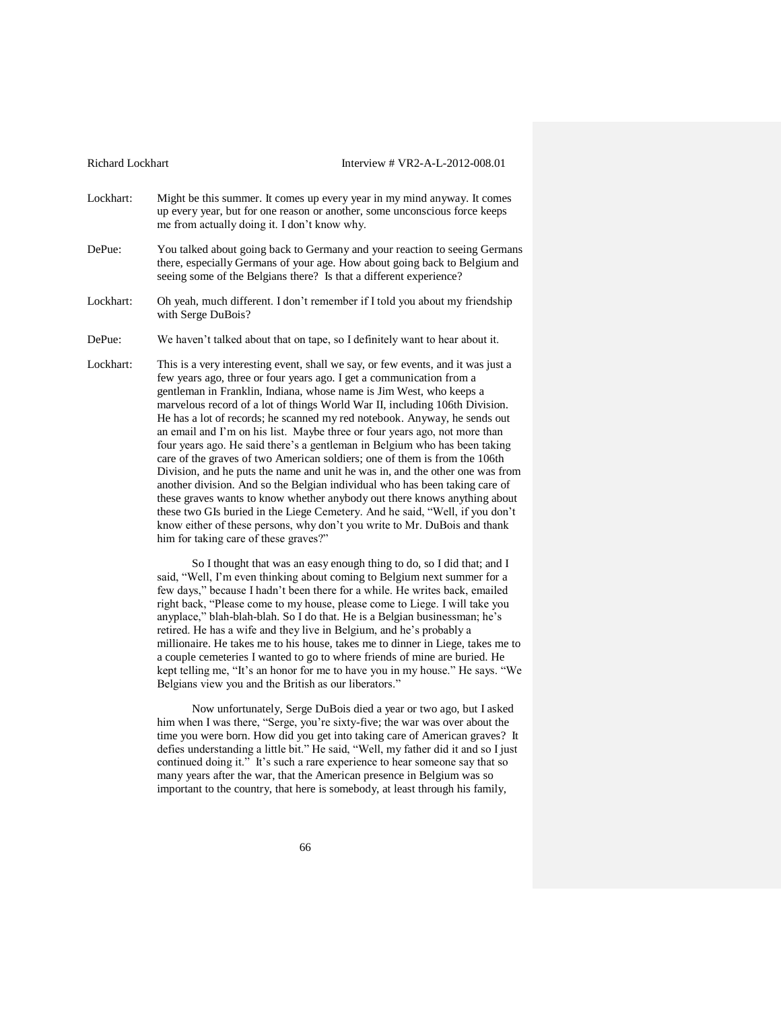- Lockhart: Might be this summer. It comes up every year in my mind anyway. It comes up every year, but for one reason or another, some unconscious force keeps me from actually doing it. I don't know why.
- DePue: You talked about going back to Germany and your reaction to seeing Germans there, especially Germans of your age. How about going back to Belgium and seeing some of the Belgians there? Is that a different experience?
- Lockhart: Oh yeah, much different. I don't remember if I told you about my friendship with Serge DuBois?

DePue: We haven't talked about that on tape, so I definitely want to hear about it.

Lockhart: This is a very interesting event, shall we say, or few events, and it was just a few years ago, three or four years ago. I get a communication from a gentleman in Franklin, Indiana, whose name is Jim West, who keeps a marvelous record of a lot of things World War II, including 106th Division. He has a lot of records; he scanned my red notebook. Anyway, he sends out an email and I'm on his list. Maybe three or four years ago, not more than four years ago. He said there's a gentleman in Belgium who has been taking care of the graves of two American soldiers; one of them is from the 106th Division, and he puts the name and unit he was in, and the other one was from another division. And so the Belgian individual who has been taking care of these graves wants to know whether anybody out there knows anything about these two GIs buried in the Liege Cemetery. And he said, "Well, if you don't know either of these persons, why don't you write to Mr. DuBois and thank him for taking care of these graves?"

> So I thought that was an easy enough thing to do, so I did that; and I said, "Well, I'm even thinking about coming to Belgium next summer for a few days," because I hadn't been there for a while. He writes back, emailed right back, "Please come to my house, please come to Liege. I will take you anyplace," blah-blah-blah. So I do that. He is a Belgian businessman; he's retired. He has a wife and they live in Belgium, and he's probably a millionaire. He takes me to his house, takes me to dinner in Liege, takes me to a couple cemeteries I wanted to go to where friends of mine are buried. He kept telling me, "It's an honor for me to have you in my house." He says. "We Belgians view you and the British as our liberators."

Now unfortunately, Serge DuBois died a year or two ago, but I asked him when I was there, "Serge, you're sixty-five; the war was over about the time you were born. How did you get into taking care of American graves? It defies understanding a little bit." He said, "Well, my father did it and so I just continued doing it." It's such a rare experience to hear someone say that so many years after the war, that the American presence in Belgium was so important to the country, that here is somebody, at least through his family,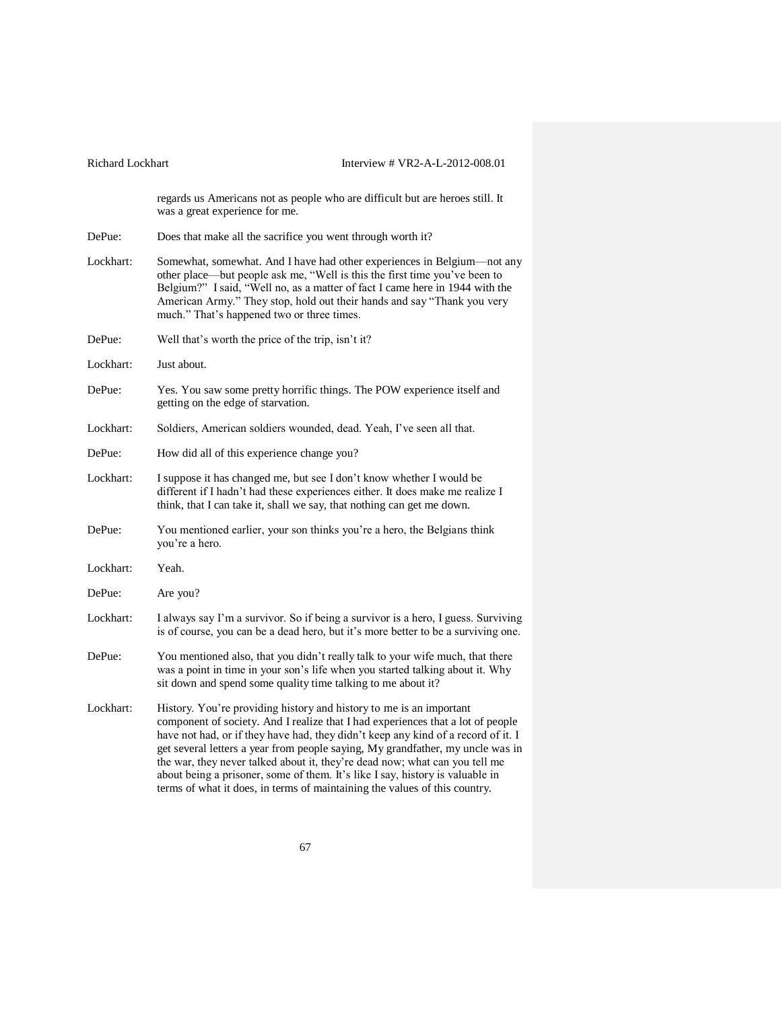| <b>Richard Lockhart</b> | Interview # $VR2-A-L-2012-008.01$                                                                                                                                                                                                                                                                                                                                                                                                                                                                                                                                           |  |  |
|-------------------------|-----------------------------------------------------------------------------------------------------------------------------------------------------------------------------------------------------------------------------------------------------------------------------------------------------------------------------------------------------------------------------------------------------------------------------------------------------------------------------------------------------------------------------------------------------------------------------|--|--|
|                         | regards us Americans not as people who are difficult but are heroes still. It<br>was a great experience for me.                                                                                                                                                                                                                                                                                                                                                                                                                                                             |  |  |
| DePue:                  | Does that make all the sacrifice you went through worth it?                                                                                                                                                                                                                                                                                                                                                                                                                                                                                                                 |  |  |
| Lockhart:               | Somewhat, somewhat. And I have had other experiences in Belgium-not any<br>other place—but people ask me, "Well is this the first time you've been to<br>Belgium?" I said, "Well no, as a matter of fact I came here in 1944 with the<br>American Army." They stop, hold out their hands and say "Thank you very<br>much." That's happened two or three times.                                                                                                                                                                                                              |  |  |
| DePue:                  | Well that's worth the price of the trip, isn't it?                                                                                                                                                                                                                                                                                                                                                                                                                                                                                                                          |  |  |
| Lockhart:               | Just about.                                                                                                                                                                                                                                                                                                                                                                                                                                                                                                                                                                 |  |  |
| DePue:                  | Yes. You saw some pretty horrific things. The POW experience itself and<br>getting on the edge of starvation.                                                                                                                                                                                                                                                                                                                                                                                                                                                               |  |  |
| Lockhart:               | Soldiers, American soldiers wounded, dead. Yeah, I've seen all that.                                                                                                                                                                                                                                                                                                                                                                                                                                                                                                        |  |  |
| DePue:                  | How did all of this experience change you?                                                                                                                                                                                                                                                                                                                                                                                                                                                                                                                                  |  |  |
| Lockhart:               | I suppose it has changed me, but see I don't know whether I would be<br>different if I hadn't had these experiences either. It does make me realize I<br>think, that I can take it, shall we say, that nothing can get me down.                                                                                                                                                                                                                                                                                                                                             |  |  |
| DePue:                  | You mentioned earlier, your son thinks you're a hero, the Belgians think<br>you're a hero.                                                                                                                                                                                                                                                                                                                                                                                                                                                                                  |  |  |
| Lockhart:               | Yeah.                                                                                                                                                                                                                                                                                                                                                                                                                                                                                                                                                                       |  |  |
| DePue:                  | Are you?                                                                                                                                                                                                                                                                                                                                                                                                                                                                                                                                                                    |  |  |
| Lockhart:               | I always say I'm a survivor. So if being a survivor is a hero, I guess. Surviving<br>is of course, you can be a dead hero, but it's more better to be a surviving one.                                                                                                                                                                                                                                                                                                                                                                                                      |  |  |
| DePue:                  | You mentioned also, that you didn't really talk to your wife much, that there<br>was a point in time in your son's life when you started talking about it. Why<br>sit down and spend some quality time talking to me about it?                                                                                                                                                                                                                                                                                                                                              |  |  |
| Lockhart:               | History. You're providing history and history to me is an important<br>component of society. And I realize that I had experiences that a lot of people<br>have not had, or if they have had, they didn't keep any kind of a record of it. I<br>get several letters a year from people saying, My grandfather, my uncle was in<br>the war, they never talked about it, they're dead now; what can you tell me<br>about being a prisoner, some of them. It's like I say, history is valuable in<br>terms of what it does, in terms of maintaining the values of this country. |  |  |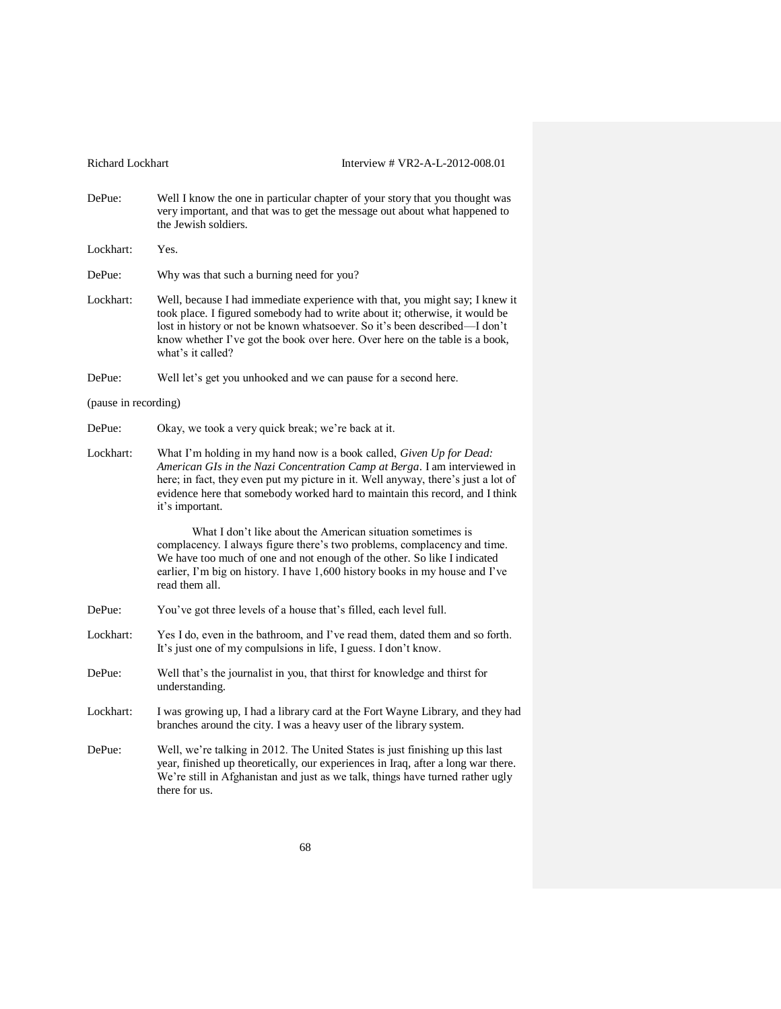DePue: Well I know the one in particular chapter of your story that you thought was very important, and that was to get the message out about what happened to the Jewish soldiers.

- DePue: Why was that such a burning need for you?
- Lockhart: Well, because I had immediate experience with that, you might say; I knew it took place. I figured somebody had to write about it; otherwise, it would be lost in history or not be known whatsoever. So it's been described—I don't know whether I've got the book over here. Over here on the table is a book, what's it called?
- DePue: Well let's get you unhooked and we can pause for a second here.

(pause in recording)

- DePue: Okay, we took a very quick break; we're back at it.
- Lockhart: What I'm holding in my hand now is a book called, *Given Up for Dead: American GIs in the Nazi Concentration Camp at Berga*. I am interviewed in here; in fact, they even put my picture in it. Well anyway, there's just a lot of evidence here that somebody worked hard to maintain this record, and I think it's important.

What I don't like about the American situation sometimes is complacency. I always figure there's two problems, complacency and time. We have too much of one and not enough of the other. So like I indicated earlier, I'm big on history. I have 1,600 history books in my house and I've read them all.

- DePue: You've got three levels of a house that's filled, each level full.
- Lockhart: Yes I do, even in the bathroom, and I've read them, dated them and so forth. It's just one of my compulsions in life, I guess. I don't know.
- DePue: Well that's the journalist in you, that thirst for knowledge and thirst for understanding.
- Lockhart: I was growing up, I had a library card at the Fort Wayne Library, and they had branches around the city. I was a heavy user of the library system.
- DePue: Well, we're talking in 2012. The United States is just finishing up this last year, finished up theoretically, our experiences in Iraq, after a long war there. We're still in Afghanistan and just as we talk, things have turned rather ugly there for us.

Lockhart: Yes.